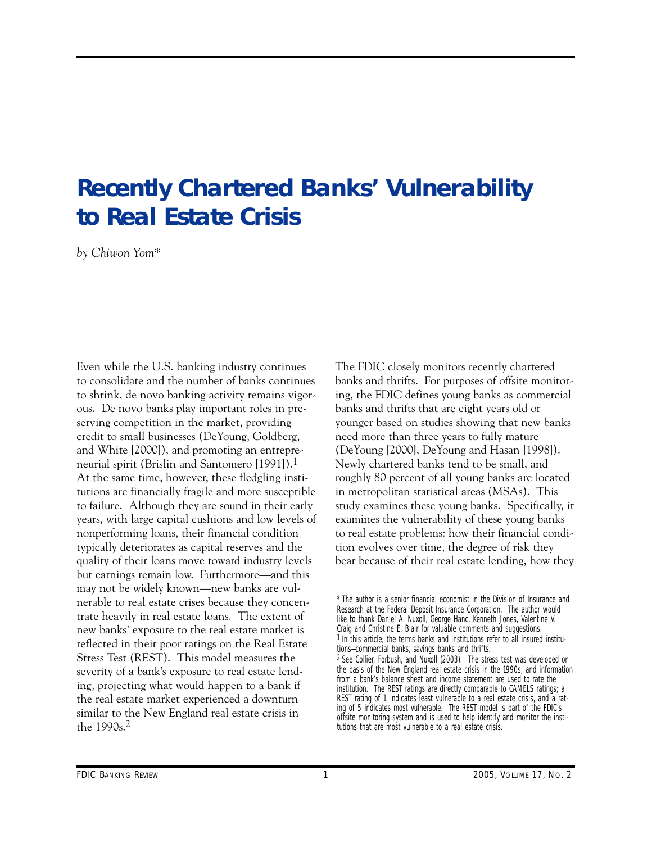## **Recently Chartered Banks' Vulnerability to Real Estate Crisis**

*by Chiwon Yom\** 

Even while the U.S. banking industry continues to consolidate and the number of banks continues to shrink, de novo banking activity remains vigorous. De novo banks play important roles in preserving competition in the market, providing credit to small businesses (DeYoung, Goldberg, and White [2000]), and promoting an entrepreneurial spirit (Brislin and Santomero [1991]).1 At the same time, however, these fledgling institutions are financially fragile and more susceptible to failure. Although they are sound in their early years, with large capital cushions and low levels of nonperforming loans, their financial condition typically deteriorates as capital reserves and the quality of their loans move toward industry levels but earnings remain low. Furthermore—and this may not be widely known—new banks are vulnerable to real estate crises because they concentrate heavily in real estate loans. The extent of new banks' exposure to the real estate market is reflected in their poor ratings on the Real Estate Stress Test (REST). This model measures the severity of a bank's exposure to real estate lending, projecting what would happen to a bank if the real estate market experienced a downturn similar to the New England real estate crisis in the 1990s.2

The FDIC closely monitors recently chartered banks and thrifts. For purposes of offsite monitoring, the FDIC defines young banks as commercial banks and thrifts that are eight years old or younger based on studies showing that new banks need more than three years to fully mature (DeYoung [2000], DeYoung and Hasan [1998]). Newly chartered banks tend to be small, and roughly 80 percent of all young banks are located in metropolitan statistical areas (MSAs). This study examines these young banks. Specifically, it examines the vulnerability of these young banks to real estate problems: how their financial condition evolves over time, the degree of risk they bear because of their real estate lending, how they

<sup>\*</sup> The author is a senior financial economist in the Division of Insurance and Research at the Federal Deposit Insurance Corporation. The author would like to thank Daniel A. Nuxoll, George Hanc, Kenneth Jones, Valentine V. Craig and Christine E. Blair for valuable comments and suggestions. 1 In this article, the terms banks and institutions refer to all insured institutions—commercial banks, savings banks and thrifts. 2 See Collier, Forbush, and Nuxoll (2003). The stress test was developed on the basis of the New England real estate crisis in the 1990s, and information from a bank's balance sheet and income statement are used to rate the institution. The REST ratings are directly comparable to CAMELS ratings; a REST rating of 1 indicates least vulnerable to a real estate crisis, and a rating of 5 indicates most vulnerable. The REST model is part of the FDIC's offsite monitoring system and is used to help identify and monitor the institutions that are most vulnerable to a real estate crisis.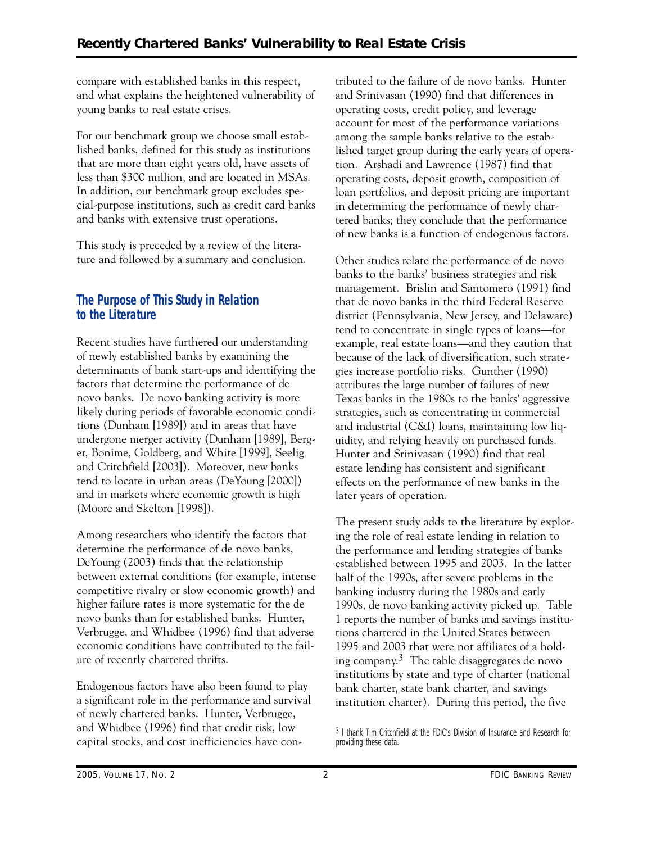compare with established banks in this respect, and what explains the heightened vulnerability of young banks to real estate crises.

For our benchmark group we choose small established banks, defined for this study as institutions that are more than eight years old, have assets of less than \$300 million, and are located in MSAs. In addition, our benchmark group excludes special-purpose institutions, such as credit card banks and banks with extensive trust operations.

This study is preceded by a review of the literature and followed by a summary and conclusion.

#### **The Purpose of This Study in Relation to the Literature**

Recent studies have furthered our understanding of newly established banks by examining the determinants of bank start-ups and identifying the factors that determine the performance of de novo banks. De novo banking activity is more likely during periods of favorable economic conditions (Dunham [1989]) and in areas that have undergone merger activity (Dunham [1989], Berger, Bonime, Goldberg, and White [1999], Seelig and Critchfield [2003]). Moreover, new banks tend to locate in urban areas (DeYoung [2000]) and in markets where economic growth is high (Moore and Skelton [1998]).

Among researchers who identify the factors that determine the performance of de novo banks, DeYoung (2003) finds that the relationship between external conditions (for example, intense competitive rivalry or slow economic growth) and higher failure rates is more systematic for the de novo banks than for established banks. Hunter, Verbrugge, and Whidbee (1996) find that adverse economic conditions have contributed to the failure of recently chartered thrifts.

Endogenous factors have also been found to play a significant role in the performance and survival of newly chartered banks. Hunter, Verbrugge, and Whidbee (1996) find that credit risk, low capital stocks, and cost inefficiencies have contributed to the failure of de novo banks. Hunter and Srinivasan (1990) find that differences in operating costs, credit policy, and leverage account for most of the performance variations among the sample banks relative to the established target group during the early years of operation. Arshadi and Lawrence (1987) find that operating costs, deposit growth, composition of loan portfolios, and deposit pricing are important in determining the performance of newly chartered banks; they conclude that the performance of new banks is a function of endogenous factors.

Other studies relate the performance of de novo banks to the banks' business strategies and risk management. Brislin and Santomero (1991) find that de novo banks in the third Federal Reserve district (Pennsylvania, New Jersey, and Delaware) tend to concentrate in single types of loans—for example, real estate loans—and they caution that because of the lack of diversification, such strategies increase portfolio risks. Gunther (1990) attributes the large number of failures of new Texas banks in the 1980s to the banks' aggressive strategies, such as concentrating in commercial and industrial (C&I) loans, maintaining low liquidity, and relying heavily on purchased funds. Hunter and Srinivasan (1990) find that real estate lending has consistent and significant effects on the performance of new banks in the later years of operation.

The present study adds to the literature by exploring the role of real estate lending in relation to the performance and lending strategies of banks established between 1995 and 2003. In the latter half of the 1990s, after severe problems in the banking industry during the 1980s and early 1990s, de novo banking activity picked up. Table 1 reports the number of banks and savings institutions chartered in the United States between 1995 and 2003 that were not affiliates of a holding company.<sup>3</sup> The table disaggregates de novo institutions by state and type of charter (national bank charter, state bank charter, and savings institution charter). During this period, the five

<sup>3</sup> I thank Tim Critchfield at the FDIC's Division of Insurance and Research for providing these data.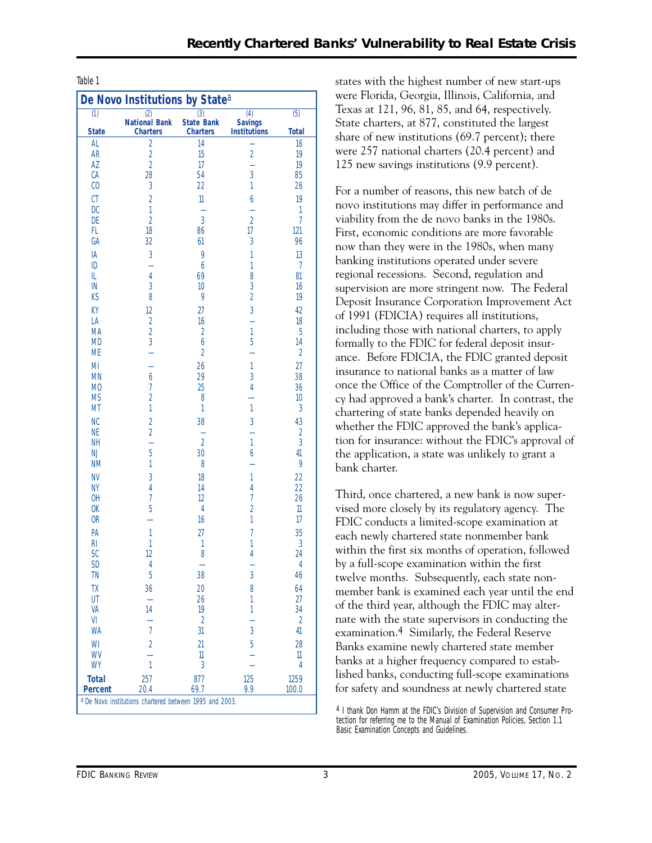|                  | De Novo Institutions by State <sup>a</sup>              |                                      |                                       |                                |
|------------------|---------------------------------------------------------|--------------------------------------|---------------------------------------|--------------------------------|
| $\overline{(1)}$ | (2)                                                     | $\overline{(3)}$                     | $\overline{(4)}$                      | $\overline{(5)}$               |
| <b>State</b>     | <b>National Bank</b><br><b>Charters</b>                 | <b>State Bank</b><br><b>Charters</b> | <b>Savings</b><br><b>Institutions</b> | <b>Total</b>                   |
| AL               | $\overline{2}$                                          | 14                                   |                                       | 16                             |
| <b>AR</b>        | $\frac{2}{2}$                                           | 15                                   | $\overline{a}$                        | 19                             |
| AZ               |                                                         | 17                                   |                                       | 19                             |
| <b>CA</b>        | 28                                                      | 54                                   | 3                                     | 85                             |
| $\mathcal{C}0$   | 3                                                       | $\overline{22}$                      | 1                                     | 26                             |
| <b>CT</b>        | $\overline{2}$                                          | $\mathbb{1}$                         | 6                                     | 19                             |
| DC<br>DE         | $\overline{1}$<br>$\overline{2}$                        | L,<br>3                              | $\overline{2}$                        | $\mathbf{1}$<br>$\overline{7}$ |
| FL               | 18                                                      | 86                                   | 17                                    | 121                            |
| GA               | 32                                                      | 61                                   | 3                                     | 96                             |
| IA               | 3                                                       | 9                                    | 1                                     | 13                             |
| ID               | ÷,                                                      | 6                                    | 1                                     | $\overline{7}$                 |
| IL               | $\overline{4}$                                          | 69                                   | 8                                     | 81                             |
| ${\sf IN}$       | 3                                                       | 10                                   | 3                                     | 16                             |
| KS               | 8                                                       | 9                                    | $\overline{a}$                        | 19                             |
| KY               | 12                                                      | $\overline{27}$                      | $\overline{3}$                        | 42                             |
| LA               | $\frac{2}{3}$                                           | 16                                   | L,                                    | 18                             |
| MA<br><b>MD</b>  |                                                         | $\overline{a}$<br>6                  | $\mathbf{1}$<br>5                     | 5<br>14                        |
| <b>ME</b>        |                                                         | $\overline{a}$                       |                                       | $\overline{2}$                 |
| MI               |                                                         | 26                                   | 1                                     | 27                             |
| <b>MN</b>        | 6                                                       | 29                                   | 3                                     | 38                             |
| M <sub>0</sub>   | $\overline{1}$                                          | 25                                   | 4                                     | 36                             |
| <b>MS</b>        | $\overline{2}$                                          | 8                                    |                                       | 10                             |
| MT               | $\overline{1}$                                          | 1                                    | 1                                     | 3                              |
| <b>NC</b>        | $\overline{2}$                                          | 38                                   | 3                                     | 43                             |
| <b>NE</b>        | $\overline{2}$                                          | ÷<br>$\overline{a}$                  |                                       | $\frac{2}{3}$                  |
| NΗ<br>NJ         | $\overline{a}$<br>5                                     | 30                                   | 1<br>6                                | 41                             |
| <b>NM</b>        | 1                                                       | 8                                    |                                       | 9                              |
| <b>NV</b>        | 3                                                       | 18                                   | 1                                     | $\overline{22}$                |
| <b>NY</b>        | $\overline{4}$                                          | 14                                   | $\overline{4}$                        | $\overline{22}$                |
| OH               | $\overline{1}$                                          | 12                                   | $\overline{1}$                        | 26                             |
| 0K               | 5                                                       | 4                                    | $\overline{2}$                        | $\mathsf{l} \mathsf{l}$        |
| 0 <sub>R</sub>   |                                                         | 16                                   | 1                                     | 17                             |
| PA               | 1                                                       | $\overline{27}$                      | 7                                     | 35                             |
| RI<br><b>SC</b>  | 1<br>12                                                 | 1<br>8                               | 1<br>4                                | 3<br>24                        |
| <b>SD</b>        | $\overline{4}$                                          | -                                    |                                       | $\overline{4}$                 |
| ΤN               | 5                                                       | 38                                   | 3                                     | 46                             |
| TΧ               | 36                                                      | 20                                   | 8                                     | 64                             |
| UT               | Ξ.                                                      | 26                                   | 1                                     | 27                             |
| VA               | 14                                                      | 19                                   | 1                                     | 34                             |
| VI               |                                                         | $\overline{2}$                       |                                       | $\overline{2}$                 |
| WA               | $\overline{1}$                                          | 31                                   | 3                                     | 41                             |
| WI               | $\overline{2}$                                          | $\overline{21}$                      | 5                                     | 28                             |
| WV<br>WY         | $\mathbf{1}$                                            | 11<br>3                              |                                       | 11<br>$\overline{4}$           |
| <b>Total</b>     | 257                                                     | 877                                  | 125                                   | 1259                           |
| <b>Percent</b>   | 20.4                                                    | 69.7                                 | 9.9                                   | 100.0                          |
|                  | a De Novo institutions chartered between 1995 and 2003. |                                      |                                       |                                |

Table 1 and 1 states with the highest number of new start-ups were Florida, Georgia, Illinois, California, and Texas at 121, 96, 81, 85, and 64, respectively. State charters, at 877, constituted the largest share of new institutions (69.7 percent); there were 257 national charters (20.4 percent) and 125 new savings institutions (9.9 percent).

> For a number of reasons, this new batch of de novo institutions may differ in performance and viability from the de novo banks in the 1980s. First, economic conditions are more favorable now than they were in the 1980s, when many banking institutions operated under severe regional recessions. Second, regulation and supervision are more stringent now. The Federal Deposit Insurance Corporation Improvement Act of 1991 (FDICIA) requires all institutions, including those with national charters, to apply formally to the FDIC for federal deposit insurance. Before FDICIA, the FDIC granted deposit insurance to national banks as a matter of law once the Office of the Comptroller of the Currency had approved a bank's charter. In contrast, the chartering of state banks depended heavily on whether the FDIC approved the bank's application for insurance: without the FDIC's approval of the application, a state was unlikely to grant a bank charter.

> Third, once chartered, a new bank is now supervised more closely by its regulatory agency. The FDIC conducts a limited-scope examination at each newly chartered state nonmember bank within the first six months of operation, followed by a full-scope examination within the first twelve months. Subsequently, each state nonmember bank is examined each year until the end of the third year, although the FDIC may alternate with the state supervisors in conducting the examination.4 Similarly, the Federal Reserve Banks examine newly chartered state member banks at a higher frequency compared to established banks, conducting full-scope examinations for safety and soundness at newly chartered state

<sup>4</sup> I thank Don Hamm at the FDIC's Division of Supervision and Consumer Protection for referring me to the Manual of Examination Policies, Section 1.1 Basic Examination Concepts and Guidelines.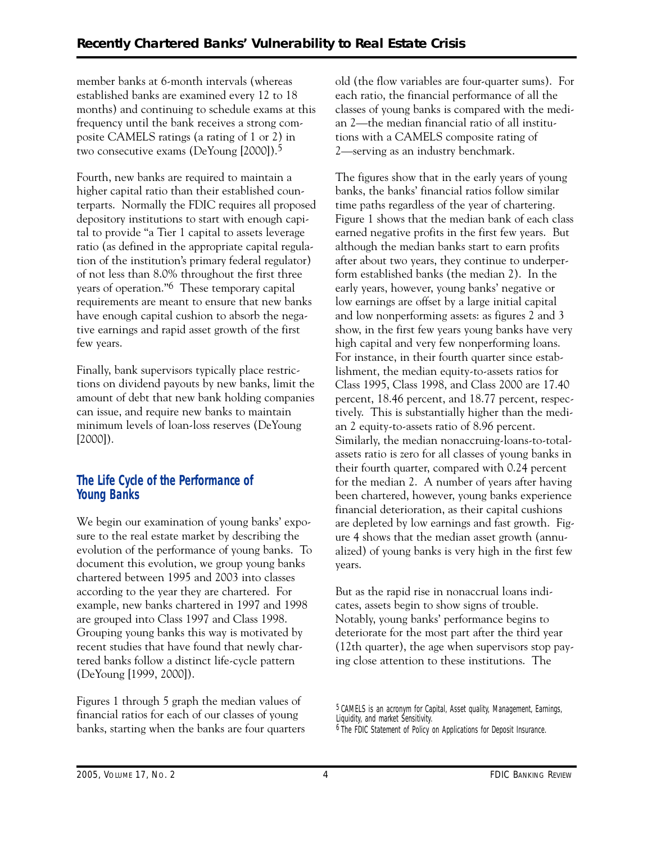member banks at 6-month intervals (whereas established banks are examined every 12 to 18 months) and continuing to schedule exams at this frequency until the bank receives a strong composite CAMELS ratings (a rating of 1 or 2) in two consecutive exams (DeYoung [2000]).5

Fourth, new banks are required to maintain a higher capital ratio than their established counterparts. Normally the FDIC requires all proposed depository institutions to start with enough capital to provide "a Tier 1 capital to assets leverage ratio (as defined in the appropriate capital regulation of the institution's primary federal regulator) of not less than 8.0% throughout the first three years of operation."6 These temporary capital requirements are meant to ensure that new banks have enough capital cushion to absorb the negative earnings and rapid asset growth of the first few years.

Finally, bank supervisors typically place restrictions on dividend payouts by new banks, limit the amount of debt that new bank holding companies can issue, and require new banks to maintain minimum levels of loan-loss reserves (DeYoung [2000]).

### **The Life Cycle of the Performance of Young Banks**

We begin our examination of young banks' exposure to the real estate market by describing the evolution of the performance of young banks. To document this evolution, we group young banks chartered between 1995 and 2003 into classes according to the year they are chartered. For example, new banks chartered in 1997 and 1998 are grouped into Class 1997 and Class 1998. Grouping young banks this way is motivated by recent studies that have found that newly chartered banks follow a distinct life-cycle pattern (DeYoung [1999, 2000]).

Figures 1 through 5 graph the median values of financial ratios for each of our classes of young banks, starting when the banks are four quarters old (the flow variables are four-quarter sums). For each ratio, the financial performance of all the classes of young banks is compared with the median 2—the median financial ratio of all institutions with a CAMELS composite rating of 2—serving as an industry benchmark.

 for the median 2. A number of years after having The figures show that in the early years of young banks, the banks' financial ratios follow similar time paths regardless of the year of chartering. Figure 1 shows that the median bank of each class earned negative profits in the first few years. But although the median banks start to earn profits after about two years, they continue to underperform established banks (the median 2). In the early years, however, young banks' negative or low earnings are offset by a large initial capital and low nonperforming assets: as figures 2 and 3 show, in the first few years young banks have very high capital and very few nonperforming loans. For instance, in their fourth quarter since establishment, the median equity-to-assets ratios for Class 1995, Class 1998, and Class 2000 are 17.40 percent, 18.46 percent, and 18.77 percent, respectively. This is substantially higher than the median 2 equity-to-assets ratio of 8.96 percent. Similarly, the median nonaccruing-loans-to-totalassets ratio is zero for all classes of young banks in their fourth quarter, compared with 0.24 percent been chartered, however, young banks experience financial deterioration, as their capital cushions are depleted by low earnings and fast growth. Figure 4 shows that the median asset growth (annualized) of young banks is very high in the first few years.

But as the rapid rise in nonaccrual loans indicates, assets begin to show signs of trouble. Notably, young banks' performance begins to deteriorate for the most part after the third year (12th quarter), the age when supervisors stop paying close attention to these institutions. The

<sup>5</sup> CAMELS is an acronym for *C*apital, *A*sset quality, *M*anagement, *E*arnings, *L*iquidity, and market *S*ensitivity. <sup>6</sup> The FDIC Statement of Policy on Applications for Deposit Insurance.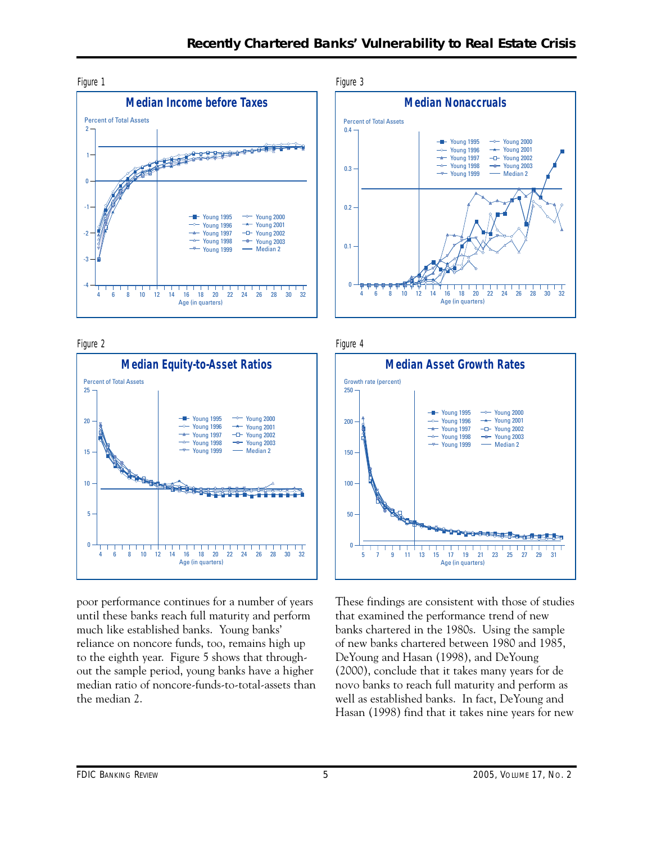





poor performance continues for a number of years until these banks reach full maturity and perform much like established banks. Young banks' reliance on noncore funds, too, remains high up to the eighth year. Figure 5 shows that throughout the sample period, young banks have a higher median ratio of noncore-funds-to-total-assets than the median 2.

Figure 3







These findings are consistent with those of studies that examined the performance trend of new banks chartered in the 1980s. Using the sample of new banks chartered between 1980 and 1985, DeYoung and Hasan (1998), and DeYoung (2000), conclude that it takes many years for de novo banks to reach full maturity and perform as well as established banks. In fact, DeYoung and Hasan (1998) find that it takes nine years for new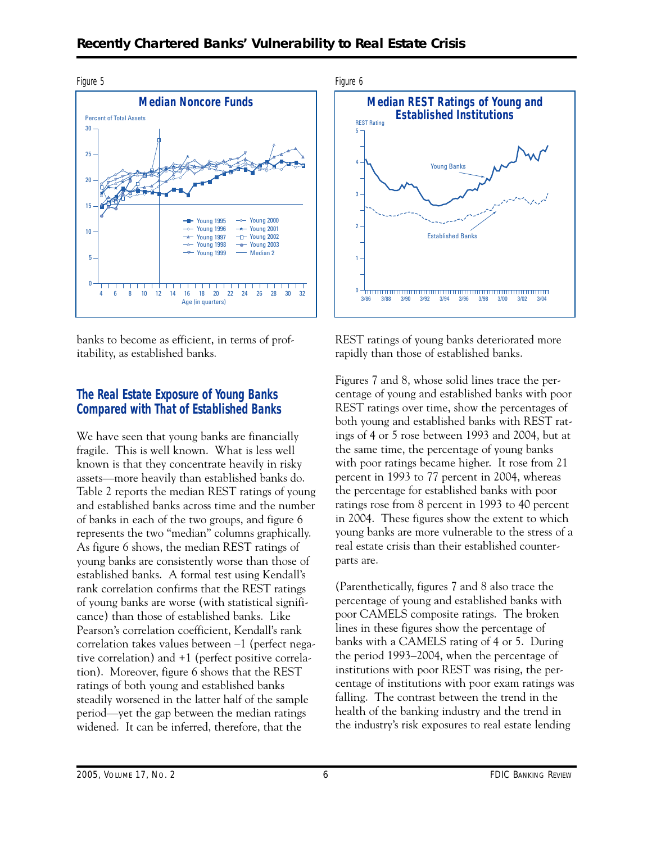

banks to become as efficient, in terms of profitability, as established banks.

#### **The Real Estate Exposure of Young Banks Compared with That of Established Banks**

 established banks. A formal test using Kendall's We have seen that young banks are financially fragile. This is well known. What is less well known is that they concentrate heavily in risky assets—more heavily than established banks do. Table 2 reports the median REST ratings of young and established banks across time and the number of banks in each of the two groups, and figure 6 represents the two "median" columns graphically. As figure 6 shows, the median REST ratings of young banks are consistently worse than those of rank correlation confirms that the REST ratings of young banks are worse (with statistical significance) than those of established banks. Like Pearson's correlation coefficient, Kendall's rank correlation takes values between –1 (perfect negative correlation) and +1 (perfect positive correlation). Moreover, figure 6 shows that the REST ratings of both young and established banks steadily worsened in the latter half of the sample period—yet the gap between the median ratings widened. It can be inferred, therefore, that the



REST ratings of young banks deteriorated more rapidly than those of established banks.

Figures 7 and 8, whose solid lines trace the percentage of young and established banks with poor REST ratings over time, show the percentages of both young and established banks with REST ratings of 4 or 5 rose between 1993 and 2004, but at the same time, the percentage of young banks with poor ratings became higher. It rose from 21 percent in 1993 to 77 percent in 2004, whereas the percentage for established banks with poor ratings rose from 8 percent in 1993 to 40 percent in 2004. These figures show the extent to which young banks are more vulnerable to the stress of a real estate crisis than their established counterparts are.

(Parenthetically, figures 7 and 8 also trace the percentage of young and established banks with poor CAMELS composite ratings. The broken lines in these figures show the percentage of banks with a CAMELS rating of 4 or 5. During the period 1993–2004, when the percentage of institutions with poor REST was rising, the percentage of institutions with poor exam ratings was falling. The contrast between the trend in the health of the banking industry and the trend in the industry's risk exposures to real estate lending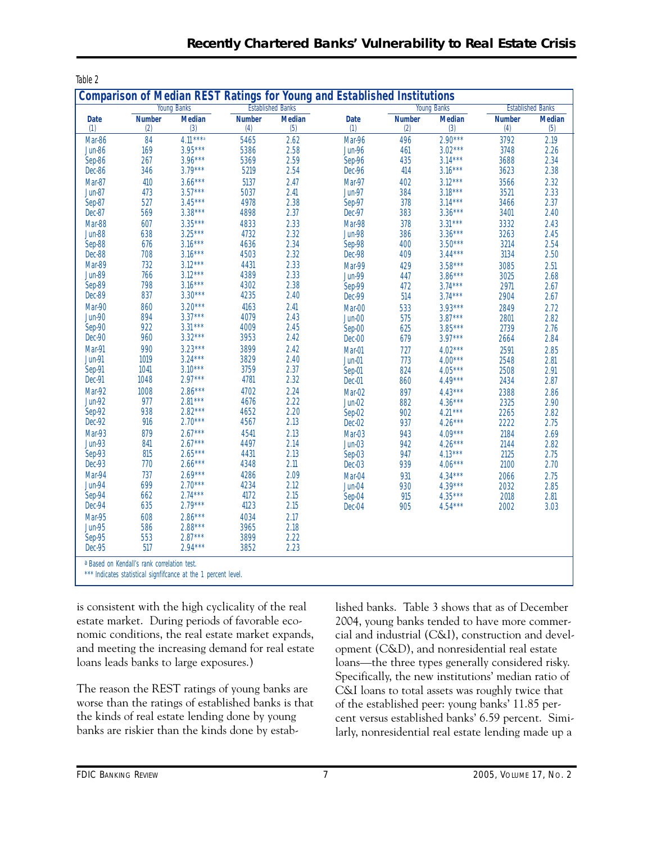| <b>Young Banks</b> |               | <b>Comparison of Median REST Ratings for Young and Established Institutions</b><br><b>Established Banks</b> |               |               |               | <b>Young Banks</b> | <b>Established Banks</b> |               |               |
|--------------------|---------------|-------------------------------------------------------------------------------------------------------------|---------------|---------------|---------------|--------------------|--------------------------|---------------|---------------|
| <b>Date</b>        | <b>Number</b> | <b>Median</b>                                                                                               | <b>Number</b> | <b>Median</b> | <b>Date</b>   | <b>Number</b>      | <b>Median</b>            | <b>Number</b> | <b>Median</b> |
| (1)                | (2)           | (3)                                                                                                         | (4)           | (5)           | (1)           | (2)                | (3)                      | (4)           | (5)           |
| Mar-86             | 84            | $4.11***a$                                                                                                  | 5465          | 2.62          | Mar-96        | 496                | $2.90***$                | 3792          | 2.19          |
| <b>Jun-86</b>      | 169           | $3.95***$                                                                                                   | 5386          | 2.58          | <b>Jun-96</b> | 461                | $3.02***$                | 3748          | 2.26          |
| Sep-86             | 267           | $3.96***$                                                                                                   | 5369          | 2.59          | Sep-96        | 435                | $3.14***$                | 3688          | 2.34          |
| Dec-86             | 346           | $3.79***$                                                                                                   | 5219          | 2.54          | Dec-96        | 414                | $3.16***$                | 3623          | 2.38          |
| Mar-87             | 410           | $3.66***$                                                                                                   | 5137          | 2.47          | Mar-97        | 402                | $3.12***$                | 3566          | 2.32          |
| <b>Jun-87</b>      | 473           | $3.57***$                                                                                                   | 5037          | 2.41          | <b>Jun-97</b> | 384                | $3.18***$                | 3521          | 2.33          |
| Sep-87             | 527           | $3.45***$                                                                                                   | 4978          | 2.38          | Sep-97        | 378                | $3.14***$                | 3466          | 2.37          |
| Dec-87             | 569           | $3.38***$                                                                                                   | 4898          | 2.37          | Dec-97        | 383                | $3.36***$                | 3401          | 2.40          |
| Mar-88             | 607           | $3.35***$                                                                                                   | 4833          | 2.33          | Mar-98        | 378                | $3.31***$                | 3332          | 2.43          |
| <b>Jun-88</b>      | 638           | $3.25***$                                                                                                   | 4732          | 2.32          | <b>Jun-98</b> | 386                | $3.36***$                | 3263          | 2.45          |
| Sep-88             | 676           | $3.16***$                                                                                                   | 4636          | 2.34          | Sep-98        | 400                | $3.50***$                | 3214          | 2.54          |
| Dec-88             | 708           | $3.16***$                                                                                                   | 4503          | 2.32          | Dec-98        | 409                | $3.44***$                | 3134          | 2.50          |
| Mar-89             | 732           | $3.12***$                                                                                                   | 4431          | 2.33          | Mar-99        | 429                | $3.58***$                | 3085          | 2.51          |
| <b>Jun-89</b>      | 766           | $3.12***$                                                                                                   | 4389          | 2.33          | <b>Jun-99</b> | 447                | $3.86***$                | 3025          | 2.68          |
| Sep-89             | 798           | $3.16***$                                                                                                   | 4302          | 2.38          | Sep-99        | 472                | $3.74***$                | 2971          | 2.67          |
| Dec-89             | 837           | $3.30***$                                                                                                   | 4235          | 2.40          | <b>Dec-99</b> | 514                | $3.74***$                | 2904          | 2.67          |
| Mar-90             | 860           | $3.20***$                                                                                                   | 4163          | 2.41          | Mar-00        | 533                | $3.93***$                | 2849          | 2.72          |
| <b>Jun-90</b>      | 894           | $3.37***$                                                                                                   | 4079          | 2.43          | Jun-00        | 575                | $3.87***$                | 2801          | 2.82          |
| Sep-90             | 922           | $3.31***$                                                                                                   | 4009          | 2.45          | Sep-00        | 625                | $3.85***$                | 2739          | 2.76          |
| Dec-90             | 960           | $3.32***$                                                                                                   | 3953          | 2.42          | Dec-00        | 679                | $3.97***$                | 2664          | 2.84          |
| Mar-91             | 990           | $3.23***$                                                                                                   | 3899          | 2.42          | Mar-01        | 727                | $4.02***$                | 2591          | 2.85          |
| <b>Jun-91</b>      | 1019          | $3.24***$                                                                                                   | 3829          | 2.40          | <b>Jun-01</b> | 773                | $4.00***$                | 2548          | 2.81          |
| Sep-91             | 1041          | $3.10***$                                                                                                   | 3759          | 2.37          | Sep-01        | 824                | $4.05***$                | 2508          | 2.91          |
| Dec-91             | 1048          | $2.97***$                                                                                                   | 4781          | 2.32          | Dec-01        | 860                | $4.49***$                | 2434          | 2.87          |
| Mar-92             | 1008          | $2.86***$                                                                                                   | 4702          | 2.24          | Mar-02        | 897                | $4.43***$                | 2388          | 2.86          |
| <b>Jun-92</b>      | 977           | $2.81***$                                                                                                   | 4676          | 2.22          | $Jun-02$      | 882                | $4.36***$                | 2325          | 2.90          |
| Sep-92             | 938           | $2.82***$                                                                                                   | 4652          | 2.20          | Sep-02        | 902                | $4.21***$                | 2265          | 2.82          |
| Dec-92             | 916           | $2.70***$                                                                                                   | 4567          | 2.13          | Dec-02        | 937                | $4.26***$                | 2222          | 2.75          |
| Mar-93             | 879           | $2.67***$                                                                                                   | 4541          | 2.13          | Mar-03        | 943                | $4.09***$                | 2184          | 2.69          |
| <b>Jun-93</b>      | 841           | $2.67***$                                                                                                   | 4497          | 2.14          | $Jun-03$      | 942                | $4.26***$                | 2144          | 2.82          |
| Sep-93             | 815           | $2.65***$                                                                                                   | 4431          | 2.13          | Sep-03        | 947                | $4.13***$                | 2125          | 2.75          |
| Dec-93             | 770           | $2.66***$                                                                                                   | 4348          | 2.11          | Dec-03        | 939                | $4.06***$                | 2100          | 2.70          |
| Mar-94             | 737           | $2.69***$                                                                                                   | 4286          | 2.09          | Mar-04        | 931                | $4.34***$                | 2066          | 2.75          |
| <b>Jun-94</b>      | 699           | $2.70***$                                                                                                   | 4234          | 2.12          | Jun-04        | 930                | $4.39***$                | 2032          | 2.85          |
| Sep-94             | 662           | $2.74***$                                                                                                   | 4172          | 2.15          | Sep-04        | 915                | $4.35***$                | 2018          | 2.81          |
| Dec-94             | 635           | $2.79***$                                                                                                   | 4123          | 2.15          | Dec-04        | 905                | $4.54***$                | 2002          | 3.03          |
| <b>Mar-95</b>      | 608           | $2.86***$                                                                                                   | 4034          | 2.17          |               |                    |                          |               |               |
| <b>Jun-95</b>      | 586           | $2.88***$                                                                                                   | 3965          | 2.18          |               |                    |                          |               |               |
| Sep-95             | 553           | $2.87***$                                                                                                   | 3899          | 2.22          |               |                    |                          |               |               |
| <b>Dec-95</b>      | 517           | $2.94***$                                                                                                   | 3852          | 2.23          |               |                    |                          |               |               |

is consistent with the high cyclicality of the real estate market. During periods of favorable economic conditions, the real estate market expands, and meeting the increasing demand for real estate loans leads banks to large exposures.)

The reason the REST ratings of young banks are worse than the ratings of established banks is that the kinds of real estate lending done by young banks are riskier than the kinds done by established banks. Table 3 shows that as of December 2004, young banks tended to have more commercial and industrial (C&I), construction and development (C&D), and nonresidential real estate loans—the three types generally considered risky. Specifically, the new institutions' median ratio of C&I loans to total assets was roughly twice that of the established peer: young banks' 11.85 percent versus established banks' 6.59 percent. Similarly, nonresidential real estate lending made up a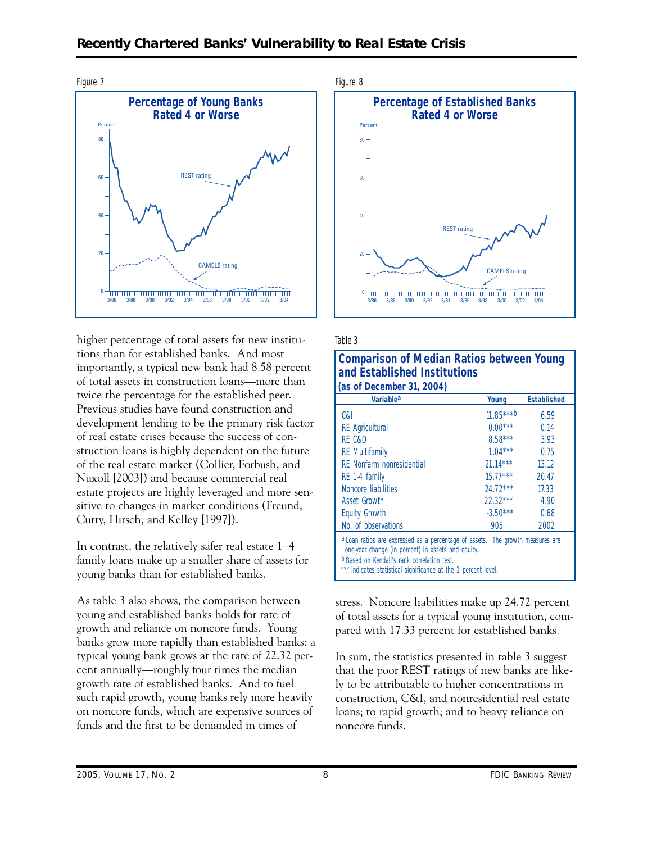#### **Recently Chartered Banks' Vulnerability to Real Estate Crisis**



higher percentage of total assets for new institutions than for established banks. And most importantly, a typical new bank had 8.58 percent of total assets in construction loans—more than twice the percentage for the established peer. Previous studies have found construction and development lending to be the primary risk factor of real estate crises because the success of construction loans is highly dependent on the future of the real estate market (Collier, Forbush, and Nuxoll [2003]) and because commercial real estate projects are highly leveraged and more sensitive to changes in market conditions (Freund, Curry, Hirsch, and Kelley [1997]).

In contrast, the relatively safer real estate 1–4 family loans make up a smaller share of assets for young banks than for established banks.

As table 3 also shows, the comparison between young and established banks holds for rate of growth and reliance on noncore funds. Young banks grow more rapidly than established banks: a typical young bank grows at the rate of 22.32 percent annually—roughly four times the median growth rate of established banks. And to fuel such rapid growth, young banks rely more heavily on noncore funds, which are expensive sources of funds and the first to be demanded in times of





#### Table 3

| <b>Comparison of Median Ratios between Young</b><br>and Established Institutions                                                                                                                                                                             |             |                    |  |  |
|--------------------------------------------------------------------------------------------------------------------------------------------------------------------------------------------------------------------------------------------------------------|-------------|--------------------|--|--|
| (as of December 31, 2004)                                                                                                                                                                                                                                    |             |                    |  |  |
| Variablea                                                                                                                                                                                                                                                    | Young       | <b>Established</b> |  |  |
| C&I                                                                                                                                                                                                                                                          | $11.85***b$ | 6.59               |  |  |
| <b>RE</b> Agricultural                                                                                                                                                                                                                                       | $0.00***$   | 0.14               |  |  |
| RF C&D                                                                                                                                                                                                                                                       | $8.58***$   | 3.93               |  |  |
| <b>RE</b> Multifamily                                                                                                                                                                                                                                        | $1.04***$   | 0.75               |  |  |
| RF Nonfarm nonresidential                                                                                                                                                                                                                                    | $21.14***$  | 13.12              |  |  |
| RE 1-4 family                                                                                                                                                                                                                                                | $15.77***$  | 20.47              |  |  |
| Noncore liabilities                                                                                                                                                                                                                                          | $24.72***$  | 17.33              |  |  |
| <b>Asset Growth</b>                                                                                                                                                                                                                                          | $22.32***$  | 4.90               |  |  |
| <b>Equity Growth</b>                                                                                                                                                                                                                                         | $-3.50***$  | 0.68               |  |  |
| No. of observations                                                                                                                                                                                                                                          | 905         | 2002               |  |  |
| a Loan ratios are expressed as a percentage of assets. The growth measures are<br>one-year change (in percent) in assets and equity.<br><b>b</b> Based on Kendall's rank correlation test.<br>*** Indicates statistical significance at the 1 percent level. |             |                    |  |  |

stress. Noncore liabilities make up 24.72 percent of total assets for a typical young institution, compared with 17.33 percent for established banks.

In sum, the statistics presented in table 3 suggest that the poor REST ratings of new banks are likely to be attributable to higher concentrations in construction, C&I, and nonresidential real estate loans; to rapid growth; and to heavy reliance on noncore funds.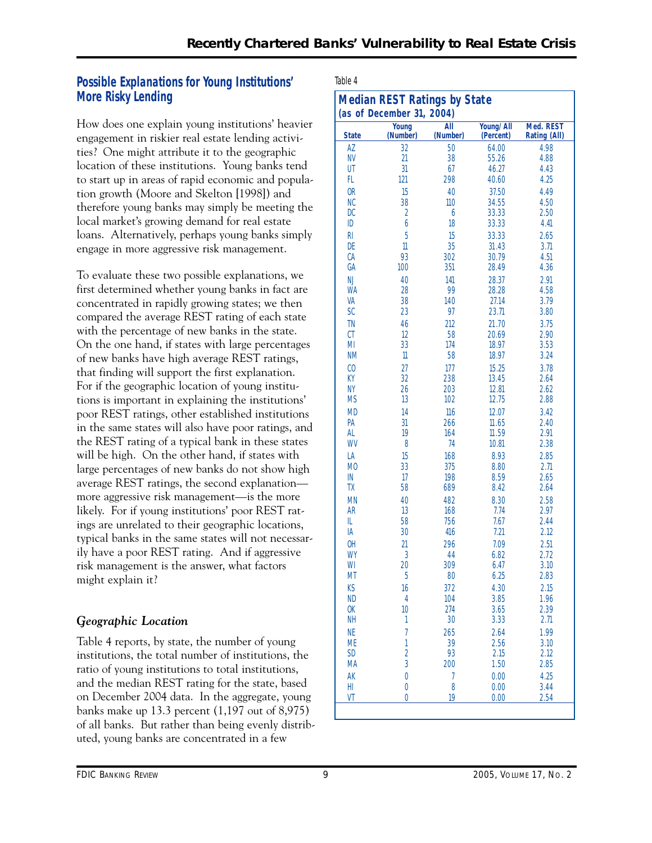### **Possible Explanations for Young Institutions' More Risky Lending**

How does one explain young institutions' heavier engagement in riskier real estate lending activities? One might attribute it to the geographic location of these institutions. Young banks tend to start up in areas of rapid economic and population growth (Moore and Skelton [1998]) and therefore young banks may simply be meeting the local market's growing demand for real estate loans. Alternatively, perhaps young banks simply engage in more aggressive risk management.

 likely. For if young institutions' poor REST rat-To evaluate these two possible explanations, we first determined whether young banks in fact are concentrated in rapidly growing states; we then compared the average REST rating of each state with the percentage of new banks in the state. On the one hand, if states with large percentages of new banks have high average REST ratings, that finding will support the first explanation. For if the geographic location of young institutions is important in explaining the institutions' poor REST ratings, other established institutions in the same states will also have poor ratings, and the REST rating of a typical bank in these states will be high. On the other hand, if states with large percentages of new banks do not show high average REST ratings, the second explanation more aggressive risk management—is the more ings are unrelated to their geographic locations, typical banks in the same states will not necessarily have a poor REST rating. And if aggressive risk management is the answer, what factors might explain it?

## *Geographic Location*

Table 4 reports, by state, the number of young institutions, the total number of institutions, the ratio of young institutions to total institutions, and the median REST rating for the state, based on December 2004 data. In the aggregate, young banks make up 13.3 percent (1,197 out of 8,975) of all banks. But rather than being evenly distributed, young banks are concentrated in a few

| r |  |  |
|---|--|--|
|---|--|--|

| <b>Median REST Ratings by State</b><br>(as of December 31, 2004) |                   |                 |                        |                                  |  |
|------------------------------------------------------------------|-------------------|-----------------|------------------------|----------------------------------|--|
| <b>State</b>                                                     | Young<br>(Number) | All<br>(Number) | Young/All<br>(Percent) | Med. REST<br><b>Rating (All)</b> |  |
| AZ                                                               | 32                | 50              | 64.00                  | 4.98                             |  |
| <b>NV</b>                                                        | 21                | 38              | 55.26                  | 4.88                             |  |
| UT                                                               | 31                | 67              | 46.27                  | 4.43                             |  |
| FL                                                               | 121               | 298             | 40.60                  | 4.25                             |  |
| 0 <sub>R</sub>                                                   | 15                | 40              | 37.50                  | 4.49                             |  |
| <b>NC</b>                                                        | 38                | 110             | 34.55                  | 4.50                             |  |
| <b>DC</b>                                                        | $\overline{2}$    | 6               | 33.33                  | 2.50                             |  |
| ID                                                               | 6                 | 18              | 33.33                  | 4.41                             |  |
| R <sub>l</sub>                                                   | 5                 | 15              | 33.33                  | 2.65                             |  |
| DE<br>СA                                                         | 11<br>93          | 35<br>302       | 31.43<br>30.79         | 3.71<br>4.51                     |  |
| GA                                                               | 100               | 351             | 28.49                  | 4.36                             |  |
| <b>NJ</b>                                                        | 40                | 141             | 28.37                  | 2.91                             |  |
| <b>WA</b>                                                        | 28                | 99              | 28.28                  | 4.58                             |  |
| VA                                                               | 38                | 140             | 27.14                  | 3.79                             |  |
| SC                                                               | 23                | 97              | 23.71                  | 3.80                             |  |
| <b>TN</b>                                                        | 46                | 212             | 21.70                  | 3.75                             |  |
| CT                                                               | 12                | 58              | 20.69                  | 2.90                             |  |
| MI                                                               | 33                | 174             | 18.97                  | 3.53                             |  |
| <b>NM</b>                                                        | $\mathbb{1}$      | 58              | 18.97                  | 3.24                             |  |
| CO                                                               | 27                | 177             | 15.25                  | 3.78                             |  |
| KY                                                               | 32                | 238             | 13.45                  | 2.64                             |  |
| <b>NY</b>                                                        | 26                | 203             | 12.81                  | 2.62                             |  |
| <b>MS</b>                                                        | 13                | 102             | 12.75                  | 2.88                             |  |
| <b>MD</b>                                                        | 14                | 116             | 12.07                  | 3.42                             |  |
| PA                                                               | 31                | 266             | 11.65                  | 2.40                             |  |
| AL                                                               | 19                | 164             | 11.59                  | 2.91                             |  |
| WV                                                               | 8                 | 74              | 10.81                  | 2.38                             |  |
| LA                                                               | 15                | 168             | 8.93                   | 2.85                             |  |
| M <sub>0</sub>                                                   | 33                | 375             | 8.80                   | 2.71                             |  |
| IN                                                               | 17                | 198             | 8.59                   | 2.65                             |  |
| TΧ                                                               | 58                | 689             | 8.42                   | 2.64                             |  |
| <b>MN</b>                                                        | 40                | 482             | 8.30                   | 2.58                             |  |
| <b>AR</b>                                                        | 13                | 168             | 7.74                   | 2.97                             |  |
| IL                                                               | 58                | 756             | 7.67                   | 2.44                             |  |
| IA                                                               | 30                | 416             | 7.21                   | 2.12                             |  |
| OH                                                               | 21                | 296             | 7.09                   | 2.51                             |  |
| WY<br>WI                                                         | 3<br>20           | 44<br>309       | 6.82                   | 2.72<br>3.10                     |  |
| МT                                                               | 5                 | 80              | 6.47<br>6.25           | 2.83                             |  |
| KS                                                               | 16                | 372             | 4.30                   | 2.15                             |  |
| <b>ND</b>                                                        | $\overline{4}$    | 104             | 3.85                   | 1.96                             |  |
| 0K                                                               | 10                | 274             | 3.65                   | 2.39                             |  |
| <b>NH</b>                                                        | 1                 | 30              | 3.33                   | 2.71                             |  |
| <b>NE</b>                                                        | $\overline{1}$    | 265             | 2.64                   | 1.99                             |  |
| <b>ME</b>                                                        | $\mathbf{1}$      | 39              | 2.56                   | 3.10                             |  |
| <b>SD</b>                                                        | $\overline{2}$    | 93              | 2.15                   | 2.12                             |  |
| MA                                                               | 3                 | 200             | 1.50                   | 2.85                             |  |
| AK                                                               | $\overline{0}$    | 7               | 0.00                   | 4.25                             |  |
| HI                                                               | $\overline{0}$    | 8               | 0.00                   | 3.44                             |  |
| VT                                                               | $\overline{0}$    | 19              | 0.00                   | 2.54                             |  |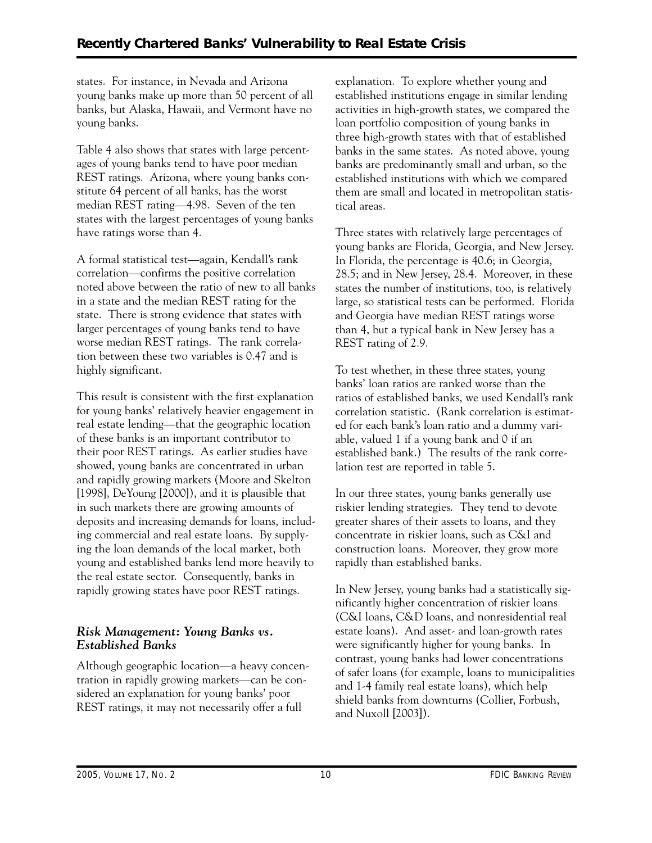states. For instance, in Nevada and Arizona young banks make up more than 50 percent of all banks, but Alaska, Hawaii, and Vermont have no young banks.

Table 4 also shows that states with large percentages of young banks tend to have poor median REST ratings. Arizona, where young banks constitute 64 percent of all banks, has the worst median REST rating—4.98. Seven of the ten states with the largest percentages of young banks have ratings worse than 4.

A formal statistical test—again, Kendall's rank correlation—confirms the positive correlation noted above between the ratio of new to all banks in a state and the median REST rating for the state. There is strong evidence that states with larger percentages of young banks tend to have worse median REST ratings. The rank correlation between these two variables is 0.47 and is highly significant.

This result is consistent with the first explanation for young banks' relatively heavier engagement in real estate lending—that the geographic location of these banks is an important contributor to their poor REST ratings. As earlier studies have showed, young banks are concentrated in urban and rapidly growing markets (Moore and Skelton [1998], DeYoung [2000]), and it is plausible that in such markets there are growing amounts of deposits and increasing demands for loans, including commercial and real estate loans. By supplying the loan demands of the local market, both young and established banks lend more heavily to the real estate sector. Consequently, banks in rapidly growing states have poor REST ratings.

#### *Risk Management: Young Banks vs. Established Banks*

Although geographic location—a heavy concentration in rapidly growing markets—can be considered an explanation for young banks' poor REST ratings, it may not necessarily offer a full

explanation. To explore whether young and established institutions engage in similar lending activities in high-growth states, we compared the loan portfolio composition of young banks in three high-growth states with that of established banks in the same states. As noted above, young banks are predominantly small and urban, so the established institutions with which we compared them are small and located in metropolitan statistical areas.

Three states with relatively large percentages of young banks are Florida, Georgia, and New Jersey. In Florida, the percentage is 40.6; in Georgia, 28.5; and in New Jersey, 28.4. Moreover, in these states the number of institutions, too, is relatively large, so statistical tests can be performed. Florida and Georgia have median REST ratings worse than 4, but a typical bank in New Jersey has a REST rating of 2.9.

To test whether, in these three states, young banks' loan ratios are ranked worse than the ratios of established banks, we used Kendall's rank correlation statistic. (Rank correlation is estimated for each bank's loan ratio and a dummy variable, valued 1 if a young bank and 0 if an established bank.) The results of the rank correlation test are reported in table 5.

In our three states, young banks generally use riskier lending strategies. They tend to devote greater shares of their assets to loans, and they concentrate in riskier loans, such as C&I and construction loans. Moreover, they grow more rapidly than established banks.

In New Jersey, young banks had a statistically significantly higher concentration of riskier loans (C&I loans, C&D loans, and nonresidential real estate loans). And asset- and loan-growth rates were significantly higher for young banks. In contrast, young banks had lower concentrations of safer loans (for example, loans to municipalities and 1-4 family real estate loans), which help shield banks from downturns (Collier, Forbush, and Nuxoll [2003]).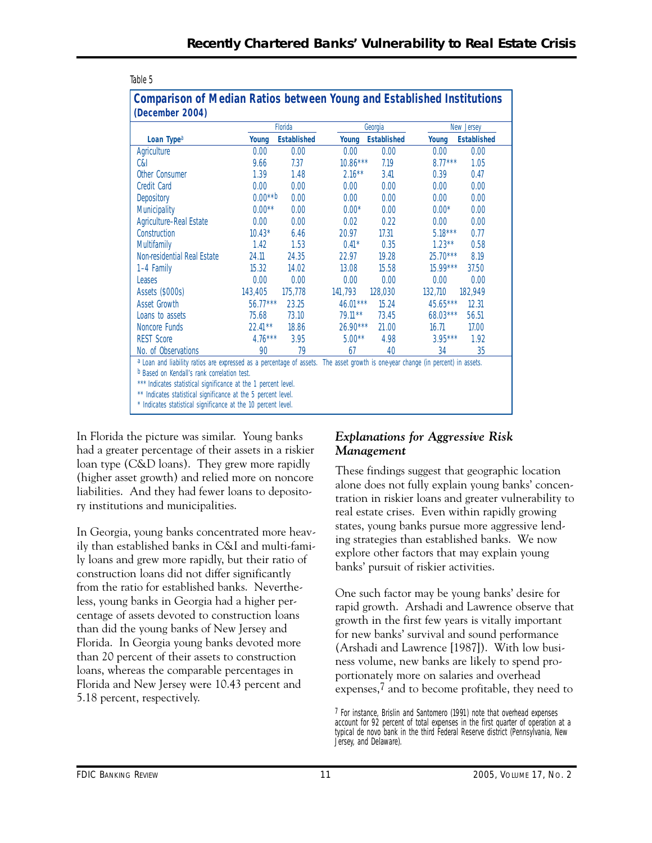|                                                                                                                                                                                                                                                   | Florida    |                    |            | Georgia            |                   | New Jersey         |  |
|---------------------------------------------------------------------------------------------------------------------------------------------------------------------------------------------------------------------------------------------------|------------|--------------------|------------|--------------------|-------------------|--------------------|--|
| Loan Type <sup>a</sup>                                                                                                                                                                                                                            | Young      | <b>Established</b> | Young      | <b>Established</b> | Young             | <b>Established</b> |  |
| Agriculture                                                                                                                                                                                                                                       | 0.00       | 0.00               | 0.00       | 0.00               | 0.00              | 0.00               |  |
| C&I                                                                                                                                                                                                                                               | 9.66       | 7.37               | $10.86***$ | 7.19               | $8.77***$         | 1.05               |  |
| Other Consumer                                                                                                                                                                                                                                    | 1.39       | 1.48               | $2.16***$  | 3.41               | 0.39              | 0.47               |  |
| <b>Credit Card</b>                                                                                                                                                                                                                                | 0.00       | 0.00               | 0.00       | 0.00               | 0.00 <sub>1</sub> | 0.00               |  |
| Depository                                                                                                                                                                                                                                        | $0.00***$  | 0.00               | 0.00       | 0.00               | 0.00              | 0.00               |  |
| Municipality                                                                                                                                                                                                                                      | $0.00**$   | 0.00               | $0.00*$    | 0.00               | $0.00*$           | 0.00               |  |
| Agriculture-Real Estate                                                                                                                                                                                                                           | 0.00       | 0.00               | 0.02       | 0.22               | 0.00              | 0.00               |  |
| Construction                                                                                                                                                                                                                                      | $10.43*$   | 6.46               | 20.97      | 17.31              | $5.18***$         | 0.77               |  |
| <b>Multifamily</b>                                                                                                                                                                                                                                | 1.42       | 1.53               | $0.41*$    | 0.35               | $1.23***$         | 0.58               |  |
| Non-residential Real Estate                                                                                                                                                                                                                       | 24.11      | 24.35              | 22.97      | 19.28              | $25.70***$        | 8.19               |  |
| 1-4 Family                                                                                                                                                                                                                                        | 15.32      | 14.02              | 13.08      | 15.58              | $15.99***$        | 37.50              |  |
| Leases                                                                                                                                                                                                                                            | 0.00       | 0.00               | 0.00       | 0.00               | 0.00              | 0.00               |  |
| Assets (\$000s)                                                                                                                                                                                                                                   | 143,405    | 175,778            | 141,793    | 128,030            | 132,710           | 182,949            |  |
| Asset Growth                                                                                                                                                                                                                                      | $56.77***$ | 23.25              | $46.01***$ | 15.24              | 45.65***          | 12.31              |  |
| Loans to assets                                                                                                                                                                                                                                   | 75.68      | 73.10              | $79.11***$ | 73.45              | $68.03***$        | 56.51              |  |
| Noncore Funds                                                                                                                                                                                                                                     | $22.41***$ | 18.86              | $26.90***$ | 21.00              | 16.71             | 17.00              |  |
| <b>REST Score</b>                                                                                                                                                                                                                                 | $4.76***$  | 3.95               | $5.00**$   | 4.98               | $3.95***$         | 1.92               |  |
| No. of Observations                                                                                                                                                                                                                               | 90         | 79                 | 67         | 40                 | 34                | 35                 |  |
| a Loan and liability ratios are expressed as a percentage of assets. The asset growth is one-year change (in percent) in assets.<br>b Based on Kendall's rank correlation test.<br>*** Indicates statistical significance at the 1 percent level. |            |                    |            |                    |                   |                    |  |

# **Comparison of Median Ratios between Young and Established Institutions**

In Florida the picture was similar. Young banks had a greater percentage of their assets in a riskier loan type (C&D loans). They grew more rapidly (higher asset growth) and relied more on noncore liabilities. And they had fewer loans to depository institutions and municipalities.

Table 5

In Georgia, young banks concentrated more heavily than established banks in C&I and multi-family loans and grew more rapidly, but their ratio of construction loans did not differ significantly from the ratio for established banks. Nevertheless, young banks in Georgia had a higher percentage of assets devoted to construction loans than did the young banks of New Jersey and Florida. In Georgia young banks devoted more than 20 percent of their assets to construction loans, whereas the comparable percentages in Florida and New Jersey were 10.43 percent and 5.18 percent, respectively.

#### *Explanations for Aggressive Risk Management*

These findings suggest that geographic location alone does not fully explain young banks' concentration in riskier loans and greater vulnerability to real estate crises. Even within rapidly growing states, young banks pursue more aggressive lending strategies than established banks. We now explore other factors that may explain young banks' pursuit of riskier activities.

One such factor may be young banks' desire for rapid growth. Arshadi and Lawrence observe that growth in the first few years is vitally important for new banks' survival and sound performance (Arshadi and Lawrence [1987]). With low business volume, new banks are likely to spend proportionately more on salaries and overhead expenses,7 and to become profitable, they need to

<sup>7</sup> For instance, Brislin and Santomero (1991) note that overhead expenses account for 92 percent of total expenses in the first quarter of operation at a typical de novo bank in the third Federal Reserve district (Pennsylvania, New Jersey, and Delaware).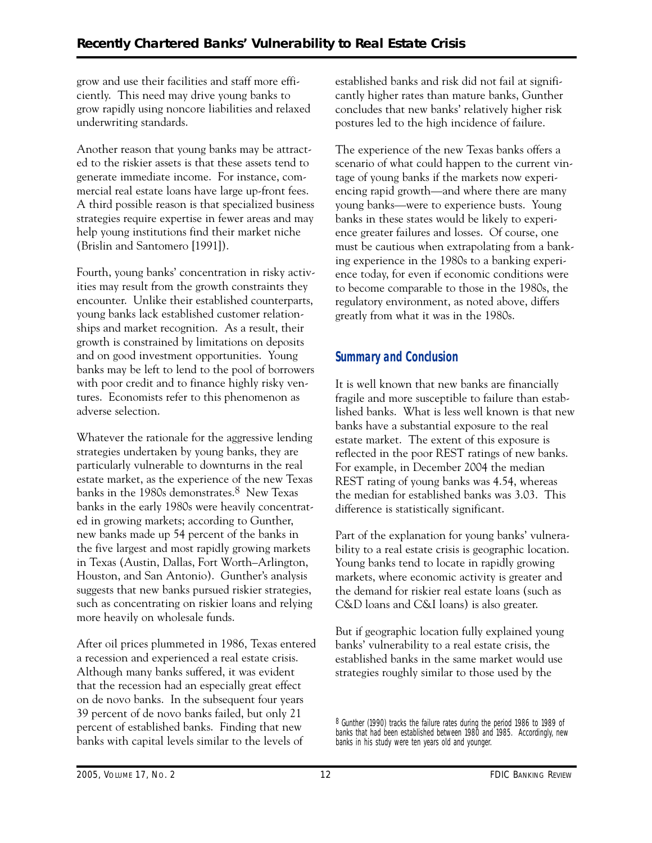grow and use their facilities and staff more efficiently. This need may drive young banks to grow rapidly using noncore liabilities and relaxed underwriting standards.

Another reason that young banks may be attracted to the riskier assets is that these assets tend to generate immediate income. For instance, commercial real estate loans have large up-front fees. A third possible reason is that specialized business strategies require expertise in fewer areas and may help young institutions find their market niche (Brislin and Santomero [1991]).

Fourth, young banks' concentration in risky activities may result from the growth constraints they encounter. Unlike their established counterparts, young banks lack established customer relationships and market recognition. As a result, their growth is constrained by limitations on deposits and on good investment opportunities. Young banks may be left to lend to the pool of borrowers with poor credit and to finance highly risky ventures. Economists refer to this phenomenon as adverse selection.

Whatever the rationale for the aggressive lending strategies undertaken by young banks, they are particularly vulnerable to downturns in the real estate market, as the experience of the new Texas banks in the 1980s demonstrates.<sup>8</sup> New Texas banks in the early 1980s were heavily concentrated in growing markets; according to Gunther, new banks made up 54 percent of the banks in the five largest and most rapidly growing markets in Texas (Austin, Dallas, Fort Worth–Arlington, Houston, and San Antonio). Gunther's analysis suggests that new banks pursued riskier strategies, such as concentrating on riskier loans and relying more heavily on wholesale funds.

After oil prices plummeted in 1986, Texas entered a recession and experienced a real estate crisis. Although many banks suffered, it was evident that the recession had an especially great effect on de novo banks. In the subsequent four years 39 percent of de novo banks failed, but only 21 percent of established banks. Finding that new banks with capital levels similar to the levels of

established banks and risk did not fail at significantly higher rates than mature banks, Gunther concludes that new banks' relatively higher risk postures led to the high incidence of failure.

The experience of the new Texas banks offers a scenario of what could happen to the current vintage of young banks if the markets now experiencing rapid growth—and where there are many young banks—were to experience busts. Young banks in these states would be likely to experience greater failures and losses. Of course, one must be cautious when extrapolating from a banking experience in the 1980s to a banking experience today, for even if economic conditions were to become comparable to those in the 1980s, the regulatory environment, as noted above, differs greatly from what it was in the 1980s.

### **Summary and Conclusion**

It is well known that new banks are financially fragile and more susceptible to failure than established banks. What is less well known is that new banks have a substantial exposure to the real estate market. The extent of this exposure is reflected in the poor REST ratings of new banks. For example, in December 2004 the median REST rating of young banks was 4.54, whereas the median for established banks was 3.03. This difference is statistically significant.

Part of the explanation for young banks' vulnerability to a real estate crisis is geographic location. Young banks tend to locate in rapidly growing markets, where economic activity is greater and the demand for riskier real estate loans (such as C&D loans and C&I loans) is also greater.

But if geographic location fully explained young banks' vulnerability to a real estate crisis, the established banks in the same market would use strategies roughly similar to those used by the

<sup>&</sup>lt;sup>8</sup> Gunther (1990) tracks the failure rates during the period 1986 to 1989 of banks that had been established between 1980 and 1985. Accordingly, new banks in his study were ten years old and younger.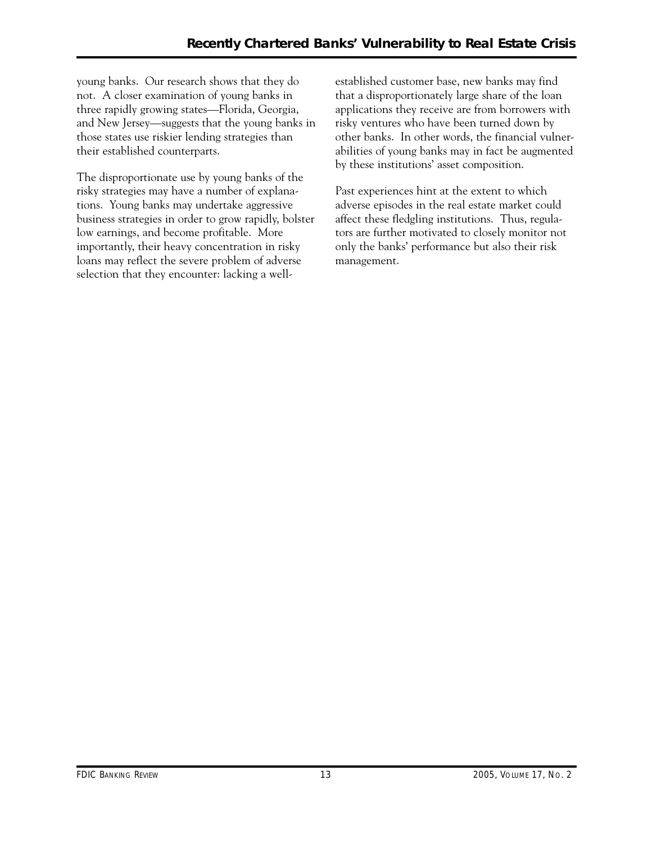not. A closer examination of young banks in young banks. Our research shows that they do three rapidly growing states—Florida, Georgia, and New Jersey—suggests that the young banks in those states use riskier lending strategies than their established counterparts.

The disproportionate use by young banks of the risky strategies may have a number of explanations. Young banks may undertake aggressive business strategies in order to grow rapidly, bolster low earnings, and become profitable. More importantly, their heavy concentration in risky loans may reflect the severe problem of adverse selection that they encounter: lacking a wellestablished customer base, new banks may find that a disproportionately large share of the loan applications they receive are from borrowers with risky ventures who have been turned down by other banks. In other words, the financial vulnerabilities of young banks may in fact be augmented by these institutions' asset composition.

Past experiences hint at the extent to which adverse episodes in the real estate market could affect these fledgling institutions. Thus, regulators are further motivated to closely monitor not only the banks' performance but also their risk management.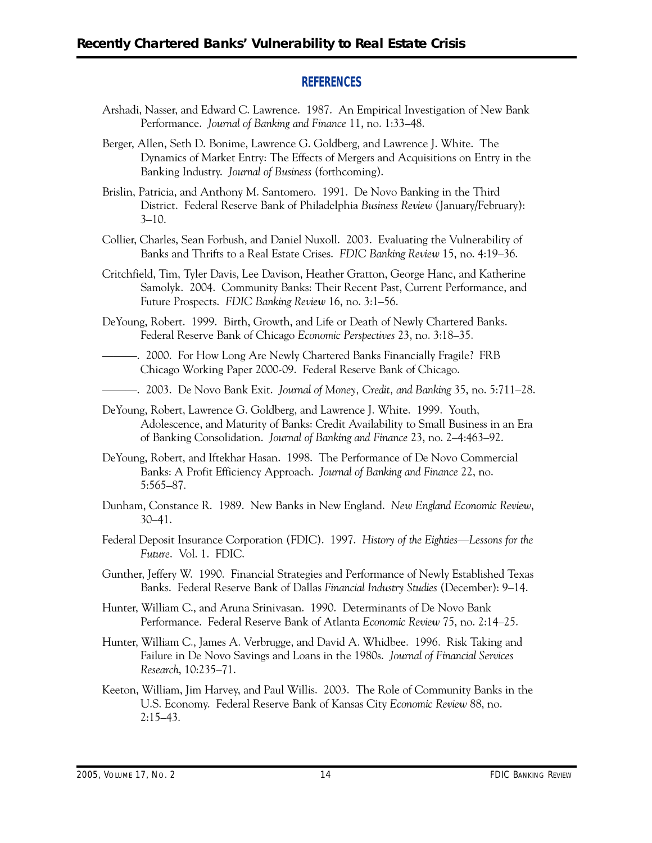#### **REFERENCES**

- Arshadi, Nasser, and Edward C. Lawrence. 1987. An Empirical Investigation of New Bank Performance. *Journal of Banking and Finance* 11, no. 1:33–48.
- Berger, Allen, Seth D. Bonime, Lawrence G. Goldberg, and Lawrence J. White. The Dynamics of Market Entry: The Effects of Mergers and Acquisitions on Entry in the Banking Industry. *Journal of Business* (forthcoming).
- Brislin, Patricia, and Anthony M. Santomero. 1991. De Novo Banking in the Third District. Federal Reserve Bank of Philadelphia *Business Review* (January/February):  $3 - 10$ .
- Collier, Charles, Sean Forbush, and Daniel Nuxoll. 2003. Evaluating the Vulnerability of Banks and Thrifts to a Real Estate Crises. *FDIC Banking Review* 15, no. 4:19–36.
- Samolyk. 2004. Community Banks: Their Recent Past, Current Performance, and Critchfield, Tim, Tyler Davis, Lee Davison, Heather Gratton, George Hanc, and Katherine Future Prospects. *FDIC Banking Review* 16, no. 3:1–56.
- DeYoung, Robert. 1999. Birth, Growth, and Life or Death of Newly Chartered Banks. Federal Reserve Bank of Chicago *Economic Perspectives* 23, no. 3:18–35.
- ———. 2000. For How Long Are Newly Chartered Banks Financially Fragile? FRB Chicago Working Paper 2000-09. Federal Reserve Bank of Chicago.
- ———. 2003. De Novo Bank Exit. *Journal of Money, Credit, and Banking* 35, no. 5:711–28.
- DeYoung, Robert, Lawrence G. Goldberg, and Lawrence J. White. 1999. Youth, Adolescence, and Maturity of Banks: Credit Availability to Small Business in an Era of Banking Consolidation. *Journal of Banking and Finance* 23, no. 2–4:463–92.
- DeYoung, Robert, and Iftekhar Hasan. 1998. The Performance of De Novo Commercial Banks: A Profit Efficiency Approach. *Journal of Banking and Finance* 22, no. 5:565–87.
- Dunham, Constance R. 1989. New Banks in New England. *New England Economic Review*, 30–41.
- Federal Deposit Insurance Corporation (FDIC). 1997. *History of the Eighties—Lessons for the Future*. Vol. 1. FDIC.
- Gunther, Jeffery W. 1990. Financial Strategies and Performance of Newly Established Texas Banks. Federal Reserve Bank of Dallas *Financial Industry Studies* (December): 9–14.
- Hunter, William C., and Aruna Srinivasan. 1990. Determinants of De Novo Bank Performance. Federal Reserve Bank of Atlanta *Economic Review* 75, no. 2:14–25.
- Hunter, William C., James A. Verbrugge, and David A. Whidbee. 1996. Risk Taking and Failure in De Novo Savings and Loans in the 1980s. *Journal of Financial Services Research*, 10:235–71.
- Keeton, William, Jim Harvey, and Paul Willis. 2003. The Role of Community Banks in the U.S. Economy. Federal Reserve Bank of Kansas City *Economic Review* 88, no.  $2:15-43.$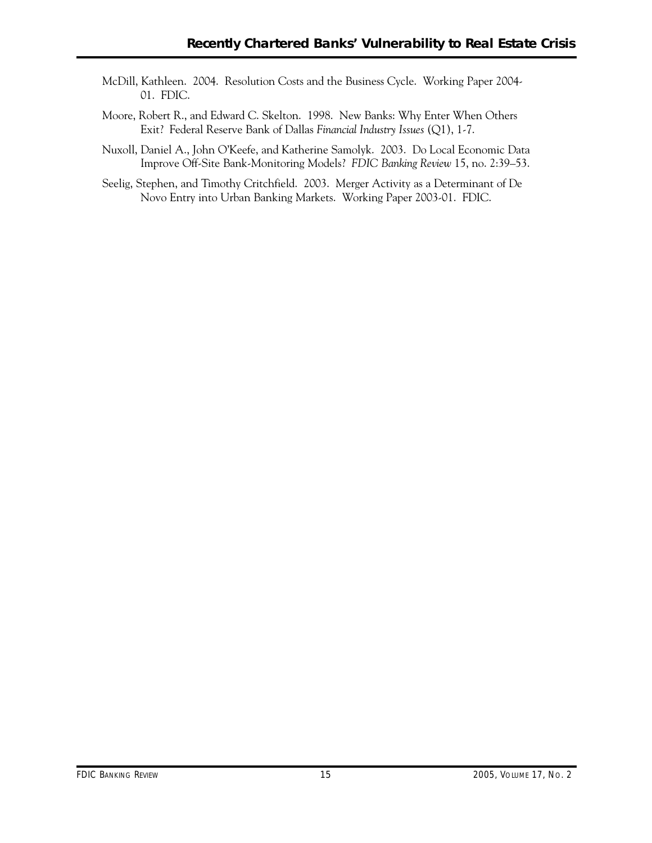- McDill, Kathleen. 2004. Resolution Costs and the Business Cycle. Working Paper 2004 01. FDIC.
- Moore, Robert R., and Edward C. Skelton. 1998. New Banks: Why Enter When Others Exit? Federal Reserve Bank of Dallas *Financial Industry Issues* (Q1), 1-7.
- Nuxoll, Daniel A., John O'Keefe, and Katherine Samolyk. 2003. Do Local Economic Data Improve Off-Site Bank-Monitoring Models? *FDIC Banking Review* 15, no. 2:39–53.
- Seelig, Stephen, and Timothy Critchfield. 2003. Merger Activity as a Determinant of De Novo Entry into Urban Banking Markets. Working Paper 2003-01. FDIC.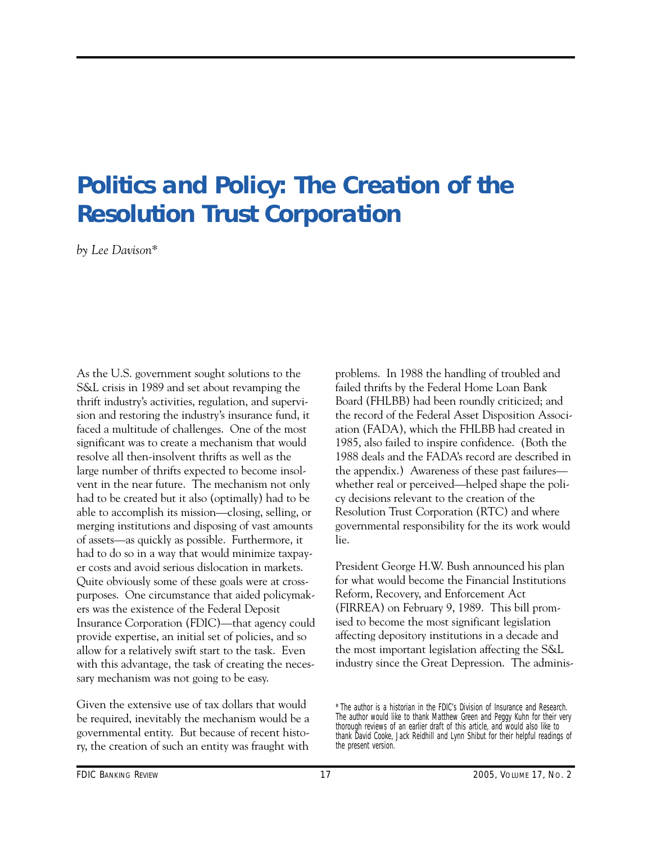# **Politics and Policy: The Creation of the Resolution Trust Corporation**

*by Lee Davison\** 

As the U.S. government sought solutions to the S&L crisis in 1989 and set about revamping the thrift industry's activities, regulation, and supervision and restoring the industry's insurance fund, it faced a multitude of challenges. One of the most significant was to create a mechanism that would resolve all then-insolvent thrifts as well as the large number of thrifts expected to become insolvent in the near future. The mechanism not only had to be created but it also (optimally) had to be able to accomplish its mission—closing, selling, or merging institutions and disposing of vast amounts of assets—as quickly as possible. Furthermore, it had to do so in a way that would minimize taxpayer costs and avoid serious dislocation in markets. Quite obviously some of these goals were at crosspurposes. One circumstance that aided policymakers was the existence of the Federal Deposit Insurance Corporation (FDIC)—that agency could provide expertise, an initial set of policies, and so allow for a relatively swift start to the task. Even with this advantage, the task of creating the necessary mechanism was not going to be easy.

Given the extensive use of tax dollars that would be required, inevitably the mechanism would be a governmental entity. But because of recent history, the creation of such an entity was fraught with problems. In 1988 the handling of troubled and failed thrifts by the Federal Home Loan Bank Board (FHLBB) had been roundly criticized; and the record of the Federal Asset Disposition Association (FADA), which the FHLBB had created in 1985, also failed to inspire confidence. (Both the 1988 deals and the FADA's record are described in the appendix.) Awareness of these past failures whether real or perceived—helped shape the policy decisions relevant to the creation of the Resolution Trust Corporation (RTC) and where governmental responsibility for the its work would lie.

President George H.W. Bush announced his plan for what would become the Financial Institutions Reform, Recovery, and Enforcement Act (FIRREA) on February 9, 1989. This bill promised to become the most significant legislation affecting depository institutions in a decade and the most important legislation affecting the S&L industry since the Great Depression. The adminis

<sup>\*</sup> The author is a historian in the FDIC's Division of Insurance and Research. The author would like to thank Matthew Green and Peggy Kuhn for their very thorough reviews of an earlier draft of this article, and would also like to thank David Cooke, Jack Reidhill and Lynn Shibut for their helpful readings of the present version.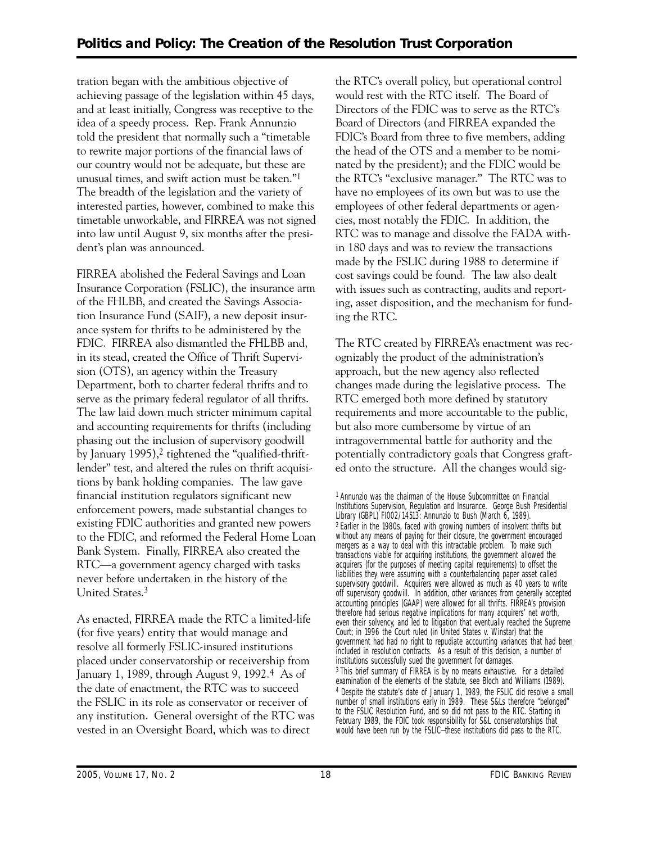tration began with the ambitious objective of achieving passage of the legislation within 45 days, and at least initially, Congress was receptive to the idea of a speedy process. Rep. Frank Annunzio told the president that normally such a "timetable to rewrite major portions of the financial laws of our country would not be adequate, but these are unusual times, and swift action must be taken."1 The breadth of the legislation and the variety of interested parties, however, combined to make this timetable unworkable, and FIRREA was not signed into law until August 9, six months after the president's plan was announced.

FIRREA abolished the Federal Savings and Loan Insurance Corporation (FSLIC), the insurance arm of the FHLBB, and created the Savings Association Insurance Fund (SAIF), a new deposit insurance system for thrifts to be administered by the FDIC. FIRREA also dismantled the FHLBB and, in its stead, created the Office of Thrift Supervision (OTS), an agency within the Treasury Department, both to charter federal thrifts and to serve as the primary federal regulator of all thrifts. The law laid down much stricter minimum capital and accounting requirements for thrifts (including phasing out the inclusion of supervisory goodwill by January 1995),<sup>2</sup> tightened the "qualified-thriftlender" test, and altered the rules on thrift acquisitions by bank holding companies. The law gave financial institution regulators significant new enforcement powers, made substantial changes to existing FDIC authorities and granted new powers to the FDIC, and reformed the Federal Home Loan Bank System. Finally, FIRREA also created the RTC—a government agency charged with tasks never before undertaken in the history of the United States.3

As enacted, FIRREA made the RTC a limited-life (for five years) entity that would manage and resolve all formerly FSLIC-insured institutions placed under conservatorship or receivership from January 1, 1989, through August 9, 1992.4 As of the date of enactment, the RTC was to succeed the FSLIC in its role as conservator or receiver of any institution. General oversight of the RTC was vested in an Oversight Board, which was to direct

the RTC's overall policy, but operational control would rest with the RTC itself. The Board of Directors of the FDIC was to serve as the RTC's Board of Directors (and FIRREA expanded the FDIC's Board from three to five members, adding the head of the OTS and a member to be nominated by the president); and the FDIC would be the RTC's "exclusive manager." The RTC was to have no employees of its own but was to use the employees of other federal departments or agencies, most notably the FDIC. In addition, the RTC was to manage and dissolve the FADA within 180 days and was to review the transactions made by the FSLIC during 1988 to determine if cost savings could be found. The law also dealt with issues such as contracting, audits and reporting, asset disposition, and the mechanism for funding the RTC.

The RTC created by FIRREA's enactment was recognizably the product of the administration's approach, but the new agency also reflected changes made during the legislative process. The RTC emerged both more defined by statutory requirements and more accountable to the public, but also more cumbersome by virtue of an intragovernmental battle for authority and the potentially contradictory goals that Congress grafted onto the structure. All the changes would sig-

 mergers as a way to deal with this intractable problem. To make such 1 Annunzio was the chairman of the House Subcommittee on Financial Institutions Supervision, Regulation and Insurance. George Bush Presidential Library (GBPL) FI002/14513: Annunzio to Bush (March 6, 1989). 2 Earlier in the 1980s, faced with growing numbers of insolvent thrifts but without any means of paying for their closure, the government encouraged transactions viable for acquiring institutions, the government allowed the acquirers (for the purposes of meeting capital requirements) to offset the liabilities they were assuming with a counterbalancing paper asset called supervisory goodwill. Acquirers were allowed as much as 40 years to write off supervisory goodwill. In addition, other variances from generally accepted accounting principles (GAAP) were allowed for all thrifts. FIRREA's provision therefore had serious negative implications for many acquirers' net worth, even their solvency, and led to litigation that eventually reached the Supreme Court; in 1996 the Court ruled (in *United States v. Winstar*) that the government had had no right to repudiate accounting variances that had been included in resolution contracts. As a result of this decision, a number of institutions successfully sued the government for damages. 3 This brief summary of FIRREA is by no means exhaustive. For a detailed examination of the elements of the statute, see Bloch and Williams (1989). 4 Despite the statute's date of January 1, 1989, the FSLIC did resolve a small number of small institutions early in 1989. These S&Ls therefore "belonged" to the FSLIC Resolution Fund, and so did not pass to the RTC. Starting in February 1989, the FDIC took responsibility for S&L conservatorships that would have been run by the FSLIC—these institutions did pass to the RTC.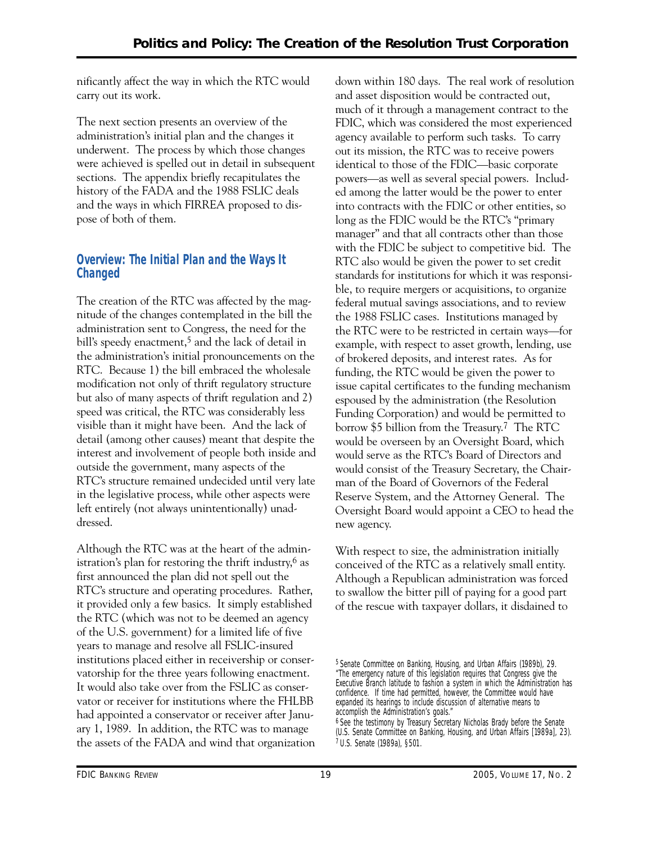nificantly affect the way in which the RTC would carry out its work.

The next section presents an overview of the administration's initial plan and the changes it underwent. The process by which those changes were achieved is spelled out in detail in subsequent sections. The appendix briefly recapitulates the history of the FADA and the 1988 FSLIC deals and the ways in which FIRREA proposed to dispose of both of them.

## **Overview: The Initial Plan and the Ways It Changed**

The creation of the RTC was affected by the magnitude of the changes contemplated in the bill the administration sent to Congress, the need for the bill's speedy enactment,<sup>5</sup> and the lack of detail in the administration's initial pronouncements on the RTC. Because 1) the bill embraced the wholesale modification not only of thrift regulatory structure but also of many aspects of thrift regulation and 2) speed was critical, the RTC was considerably less visible than it might have been. And the lack of detail (among other causes) meant that despite the interest and involvement of people both inside and outside the government, many aspects of the RTC's structure remained undecided until very late in the legislative process, while other aspects were left entirely (not always unintentionally) unaddressed.

Although the RTC was at the heart of the administration's plan for restoring the thrift industry, $6$  as first announced the plan did not spell out the RTC's structure and operating procedures. Rather, it provided only a few basics. It simply established the RTC (which was not to be deemed an agency of the U.S. government) for a limited life of five years to manage and resolve all FSLIC-insured institutions placed either in receivership or conservatorship for the three years following enactment. It would also take over from the FSLIC as conservator or receiver for institutions where the FHLBB had appointed a conservator or receiver after January 1, 1989. In addition, the RTC was to manage the assets of the FADA and wind that organization down within 180 days. The real work of resolution and asset disposition would be contracted out, much of it through a management contract to the FDIC, which was considered the most experienced agency available to perform such tasks. To carry out its mission, the RTC was to receive powers identical to those of the FDIC—basic corporate powers—as well as several special powers. Included among the latter would be the power to enter into contracts with the FDIC or other entities, so long as the FDIC would be the RTC's "primary manager" and that all contracts other than those with the FDIC be subject to competitive bid. The RTC also would be given the power to set credit standards for institutions for which it was responsible, to require mergers or acquisitions, to organize federal mutual savings associations, and to review the 1988 FSLIC cases. Institutions managed by the RTC were to be restricted in certain ways—for example, with respect to asset growth, lending, use of brokered deposits, and interest rates. As for funding, the RTC would be given the power to issue capital certificates to the funding mechanism espoused by the administration (the Resolution Funding Corporation) and would be permitted to borrow \$5 billion from the Treasury.7 The RTC would be overseen by an Oversight Board, which would serve as the RTC's Board of Directors and would consist of the Treasury Secretary, the Chairman of the Board of Governors of the Federal Reserve System, and the Attorney General. The Oversight Board would appoint a CEO to head the new agency.

With respect to size, the administration initially conceived of the RTC as a relatively small entity. Although a Republican administration was forced to swallow the bitter pill of paying for a good part of the rescue with taxpayer dollars, it disdained to

<sup>5</sup> Senate Committee on Banking, Housing, and Urban Affairs (1989b), 29. "The emergency nature of this legislation requires that Congress give the Executive Branch latitude to fashion a system in which the Administration has confidence. If time had permitted, however, the Committee would have expanded its hearings to include discussion of alternative means to accomplish the Administration's goals."

<sup>6</sup> See the testimony by Treasury Secretary Nicholas Brady before the Senate (U.S. Senate Committee on Banking, Housing, and Urban Affairs [1989a], 23). 7 U.S. Senate (1989a), §501.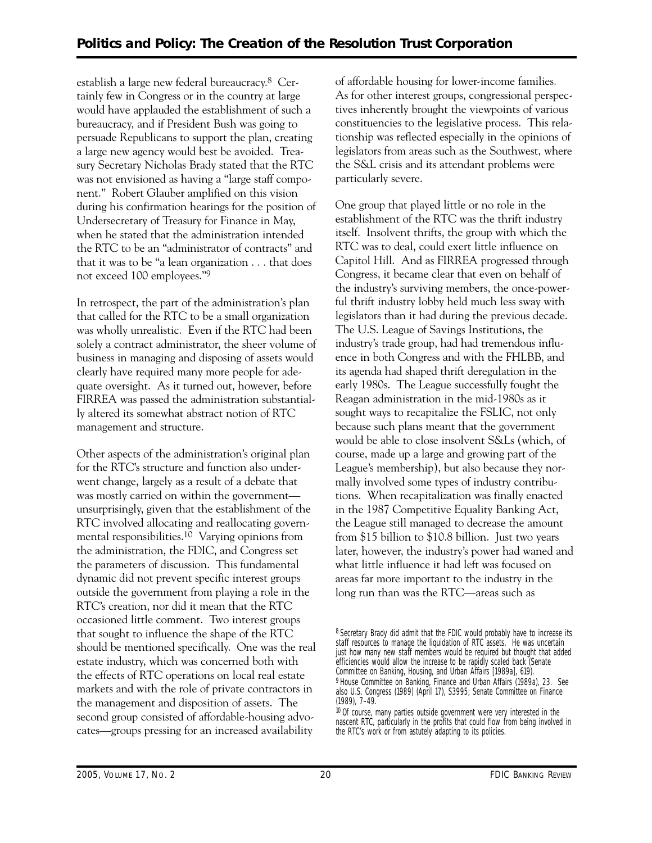establish a large new federal bureaucracy.8 Certainly few in Congress or in the country at large would have applauded the establishment of such a bureaucracy, and if President Bush was going to persuade Republicans to support the plan, creating a large new agency would best be avoided. Treasury Secretary Nicholas Brady stated that the RTC was not envisioned as having a "large staff component." Robert Glauber amplified on this vision during his confirmation hearings for the position of Undersecretary of Treasury for Finance in May, when he stated that the administration intended the RTC to be an "administrator of contracts" and that it was to be "a lean organization . . . that does not exceed 100 employees."9

In retrospect, the part of the administration's plan that called for the RTC to be a small organization was wholly unrealistic. Even if the RTC had been solely a contract administrator, the sheer volume of business in managing and disposing of assets would clearly have required many more people for adequate oversight. As it turned out, however, before FIRREA was passed the administration substantially altered its somewhat abstract notion of RTC management and structure.

Other aspects of the administration's original plan for the RTC's structure and function also underwent change, largely as a result of a debate that was mostly carried on within the government unsurprisingly, given that the establishment of the RTC involved allocating and reallocating governmental responsibilities.10 Varying opinions from the administration, the FDIC, and Congress set the parameters of discussion. This fundamental dynamic did not prevent specific interest groups outside the government from playing a role in the RTC's creation, nor did it mean that the RTC occasioned little comment. Two interest groups that sought to influence the shape of the RTC should be mentioned specifically. One was the real estate industry, which was concerned both with the effects of RTC operations on local real estate markets and with the role of private contractors in the management and disposition of assets. The second group consisted of affordable-housing advocates—groups pressing for an increased availability

of affordable housing for lower-income families. As for other interest groups, congressional perspectives inherently brought the viewpoints of various constituencies to the legislative process. This relationship was reflected especially in the opinions of legislators from areas such as the Southwest, where the S&L crisis and its attendant problems were particularly severe.

One group that played little or no role in the establishment of the RTC was the thrift industry itself. Insolvent thrifts, the group with which the RTC was to deal, could exert little influence on Capitol Hill. And as FIRREA progressed through Congress, it became clear that even on behalf of the industry's surviving members, the once-powerful thrift industry lobby held much less sway with legislators than it had during the previous decade. The U.S. League of Savings Institutions, the industry's trade group, had had tremendous influence in both Congress and with the FHLBB, and its agenda had shaped thrift deregulation in the early 1980s. The League successfully fought the Reagan administration in the mid-1980s as it sought ways to recapitalize the FSLIC, not only because such plans meant that the government would be able to close insolvent S&Ls (which, of course, made up a large and growing part of the League's membership), but also because they normally involved some types of industry contributions. When recapitalization was finally enacted in the 1987 Competitive Equality Banking Act, the League still managed to decrease the amount from \$15 billion to \$10.8 billion. Just two years later, however, the industry's power had waned and what little influence it had left was focused on areas far more important to the industry in the long run than was the RTC—areas such as

<sup>8</sup> Secretary Brady did admit that the FDIC would probably have to increase its staff resources to manage the liquidation of RTC assets. He was uncertain just how many new staff members would be required but thought that added efficiencies would allow the increase to be rapidly scaled back (Senate Committee on Banking, Housing, and Urban Affairs [1989a], 619). 9 House Committee on Banking, Finance and Urban Affairs (1989a), 23. See also U.S. Congress (1989) (April 17), S3995; Senate Committee on Finance (1989), 7–49.

<sup>&</sup>lt;sup>10</sup> Of course, many parties outside government were very interested in the nascent RTC, particularly in the profits that could flow from being involved in the RTC's work or from astutely adapting to its policies.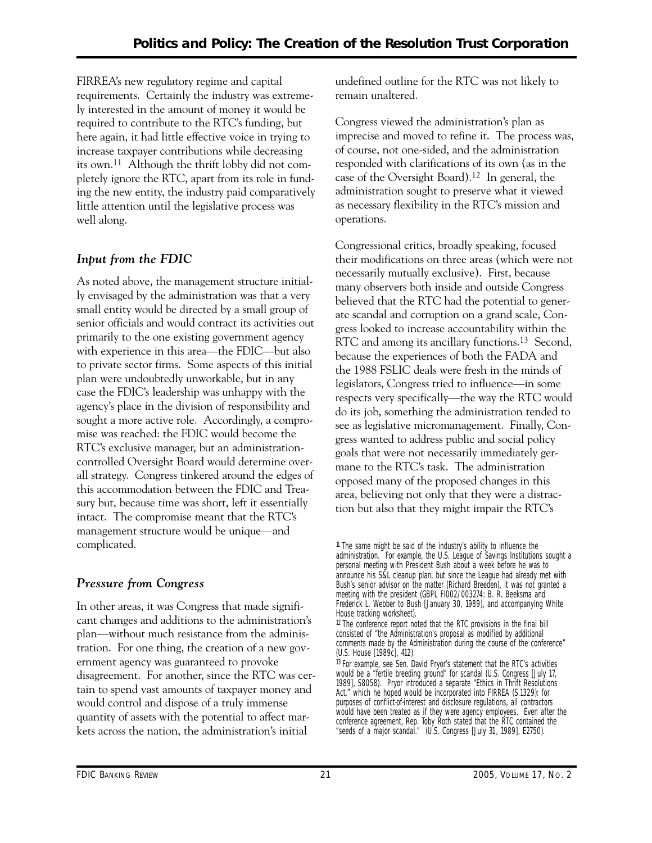FIRREA's new regulatory regime and capital requirements. Certainly the industry was extremely interested in the amount of money it would be required to contribute to the RTC's funding, but here again, it had little effective voice in trying to increase taxpayer contributions while decreasing its own.11 Although the thrift lobby did not completely ignore the RTC, apart from its role in funding the new entity, the industry paid comparatively little attention until the legislative process was well along.

## *Input from the FDIC*

As noted above, the management structure initially envisaged by the administration was that a very small entity would be directed by a small group of senior officials and would contract its activities out primarily to the one existing government agency with experience in this area—the FDIC—but also to private sector firms. Some aspects of this initial plan were undoubtedly unworkable, but in any case the FDIC's leadership was unhappy with the agency's place in the division of responsibility and sought a more active role. Accordingly, a compromise was reached: the FDIC would become the RTC's exclusive manager, but an administrationcontrolled Oversight Board would determine overall strategy. Congress tinkered around the edges of this accommodation between the FDIC and Treasury but, because time was short, left it essentially intact. The compromise meant that the RTC's management structure would be unique—and complicated.

## *Pressure from Congress*

In other areas, it was Congress that made significant changes and additions to the administration's plan—without much resistance from the administration. For one thing, the creation of a new government agency was guaranteed to provoke disagreement. For another, since the RTC was certain to spend vast amounts of taxpayer money and would control and dispose of a truly immense quantity of assets with the potential to affect markets across the nation, the administration's initial

undefined outline for the RTC was not likely to remain unaltered.

Congress viewed the administration's plan as imprecise and moved to refine it. The process was, of course, not one-sided, and the administration responded with clarifications of its own (as in the case of the Oversight Board).12 In general, the administration sought to preserve what it viewed as necessary flexibility in the RTC's mission and operations.

Congressional critics, broadly speaking, focused their modifications on three areas (which were not necessarily mutually exclusive). First, because many observers both inside and outside Congress believed that the RTC had the potential to generate scandal and corruption on a grand scale, Congress looked to increase accountability within the RTC and among its ancillary functions.<sup>13</sup> Second, because the experiences of both the FADA and the 1988 FSLIC deals were fresh in the minds of legislators, Congress tried to influence—in some respects very specifically—the way the RTC would do its job, something the administration tended to see as legislative micromanagement. Finally, Congress wanted to address public and social policy goals that were not necessarily immediately germane to the RTC's task. The administration opposed many of the proposed changes in this area, believing not only that they were a distraction but also that they might impair the RTC's

<sup>11</sup> The same might be said of the industry's ability to influence the administration. For example, the U.S. League of Savings Institutions sought a personal meeting with President Bush about a week before he was to announce his S&L cleanup plan, but since the League had already met with Bush's senior advisor on the matter (Richard Breeden), it was not granted a meeting with the president (GBPL FI002/003274: B. R. Beeksma and Frederick L. Webber to Bush [January 30, 1989], and accompanying White House tracking worksheet).

 $12$  The conference report noted that the RTC provisions in the final bill consisted of "the Administration's proposal as modified by additional comments made by the Administration during the course of the conference" (U.S. House [1989c], 412).

<sup>&</sup>lt;sup>13</sup> For example, see Sen. David Pryor's statement that the RTC's activities would be a "fertile breeding ground" for scandal (U.S. Congress [July 17, 1989], S8058). Pryor introduced a separate "Ethics in Thrift Resolutions Act," which he hoped would be incorporated into FIRREA (S.1329): for purposes of conflict-of-interest and disclosure regulations, all contractors would have been treated as if they were agency employees. Even after the conference agreement, Rep. Toby Roth stated that the RTC contained the "seeds of a major scandal." (U.S. Congress [July 31, 1989], E2750).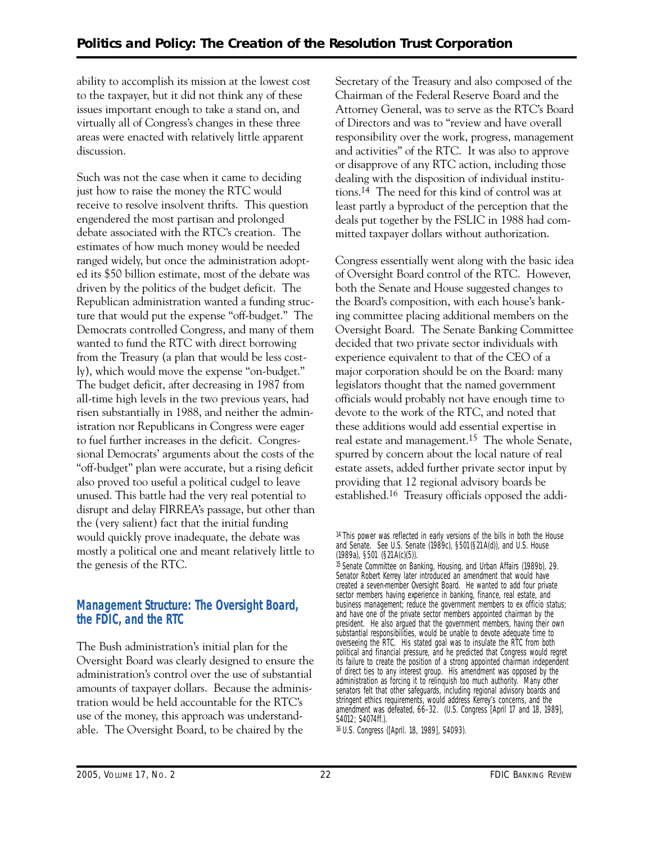ability to accomplish its mission at the lowest cost to the taxpayer, but it did not think any of these issues important enough to take a stand on, and virtually all of Congress's changes in these three areas were enacted with relatively little apparent discussion.

Such was not the case when it came to deciding just how to raise the money the RTC would receive to resolve insolvent thrifts. This question engendered the most partisan and prolonged debate associated with the RTC's creation. The estimates of how much money would be needed ranged widely, but once the administration adopted its \$50 billion estimate, most of the debate was driven by the politics of the budget deficit. The Republican administration wanted a funding structure that would put the expense "off-budget." The Democrats controlled Congress, and many of them wanted to fund the RTC with direct borrowing from the Treasury (a plan that would be less costly), which would move the expense "on-budget." The budget deficit, after decreasing in 1987 from all-time high levels in the two previous years, had risen substantially in 1988, and neither the administration nor Republicans in Congress were eager to fuel further increases in the deficit. Congressional Democrats' arguments about the costs of the "off-budget" plan were accurate, but a rising deficit also proved too useful a political cudgel to leave unused. This battle had the very real potential to disrupt and delay FIRREA's passage, but other than the (very salient) fact that the initial funding would quickly prove inadequate, the debate was mostly a political one and meant relatively little to the genesis of the RTC.

#### **Management Structure: The Oversight Board, the FDIC, and the RTC**

The Bush administration's initial plan for the Oversight Board was clearly designed to ensure the administration's control over the use of substantial amounts of taxpayer dollars. Because the administration would be held accountable for the RTC's use of the money, this approach was understandable. The Oversight Board, to be chaired by the

Secretary of the Treasury and also composed of the Chairman of the Federal Reserve Board and the Attorney General, was to serve as the RTC's Board of Directors and was to "review and have overall responsibility over the work, progress, management and activities" of the RTC. It was also to approve or disapprove of any RTC action, including those dealing with the disposition of individual institutions.14 The need for this kind of control was at least partly a byproduct of the perception that the deals put together by the FSLIC in 1988 had committed taxpayer dollars without authorization.

Congress essentially went along with the basic idea of Oversight Board control of the RTC. However, both the Senate and House suggested changes to the Board's composition, with each house's banking committee placing additional members on the Oversight Board. The Senate Banking Committee decided that two private sector individuals with experience equivalent to that of the CEO of a major corporation should be on the Board: many legislators thought that the named government officials would probably not have enough time to devote to the work of the RTC, and noted that these additions would add essential expertise in real estate and management.15 The whole Senate, spurred by concern about the local nature of real estate assets, added further private sector input by providing that 12 regional advisory boards be established.16 Treasury officials opposed the addi-

<sup>&</sup>lt;sup>14</sup> This power was reflected in early versions of the bills in both the House and Senate. See U.S. Senate (1989c), §501(§21A(d)), and U.S. House (1989a), §501 (§21A(c)(5)).

<sup>15</sup> Senate Committee on Banking, Housing, and Urban Affairs (1989b), 29. Senator Robert Kerrey later introduced an amendment that would have created a seven-member Oversight Board. He wanted to add four private sector members having experience in banking, finance, real estate, and business management; reduce the government members to ex officio status; and have one of the private sector members appointed chairman by the president. He also argued that the government members, having their own substantial responsibilities, would be unable to devote adequate time to overseeing the RTC. His stated goal was to insulate the RTC from both political and financial pressure, and he predicted that Congress would regret its failure to create the position of a strong appointed chairman independent of direct ties to any interest group. His amendment was opposed by the administration as forcing it to relinquish too much authority. Many other senators felt that other safeguards, including regional advisory boards and stringent ethics requirements, would address Kerrey's concerns, and the amendment was defeated, 66–32. (U.S. Congress [April 17 and 18, 1989], S4012; S4074ff.).

<sup>16</sup> U.S. Congress ([April. 18, 1989], S4093).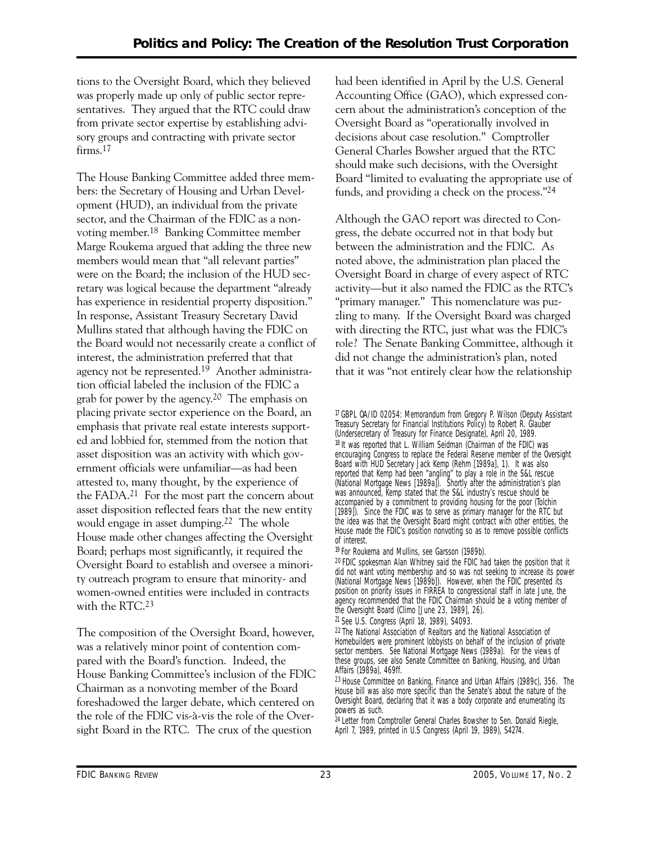tions to the Oversight Board, which they believed was properly made up only of public sector representatives. They argued that the RTC could draw from private sector expertise by establishing advisory groups and contracting with private sector firms.<sup>17</sup>

The House Banking Committee added three members: the Secretary of Housing and Urban Development (HUD), an individual from the private sector, and the Chairman of the FDIC as a nonvoting member.18 Banking Committee member Marge Roukema argued that adding the three new members would mean that "all relevant parties" were on the Board; the inclusion of the HUD secretary was logical because the department "already has experience in residential property disposition." In response, Assistant Treasury Secretary David Mullins stated that although having the FDIC on the Board would not necessarily create a conflict of interest, the administration preferred that that agency not be represented.19 Another administration official labeled the inclusion of the FDIC a grab for power by the agency.20 The emphasis on placing private sector experience on the Board, an emphasis that private real estate interests supported and lobbied for, stemmed from the notion that asset disposition was an activity with which government officials were unfamiliar—as had been attested to, many thought, by the experience of the FADA.21 For the most part the concern about asset disposition reflected fears that the new entity would engage in asset dumping.<sup>22</sup> The whole House made other changes affecting the Oversight Board; perhaps most significantly, it required the Oversight Board to establish and oversee a minority outreach program to ensure that minority- and women-owned entities were included in contracts with the RTC.<sup>23</sup>

The composition of the Oversight Board, however, was a relatively minor point of contention compared with the Board's function. Indeed, the House Banking Committee's inclusion of the FDIC Chairman as a nonvoting member of the Board foreshadowed the larger debate, which centered on the role of the FDIC vis-à-vis the role of the Oversight Board in the RTC. The crux of the question

had been identified in April by the U.S. General Accounting Office (GAO), which expressed concern about the administration's conception of the Oversight Board as "operationally involved in decisions about case resolution." Comptroller General Charles Bowsher argued that the RTC should make such decisions, with the Oversight Board "limited to evaluating the appropriate use of funds, and providing a check on the process."24

Although the GAO report was directed to Congress, the debate occurred not in that body but between the administration and the FDIC. As noted above, the administration plan placed the Oversight Board in charge of every aspect of RTC activity—but it also named the FDIC as the RTC's "primary manager." This nomenclature was puzzling to many. If the Oversight Board was charged with directing the RTC, just what was the FDIC's role? The Senate Banking Committee, although it did not change the administration's plan, noted that it was "not entirely clear how the relationship

17 GBPL OA/ID 02054: Memorandum from Gregory P. Wilson (Deputy Assistant Treasury Secretary for Financial Institutions Policy) to Robert R. Glauber (Undersecretary of Treasury for Finance Designate), April 20, 1989. 18 It was reported that L. William Seidman (Chairman of the FDIC) was encouraging Congress to replace the Federal Reserve member of the Oversight Board with HUD Secretary Jack Kemp (Rehm [1989a], 1). It was also reported that Kemp had been "angling" to play a role in the S&L rescue (*National Mortgage News* [1989a]). Shortly after the administration's plan was announced, Kemp stated that the S&L industry's rescue should be accompanied by a commitment to providing housing for the poor (Tolchin [1989]). Since the FDIC was to serve as primary manager for the RTC but the idea was that the Oversight Board might contract with other entities, the House made the FDIC's position nonvoting so as to remove possible conflicts of interest.

19 For Roukema and Mullins, see Garsson (1989b).

20 FDIC spokesman Alan Whitney said the FDIC had taken the position that it did not want voting membership and so was not seeking to increase its power (*National Mortgage News* [1989b]). However, when the FDIC presented its position on priority issues in FIRREA to congressional staff in late June, the agency recommended that the FDIC Chairman should be a voting member of the Oversight Board (Climo [June 23, 1989], 26).

21 See U.S. Congress (April 18, 1989), S4093.

22 The National Association of Realtors and the National Association of Homebuilders were prominent lobbyists on behalf of the inclusion of private sector members. See *National Mortgage News* (1989a). For the views of these groups, see also Senate Committee on Banking, Housing, and Urban Affairs (1989a), 469ff.

23 House Committee on Banking, Finance and Urban Affairs (1989c), 356. The House bill was also more specific than the Senate's about the nature of the Oversight Board, declaring that it was a body corporate and enumerating its powers as such.

<sup>24</sup> Letter from Comptroller General Charles Bowsher to Sen. Donald Riegle, April 7, 1989, printed in U.S Congress (April 19, 1989), S4274.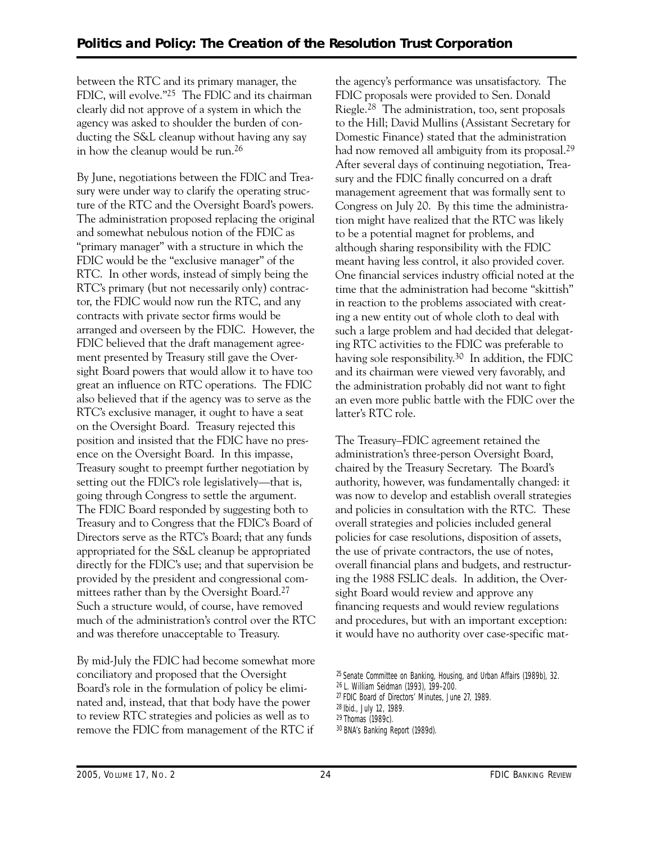between the RTC and its primary manager, the FDIC, will evolve."25 The FDIC and its chairman clearly did not approve of a system in which the agency was asked to shoulder the burden of conducting the S&L cleanup without having any say in how the cleanup would be run.26

By June, negotiations between the FDIC and Treasury were under way to clarify the operating structure of the RTC and the Oversight Board's powers. The administration proposed replacing the original and somewhat nebulous notion of the FDIC as "primary manager" with a structure in which the FDIC would be the "exclusive manager" of the RTC. In other words, instead of simply being the RTC's primary (but not necessarily only) contractor, the FDIC would now run the RTC, and any contracts with private sector firms would be arranged and overseen by the FDIC. However, the FDIC believed that the draft management agreement presented by Treasury still gave the Oversight Board powers that would allow it to have too great an influence on RTC operations. The FDIC also believed that if the agency was to serve as the RTC's exclusive manager, it ought to have a seat on the Oversight Board. Treasury rejected this position and insisted that the FDIC have no presence on the Oversight Board. In this impasse, Treasury sought to preempt further negotiation by setting out the FDIC's role legislatively—that is, going through Congress to settle the argument. The FDIC Board responded by suggesting both to Treasury and to Congress that the FDIC's Board of Directors serve as the RTC's Board; that any funds appropriated for the S&L cleanup be appropriated directly for the FDIC's use; and that supervision be provided by the president and congressional committees rather than by the Oversight Board.27 Such a structure would, of course, have removed much of the administration's control over the RTC and was therefore unacceptable to Treasury.

By mid-July the FDIC had become somewhat more conciliatory and proposed that the Oversight Board's role in the formulation of policy be eliminated and, instead, that that body have the power to review RTC strategies and policies as well as to remove the FDIC from management of the RTC if

the agency's performance was unsatisfactory. The FDIC proposals were provided to Sen. Donald Riegle.28 The administration, too, sent proposals to the Hill; David Mullins (Assistant Secretary for Domestic Finance) stated that the administration had now removed all ambiguity from its proposal.<sup>29</sup> After several days of continuing negotiation, Treasury and the FDIC finally concurred on a draft management agreement that was formally sent to Congress on July 20. By this time the administration might have realized that the RTC was likely to be a potential magnet for problems, and although sharing responsibility with the FDIC meant having less control, it also provided cover. One financial services industry official noted at the time that the administration had become "skittish" in reaction to the problems associated with creating a new entity out of whole cloth to deal with such a large problem and had decided that delegating RTC activities to the FDIC was preferable to having sole responsibility.30 In addition, the FDIC and its chairman were viewed very favorably, and the administration probably did not want to fight an even more public battle with the FDIC over the latter's RTC role.

The Treasury–FDIC agreement retained the administration's three-person Oversight Board, chaired by the Treasury Secretary. The Board's authority, however, was fundamentally changed: it was now to develop and establish overall strategies and policies in consultation with the RTC. These overall strategies and policies included general policies for case resolutions, disposition of assets, the use of private contractors, the use of notes, overall financial plans and budgets, and restructuring the 1988 FSLIC deals. In addition, the Oversight Board would review and approve any financing requests and would review regulations and procedures, but with an important exception: it would have no authority over case-specific mat-

<sup>25</sup> Senate Committee on Banking, Housing, and Urban Affairs (1989b), 32.

<sup>26</sup> L. William Seidman (1993), 199–200.

<sup>27</sup> FDIC Board of Directors' Minutes, June 27, 1989.

<sup>28</sup> Ibid., July 12, 1989.

<sup>29</sup> Thomas (1989c).

<sup>30</sup> *BNA's Banking Report* (1989d).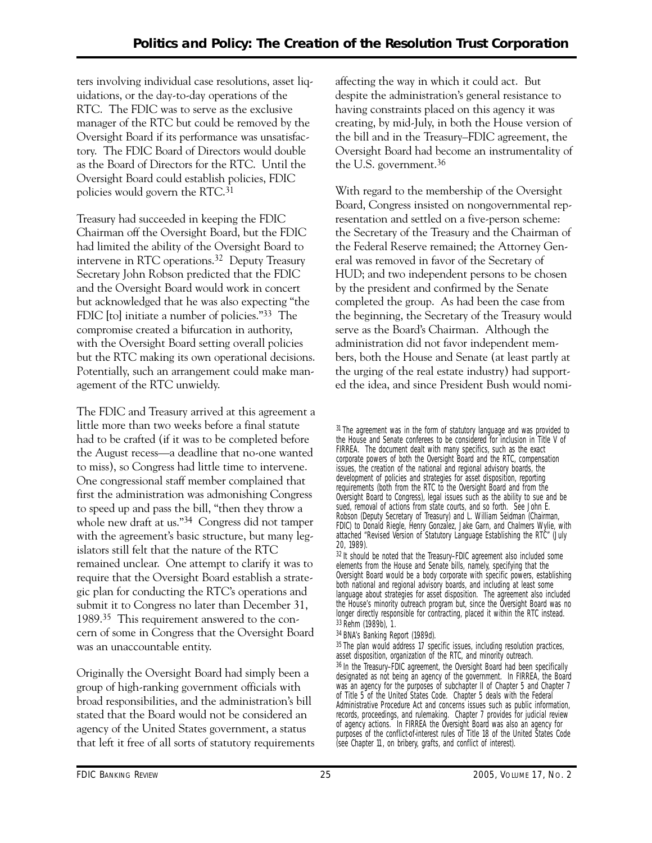ters involving individual case resolutions, asset liquidations, or the day-to-day operations of the RTC. The FDIC was to serve as the exclusive manager of the RTC but could be removed by the Oversight Board if its performance was unsatisfactory. The FDIC Board of Directors would double as the Board of Directors for the RTC. Until the Oversight Board could establish policies, FDIC policies would govern the RTC.31

Treasury had succeeded in keeping the FDIC Chairman off the Oversight Board, but the FDIC had limited the ability of the Oversight Board to intervene in RTC operations.32 Deputy Treasury Secretary John Robson predicted that the FDIC and the Oversight Board would work in concert but acknowledged that he was also expecting "the FDIC [to] initiate a number of policies."33 The compromise created a bifurcation in authority, with the Oversight Board setting overall policies but the RTC making its own operational decisions. Potentially, such an arrangement could make management of the RTC unwieldy.

The FDIC and Treasury arrived at this agreement a little more than two weeks before a final statute had to be crafted (if it was to be completed before the August recess—a deadline that no-one wanted to miss), so Congress had little time to intervene. One congressional staff member complained that first the administration was admonishing Congress to speed up and pass the bill, "then they throw a whole new draft at us."34 Congress did not tamper with the agreement's basic structure, but many legislators still felt that the nature of the RTC remained unclear. One attempt to clarify it was to require that the Oversight Board establish a strategic plan for conducting the RTC's operations and submit it to Congress no later than December 31, 1989.35 This requirement answered to the concern of some in Congress that the Oversight Board was an unaccountable entity.

Originally the Oversight Board had simply been a group of high-ranking government officials with broad responsibilities, and the administration's bill stated that the Board would not be considered an agency of the United States government, a status that left it free of all sorts of statutory requirements affecting the way in which it could act. But despite the administration's general resistance to having constraints placed on this agency it was creating, by mid-July, in both the House version of the bill and in the Treasury–FDIC agreement, the Oversight Board had become an instrumentality of the U.S. government.36

With regard to the membership of the Oversight Board, Congress insisted on nongovernmental representation and settled on a five-person scheme: the Secretary of the Treasury and the Chairman of the Federal Reserve remained; the Attorney General was removed in favor of the Secretary of HUD; and two independent persons to be chosen by the president and confirmed by the Senate completed the group. As had been the case from the beginning, the Secretary of the Treasury would serve as the Board's Chairman. Although the administration did not favor independent members, both the House and Senate (at least partly at the urging of the real estate industry) had supported the idea, and since President Bush would nomi-

 Robson (Deputy Secretary of Treasury) and L. William Seidman (Chairman, <sup>31</sup> The agreement was in the form of statutory language and was provided to the House and Senate conferees to be considered for inclusion in Title V of FIRREA. The document dealt with many specifics, such as the exact corporate powers of both the Oversight Board and the RTC, compensation issues, the creation of the national and regional advisory boards, the development of policies and strategies for asset disposition, reporting requirements (both from the RTC to the Oversight Board and from the Oversight Board to Congress), legal issues such as the ability to sue and be sued, removal of actions from state courts, and so forth. See John E. FDIC) to Donald Riegle, Henry Gonzalez, Jake Garn, and Chalmers Wylie, with attached "Revised Version of Statutory Language Establishing the RTC" (July 20, 1989).

32 It should be noted that the Treasury–FDIC agreement also included some elements from the House and Senate bills, namely, specifying that the Oversight Board would be a body corporate with specific powers, establishing both national and regional advisory boards, and including at least some language about strategies for asset disposition. The agreement also included the House's minority outreach program but, since the Oversight Board was no longer directly responsible for contracting, placed it within the RTC instead. 33 Rehm (1989b), 1.

#### 34 *BNA's Banking Report* (1989d).

35 The plan would address 17 specific issues, including resolution practices, asset disposition, organization of the RTC, and minority outreach. 36 In the Treasury–FDIC agreement, the Oversight Board had been specifically designated as not being an agency of the government. In FIRREA, the Board was an agency for the purposes of subchapter II of Chapter 5 and Chapter 7 of Title 5 of the United States Code. Chapter 5 deals with the Federal Administrative Procedure Act and concerns issues such as public information, records, proceedings, and rulemaking. Chapter 7 provides for judicial review of agency actions. In FIRREA the Oversight Board was also an agency for purposes of the conflict-of-interest rules of Title 18 of the United States Code (see Chapter 11, on bribery, grafts, and conflict of interest).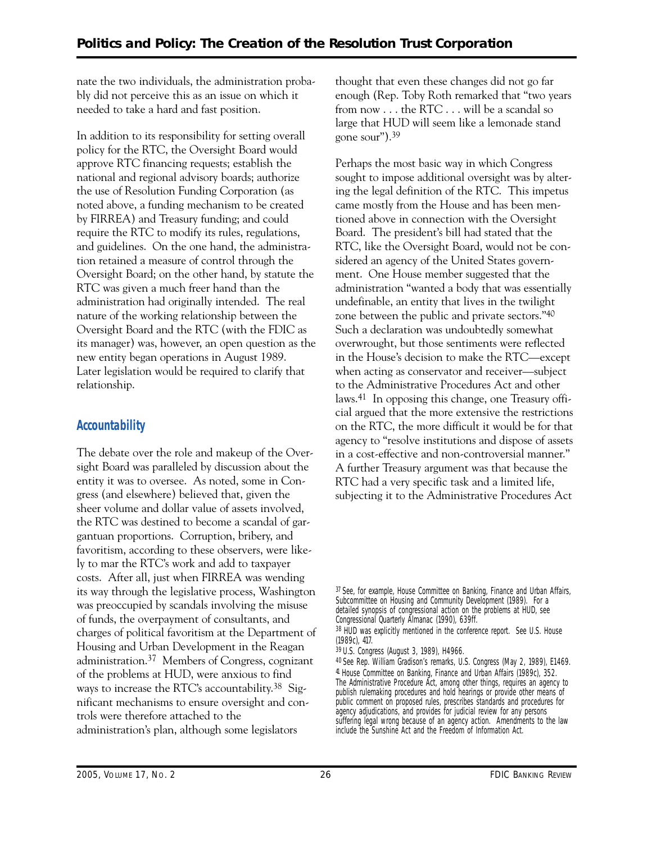nate the two individuals, the administration probably did not perceive this as an issue on which it needed to take a hard and fast position.

In addition to its responsibility for setting overall policy for the RTC, the Oversight Board would approve RTC financing requests; establish the national and regional advisory boards; authorize the use of Resolution Funding Corporation (as noted above, a funding mechanism to be created by FIRREA) and Treasury funding; and could require the RTC to modify its rules, regulations, and guidelines. On the one hand, the administration retained a measure of control through the Oversight Board; on the other hand, by statute the RTC was given a much freer hand than the administration had originally intended. The real nature of the working relationship between the Oversight Board and the RTC (with the FDIC as its manager) was, however, an open question as the new entity began operations in August 1989. Later legislation would be required to clarify that relationship.

## **Accountability**

The debate over the role and makeup of the Oversight Board was paralleled by discussion about the entity it was to oversee. As noted, some in Congress (and elsewhere) believed that, given the sheer volume and dollar value of assets involved, the RTC was destined to become a scandal of gargantuan proportions. Corruption, bribery, and favoritism, according to these observers, were likely to mar the RTC's work and add to taxpayer costs. After all, just when FIRREA was wending its way through the legislative process, Washington was preoccupied by scandals involving the misuse of funds, the overpayment of consultants, and charges of political favoritism at the Department of Housing and Urban Development in the Reagan administration.37 Members of Congress, cognizant of the problems at HUD, were anxious to find ways to increase the RTC's accountability.38 Significant mechanisms to ensure oversight and controls were therefore attached to the administration's plan, although some legislators

thought that even these changes did not go far enough (Rep. Toby Roth remarked that "two years from now . . . the RTC . . . will be a scandal so large that HUD will seem like a lemonade stand gone sour").39

Perhaps the most basic way in which Congress sought to impose additional oversight was by altering the legal definition of the RTC. This impetus came mostly from the House and has been mentioned above in connection with the Oversight Board. The president's bill had stated that the RTC, like the Oversight Board, would not be considered an agency of the United States government. One House member suggested that the administration "wanted a body that was essentially undefinable, an entity that lives in the twilight zone between the public and private sectors."40 Such a declaration was undoubtedly somewhat overwrought, but those sentiments were reflected in the House's decision to make the RTC—except when acting as conservator and receiver—subject to the Administrative Procedures Act and other laws.41 In opposing this change, one Treasury official argued that the more extensive the restrictions on the RTC, the more difficult it would be for that agency to "resolve institutions and dispose of assets in a cost-effective and non-controversial manner." A further Treasury argument was that because the RTC had a very specific task and a limited life, subjecting it to the Administrative Procedures Act

<sup>37</sup> See, for example, House Committee on Banking, Finance and Urban Affairs, Subcommittee on Housing and Community Development (1989). For a detailed synopsis of congressional action on the problems at HUD, see *Congressional Quarterly Almanac* (1990), 639ff.

<sup>&</sup>lt;sup>38</sup> HUD was explicitly mentioned in the conference report. See U.S. House (1989c), 417.

<sup>39</sup> U.S. Congress (August 3, 1989), H4966.

 40 See Rep. William Gradison's remarks, U.S. Congress (May 2, 1989), E1469. 41 House Committee on Banking, Finance and Urban Affairs (1989c), 352. The Administrative Procedure Act, among other things, requires an agency to publish rulemaking procedures and hold hearings or provide other means of public comment on proposed rules, prescribes standards and procedures for agency adjudications, and provides for judicial review for any persons suffering legal wrong because of an agency action. Amendments to the law include the Sunshine Act and the Freedom of Information Act.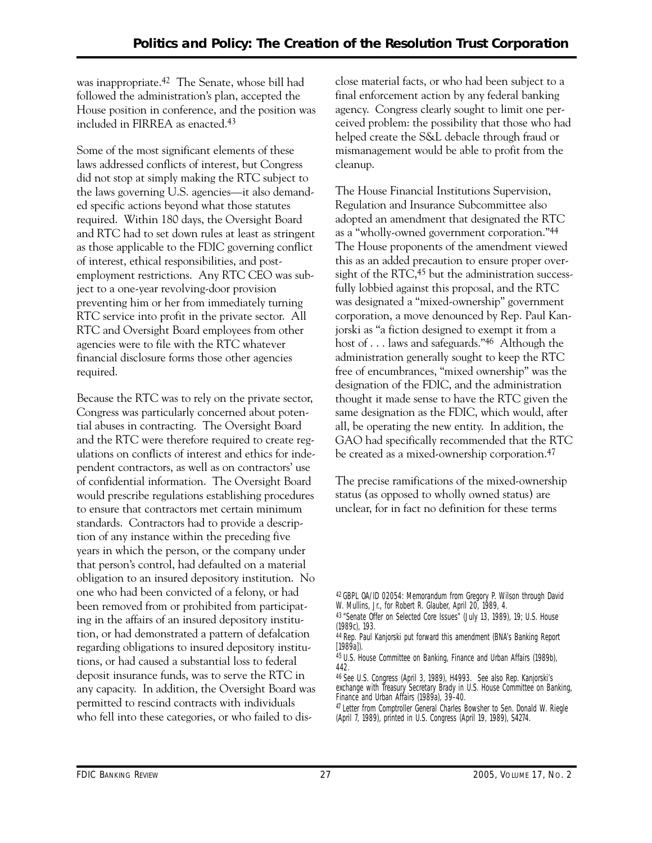was inappropriate.42 The Senate, whose bill had followed the administration's plan, accepted the House position in conference, and the position was included in FIRREA as enacted.43

Some of the most significant elements of these laws addressed conflicts of interest, but Congress did not stop at simply making the RTC subject to the laws governing U.S. agencies—it also demanded specific actions beyond what those statutes required. Within 180 days, the Oversight Board and RTC had to set down rules at least as stringent as those applicable to the FDIC governing conflict of interest, ethical responsibilities, and postemployment restrictions. Any RTC CEO was subject to a one-year revolving-door provision preventing him or her from immediately turning RTC service into profit in the private sector. All RTC and Oversight Board employees from other agencies were to file with the RTC whatever financial disclosure forms those other agencies required.

Because the RTC was to rely on the private sector, Congress was particularly concerned about potential abuses in contracting. The Oversight Board and the RTC were therefore required to create regulations on conflicts of interest and ethics for independent contractors, as well as on contractors' use of confidential information. The Oversight Board would prescribe regulations establishing procedures to ensure that contractors met certain minimum standards. Contractors had to provide a description of any instance within the preceding five years in which the person, or the company under that person's control, had defaulted on a material obligation to an insured depository institution. No one who had been convicted of a felony, or had been removed from or prohibited from participating in the affairs of an insured depository institution, or had demonstrated a pattern of defalcation regarding obligations to insured depository institutions, or had caused a substantial loss to federal deposit insurance funds, was to serve the RTC in any capacity. In addition, the Oversight Board was permitted to rescind contracts with individuals who fell into these categories, or who failed to disclose material facts, or who had been subject to a final enforcement action by any federal banking agency. Congress clearly sought to limit one perceived problem: the possibility that those who had helped create the S&L debacle through fraud or mismanagement would be able to profit from the cleanup.

The House Financial Institutions Supervision, Regulation and Insurance Subcommittee also adopted an amendment that designated the RTC as a "wholly-owned government corporation."44 The House proponents of the amendment viewed this as an added precaution to ensure proper oversight of the RTC,<sup>45</sup> but the administration successfully lobbied against this proposal, and the RTC was designated a "mixed-ownership" government corporation, a move denounced by Rep. Paul Kanjorski as "a fiction designed to exempt it from a host of . . . laws and safeguards."46 Although the administration generally sought to keep the RTC free of encumbrances, "mixed ownership" was the designation of the FDIC, and the administration thought it made sense to have the RTC given the same designation as the FDIC, which would, after all, be operating the new entity. In addition, the GAO had specifically recommended that the RTC be created as a mixed-ownership corporation.47

The precise ramifications of the mixed-ownership status (as opposed to wholly owned status) are unclear, for in fact no definition for these terms

<sup>42</sup> GBPL OA/ID 02054: Memorandum from Gregory P. Wilson through David W. Mullins, Jr., for Robert R. Glauber, April 20, 1989, 4.

<sup>43 &</sup>quot;Senate Offer on Selected Core Issues" (July 13, 1989), 19; U.S. House (1989c), 193.

<sup>44</sup> Rep. Paul Kanjorski put forward this amendment (*BNA's Banking Report*  [1989a]).

<sup>45</sup> U.S. House Committee on Banking, Finance and Urban Affairs (1989b), 442.

<sup>46</sup> See U.S. Congress (April 3, 1989), H4993. See also Rep. Kanjorski's exchange with Treasury Secretary Brady in U.S. House Committee on Banking, Finance and Urban Affairs (1989a), 39–40.

<sup>47</sup> Letter from Comptroller General Charles Bowsher to Sen. Donald W. Riegle (April 7, 1989), printed in U.S. Congress (April 19, 1989), S4274.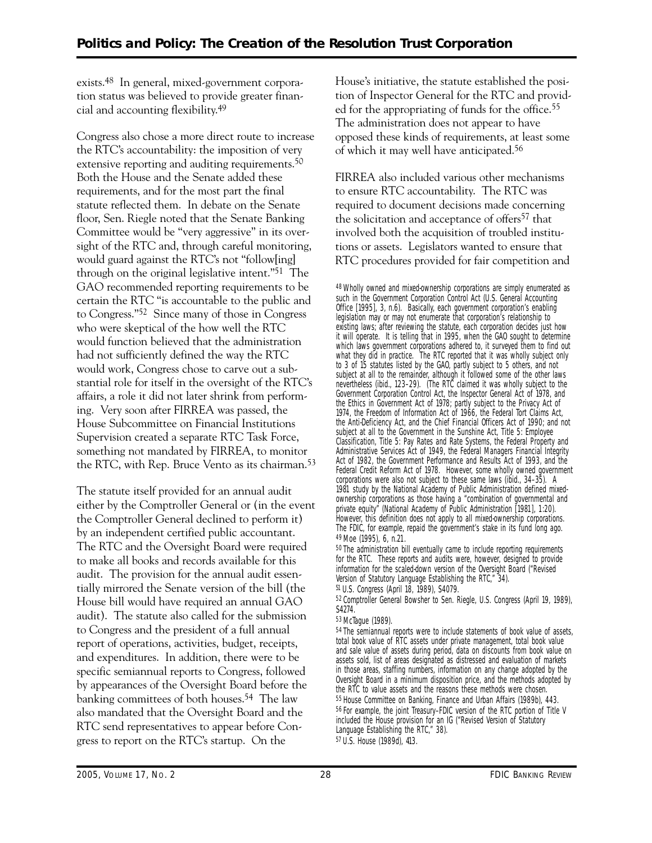exists.48 In general, mixed-government corporation status was believed to provide greater financial and accounting flexibility.49

Congress also chose a more direct route to increase the RTC's accountability: the imposition of very extensive reporting and auditing requirements.<sup>50</sup> Both the House and the Senate added these requirements, and for the most part the final statute reflected them. In debate on the Senate floor, Sen. Riegle noted that the Senate Banking Committee would be "very aggressive" in its oversight of the RTC and, through careful monitoring, would guard against the RTC's not "follow[ing] through on the original legislative intent."51 The GAO recommended reporting requirements to be certain the RTC "is accountable to the public and to Congress."52 Since many of those in Congress who were skeptical of the how well the RTC would function believed that the administration had not sufficiently defined the way the RTC would work, Congress chose to carve out a substantial role for itself in the oversight of the RTC's affairs, a role it did not later shrink from performing. Very soon after FIRREA was passed, the House Subcommittee on Financial Institutions Supervision created a separate RTC Task Force, something not mandated by FIRREA, to monitor the RTC, with Rep. Bruce Vento as its chairman.<sup>53</sup>

The statute itself provided for an annual audit either by the Comptroller General or (in the event the Comptroller General declined to perform it) by an independent certified public accountant. The RTC and the Oversight Board were required to make all books and records available for this audit. The provision for the annual audit essentially mirrored the Senate version of the bill (the House bill would have required an annual GAO audit). The statute also called for the submission to Congress and the president of a full annual report of operations, activities, budget, receipts, and expenditures. In addition, there were to be specific semiannual reports to Congress, followed by appearances of the Oversight Board before the banking committees of both houses.54 The law also mandated that the Oversight Board and the RTC send representatives to appear before Congress to report on the RTC's startup. On the

House's initiative, the statute established the position of Inspector General for the RTC and provided for the appropriating of funds for the office.<sup>55</sup> The administration does not appear to have opposed these kinds of requirements, at least some of which it may well have anticipated.56

FIRREA also included various other mechanisms to ensure RTC accountability. The RTC was required to document decisions made concerning the solicitation and acceptance of offers<sup>57</sup> that involved both the acquisition of troubled institutions or assets. Legislators wanted to ensure that RTC procedures provided for fair competition and

48 Wholly owned and mixed-ownership corporations are simply enumerated as such in the Government Corporation Control Act (U.S. General Accounting Office [1995], 3, n.6). Basically, each government corporation's enabling legislation may or may not enumerate that corporation's relationship to existing laws; after reviewing the statute, each corporation decides just how it will operate. It is telling that in 1995, when the GAO sought to determine which laws government corporations adhered to, it surveyed them to find out what they did in practice. The RTC reported that it was wholly subject only to 3 of 15 statutes listed by the GAO, partly subject to 5 others, and not subject at all to the remainder, although it followed some of the other laws nevertheless (ibid., 123–29). (The RTC claimed it was wholly subject to the Government Corporation Control Act, the Inspector General Act of 1978, and the Ethics in Government Act of 1978; partly subject to the Privacy Act of 1974, the Freedom of Information Act of 1966, the Federal Tort Claims Act, the Anti-Deficiency Act, and the Chief Financial Officers Act of 1990; and not subject at all to the Government in the Sunshine Act, Title 5: Employee Classification, Title 5: Pay Rates and Rate Systems, the Federal Property and Administrative Services Act of 1949, the Federal Managers Financial Integrity Act of 1982, the Government Performance and Results Act of 1993, and the Federal Credit Reform Act of 1978. However, some wholly owned government corporations were also not subject to these same laws (ibid., 34–35). A 1981 study by the National Academy of Public Administration defined mixedownership corporations as those having a "combination of governmental and private equity" (National Academy of Public Administration [1981], 1:20). However, this definition does not apply to all mixed-ownership corporations. The FDIC, for example, repaid the government's stake in its fund long ago. 49 Moe (1995), 6, n.21.

50 The administration bill eventually came to include reporting requirements for the RTC. These reports and audits were, however, designed to provide information for the scaled-down version of the Oversight Board ("Revised Version of Statutory Language Establishing the RTC," 34). 51 U.S. Congress (April 18, 1989), S4079.

52 Comptroller General Bowsher to Sen. Riegle, U.S. Congress (April 19, 1989),

53 McTague (1989).

<sup>54</sup> The semiannual reports were to include statements of book value of assets, total book value of RTC assets under private management, total book value and sale value of assets during period, data on discounts from book value on assets sold, list of areas designated as distressed and evaluation of markets in those areas, staffing numbers, information on any change adopted by the Oversight Board in a minimum disposition price, and the methods adopted by the RTC to value assets and the reasons these methods were chosen. 55 House Committee on Banking, Finance and Urban Affairs (1989b), 443. 56 For example, the joint Treasury–FDIC version of the RTC portion of Title V included the House provision for an IG ("Revised Version of Statutory Language Establishing the RTC," 38). 57 U.S. House (1989d), 413.

S4274.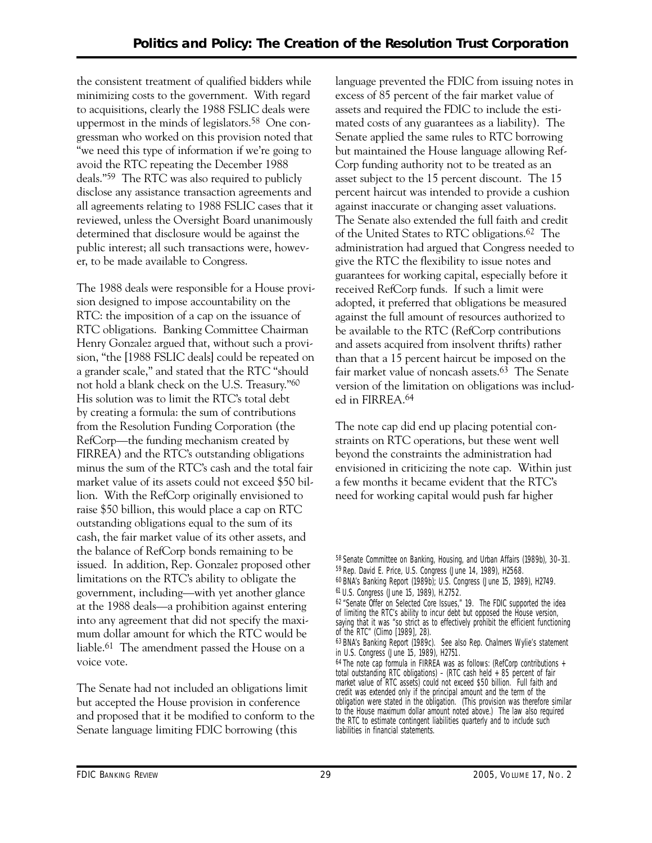the consistent treatment of qualified bidders while minimizing costs to the government. With regard to acquisitions, clearly the 1988 FSLIC deals were uppermost in the minds of legislators.58 One congressman who worked on this provision noted that "we need this type of information if we're going to avoid the RTC repeating the December 1988 deals."59 The RTC was also required to publicly disclose any assistance transaction agreements and all agreements relating to 1988 FSLIC cases that it reviewed, unless the Oversight Board unanimously determined that disclosure would be against the public interest; all such transactions were, however, to be made available to Congress.

The 1988 deals were responsible for a House provision designed to impose accountability on the RTC: the imposition of a cap on the issuance of RTC obligations. Banking Committee Chairman Henry Gonzalez argued that, without such a provision, "the [1988 FSLIC deals] could be repeated on a grander scale," and stated that the RTC "should not hold a blank check on the U.S. Treasury."60 His solution was to limit the RTC's total debt by creating a formula: the sum of contributions from the Resolution Funding Corporation (the RefCorp—the funding mechanism created by FIRREA) and the RTC's outstanding obligations minus the sum of the RTC's cash and the total fair market value of its assets could not exceed \$50 billion. With the RefCorp originally envisioned to raise \$50 billion, this would place a cap on RTC outstanding obligations equal to the sum of its cash, the fair market value of its other assets, and the balance of RefCorp bonds remaining to be issued. In addition, Rep. Gonzalez proposed other limitations on the RTC's ability to obligate the government, including—with yet another glance at the 1988 deals—a prohibition against entering into any agreement that did not specify the maximum dollar amount for which the RTC would be liable.61 The amendment passed the House on a voice vote.

The Senate had not included an obligations limit but accepted the House provision in conference and proposed that it be modified to conform to the Senate language limiting FDIC borrowing (this

language prevented the FDIC from issuing notes in excess of 85 percent of the fair market value of assets and required the FDIC to include the estimated costs of any guarantees as a liability). The Senate applied the same rules to RTC borrowing but maintained the House language allowing Ref-Corp funding authority not to be treated as an asset subject to the 15 percent discount. The 15 percent haircut was intended to provide a cushion against inaccurate or changing asset valuations. The Senate also extended the full faith and credit of the United States to RTC obligations.62 The administration had argued that Congress needed to give the RTC the flexibility to issue notes and guarantees for working capital, especially before it received RefCorp funds. If such a limit were adopted, it preferred that obligations be measured against the full amount of resources authorized to be available to the RTC (RefCorp contributions and assets acquired from insolvent thrifts) rather than that a 15 percent haircut be imposed on the fair market value of noncash assets.63 The Senate version of the limitation on obligations was included in FIRREA.64

The note cap did end up placing potential constraints on RTC operations, but these went well beyond the constraints the administration had envisioned in criticizing the note cap. Within just a few months it became evident that the RTC's need for working capital would push far higher

<sup>58</sup> Senate Committee on Banking, Housing, and Urban Affairs (1989b), 30–31. 59 Rep. David E. Price, U.S. Congress (June 14, 1989), H2568.

<sup>60</sup> *BNA's Banking Report* (1989b); U.S. Congress (June 15, 1989), H2749. 61 U.S. Congress (June 15, 1989), H.2752.

<sup>62 &</sup>quot;Senate Offer on Selected Core Issues," 19. The FDIC supported the idea of limiting the RTC's ability to incur debt but opposed the House version, saying that it was "so strict as to effectively prohibit the efficient functioning of the RTC" (Climo [1989], 28).

<sup>63</sup> *BNA's Banking Report* (1989c). See also Rep. Chalmers Wylie's statement in U.S. Congress (June 15, 1989), H2751.

<sup>64</sup> The note cap formula in FIRREA was as follows: (RefCorp contributions + total outstanding RTC obligations) – (RTC cash held + 85 percent of fair market value of RTC assets) could not exceed \$50 billion. Full faith and credit was extended only if the principal amount and the term of the obligation were stated in the obligation. (This provision was therefore similar to the House maximum dollar amount noted above.) The law also required the RTC to estimate contingent liabilities quarterly and to include such liabilities in financial statements.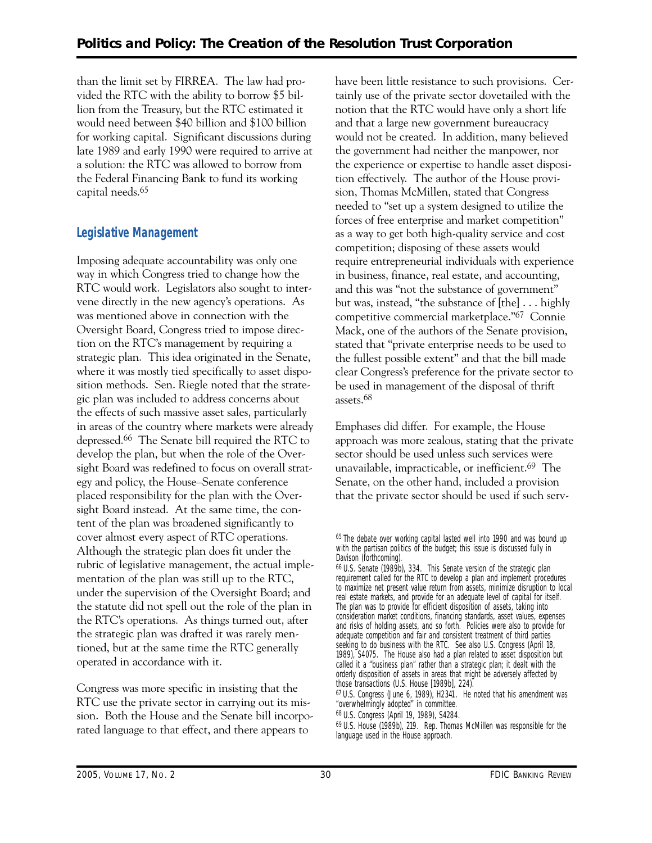than the limit set by FIRREA. The law had provided the RTC with the ability to borrow \$5 billion from the Treasury, but the RTC estimated it would need between \$40 billion and \$100 billion for working capital. Significant discussions during late 1989 and early 1990 were required to arrive at a solution: the RTC was allowed to borrow from the Federal Financing Bank to fund its working capital needs.65

## **Legislative Management**

Imposing adequate accountability was only one way in which Congress tried to change how the RTC would work. Legislators also sought to intervene directly in the new agency's operations. As was mentioned above in connection with the Oversight Board, Congress tried to impose direction on the RTC's management by requiring a strategic plan. This idea originated in the Senate, where it was mostly tied specifically to asset disposition methods. Sen. Riegle noted that the strategic plan was included to address concerns about the effects of such massive asset sales, particularly in areas of the country where markets were already depressed.66 The Senate bill required the RTC to develop the plan, but when the role of the Oversight Board was redefined to focus on overall strategy and policy, the House–Senate conference placed responsibility for the plan with the Oversight Board instead. At the same time, the content of the plan was broadened significantly to cover almost every aspect of RTC operations. Although the strategic plan does fit under the rubric of legislative management, the actual implementation of the plan was still up to the RTC, under the supervision of the Oversight Board; and the statute did not spell out the role of the plan in the RTC's operations. As things turned out, after the strategic plan was drafted it was rarely mentioned, but at the same time the RTC generally operated in accordance with it.

Congress was more specific in insisting that the RTC use the private sector in carrying out its mission. Both the House and the Senate bill incorporated language to that effect, and there appears to

have been little resistance to such provisions. Certainly use of the private sector dovetailed with the notion that the RTC would have only a short life and that a large new government bureaucracy would not be created. In addition, many believed the government had neither the manpower, nor the experience or expertise to handle asset disposition effectively. The author of the House provision, Thomas McMillen, stated that Congress needed to "set up a system designed to utilize the forces of free enterprise and market competition" as a way to get both high-quality service and cost competition; disposing of these assets would require entrepreneurial individuals with experience in business, finance, real estate, and accounting, and this was "not the substance of government" but was, instead, "the substance of [the] . . . highly competitive commercial marketplace."67 Connie Mack, one of the authors of the Senate provision, stated that "private enterprise needs to be used to the fullest possible extent" and that the bill made clear Congress's preference for the private sector to be used in management of the disposal of thrift assets.68

Emphases did differ. For example, the House approach was more zealous, stating that the private sector should be used unless such services were unavailable, impracticable, or inefficient.69 The Senate, on the other hand, included a provision that the private sector should be used if such serv-

<sup>65</sup> The debate over working capital lasted well into 1990 and was bound up with the partisan politics of the budget; this issue is discussed fully in Davison (forthcoming).

<sup>66</sup> U.S. Senate (1989b), 334. This Senate version of the strategic plan requirement called for the RTC to develop a plan and implement procedures to maximize net present value return from assets, minimize disruption to local real estate markets, and provide for an adequate level of capital for itself. The plan was to provide for efficient disposition of assets, taking into consideration market conditions, financing standards, asset values, expenses and risks of holding assets, and so forth. Policies were also to provide for adequate competition and fair and consistent treatment of third parties seeking to do business with the RTC. See also U.S. Congress (April 18, 1989), S4075. The House also had a plan related to asset disposition but called it a "business plan" rather than a strategic plan; it dealt with the orderly disposition of assets in areas that might be adversely affected by those transactions (U.S. House [1989b], 224).

<sup>67</sup> U.S. Congress (June 6, 1989), H2341. He noted that his amendment was "overwhelmingly adopted" in committee.

<sup>68</sup> U.S. Congress (April 19, 1989), S4284.

<sup>69</sup> U.S. House (1989b), 219. Rep. Thomas McMillen was responsible for the language used in the House approach.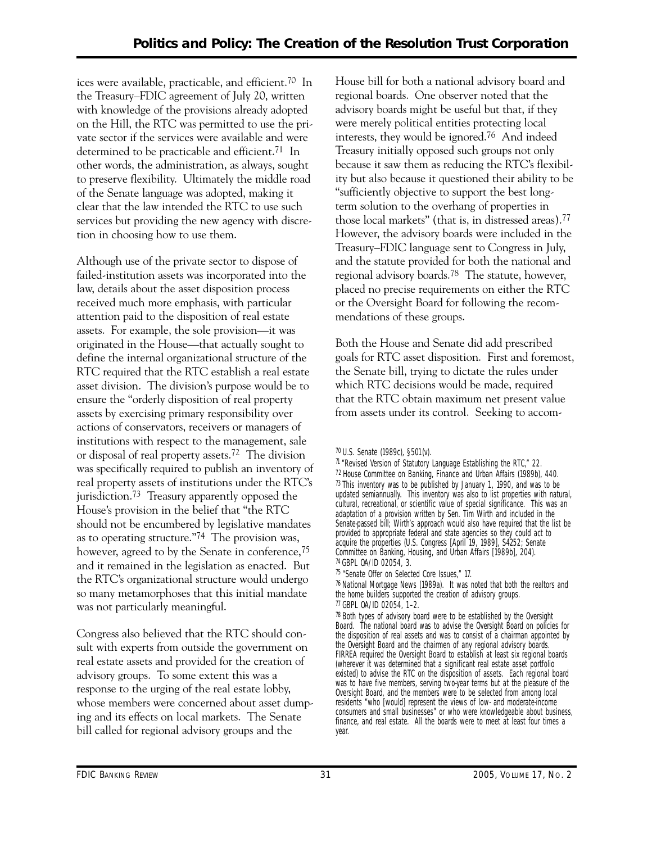ices were available, practicable, and efficient.70 In the Treasury–FDIC agreement of July 20, written with knowledge of the provisions already adopted on the Hill, the RTC was permitted to use the private sector if the services were available and were determined to be practicable and efficient.<sup>71</sup> In other words, the administration, as always, sought to preserve flexibility. Ultimately the middle road of the Senate language was adopted, making it clear that the law intended the RTC to use such services but providing the new agency with discretion in choosing how to use them.

Although use of the private sector to dispose of failed-institution assets was incorporated into the law, details about the asset disposition process received much more emphasis, with particular attention paid to the disposition of real estate assets. For example, the sole provision—it was originated in the House—that actually sought to define the internal organizational structure of the RTC required that the RTC establish a real estate asset division. The division's purpose would be to ensure the "orderly disposition of real property assets by exercising primary responsibility over actions of conservators, receivers or managers of institutions with respect to the management, sale or disposal of real property assets.72 The division was specifically required to publish an inventory of real property assets of institutions under the RTC's jurisdiction.73 Treasury apparently opposed the House's provision in the belief that "the RTC should not be encumbered by legislative mandates as to operating structure."74 The provision was, however, agreed to by the Senate in conference,<sup>75</sup> and it remained in the legislation as enacted. But the RTC's organizational structure would undergo so many metamorphoses that this initial mandate was not particularly meaningful.

Congress also believed that the RTC should consult with experts from outside the government on real estate assets and provided for the creation of advisory groups. To some extent this was a response to the urging of the real estate lobby, whose members were concerned about asset dumping and its effects on local markets. The Senate bill called for regional advisory groups and the

House bill for both a national advisory board and regional boards. One observer noted that the advisory boards might be useful but that, if they were merely political entities protecting local interests, they would be ignored.76 And indeed Treasury initially opposed such groups not only because it saw them as reducing the RTC's flexibility but also because it questioned their ability to be "sufficiently objective to support the best longterm solution to the overhang of properties in those local markets" (that is, in distressed areas).77 However, the advisory boards were included in the Treasury–FDIC language sent to Congress in July, and the statute provided for both the national and regional advisory boards.78 The statute, however, placed no precise requirements on either the RTC or the Oversight Board for following the recommendations of these groups.

Both the House and Senate did add prescribed goals for RTC asset disposition. First and foremost, the Senate bill, trying to dictate the rules under which RTC decisions would be made, required that the RTC obtain maximum net present value from assets under its control. Seeking to accom-

75 "Senate Offer on Selected Core Issues," 17.

76 *National Mortgage News* (1989a). It was noted that both the realtors and the home builders supported the creation of advisory groups. 77 GBPL OA/ID 02054, 1–2.

 $78$  Both types of advisory board were to be established by the Oversight Board. The national board was to advise the Oversight Board on policies for the disposition of real assets and was to consist of a chairman appointed by the Oversight Board and the chairmen of any regional advisory boards. FIRREA required the Oversight Board to establish at least six regional boards (wherever it was determined that a significant real estate asset portfolio existed) to advise the RTC on the disposition of assets. Each regional board was to have five members, serving two-year terms but at the pleasure of the Oversight Board, and the members were to be selected from among local residents "who [would] represent the views of low- and moderate-income consumers and small businesses" or who were knowledgeable about business, finance, and real estate. All the boards were to meet at least four times a year.

<sup>70</sup> U.S. Senate (1989c), §501(v).

<sup>71 &</sup>quot;Revised Version of Statutory Language Establishing the RTC," 22. 72 House Committee on Banking, Finance and Urban Affairs (1989b), 440. 73 This inventory was to be published by January 1, 1990, and was to be updated semiannually. This inventory was also to list properties with natural, cultural, recreational, or scientific value of special significance. This was an adaptation of a provision written by Sen. Tim Wirth and included in the Senate-passed bill; Wirth's approach would also have required that the list be provided to appropriate federal and state agencies so they could act to acquire the properties (U.S. Congress [April 19, 1989], S4252; Senate Committee on Banking, Housing, and Urban Affairs [1989b], 204). 74 GBPL OA/ID 02054, 3.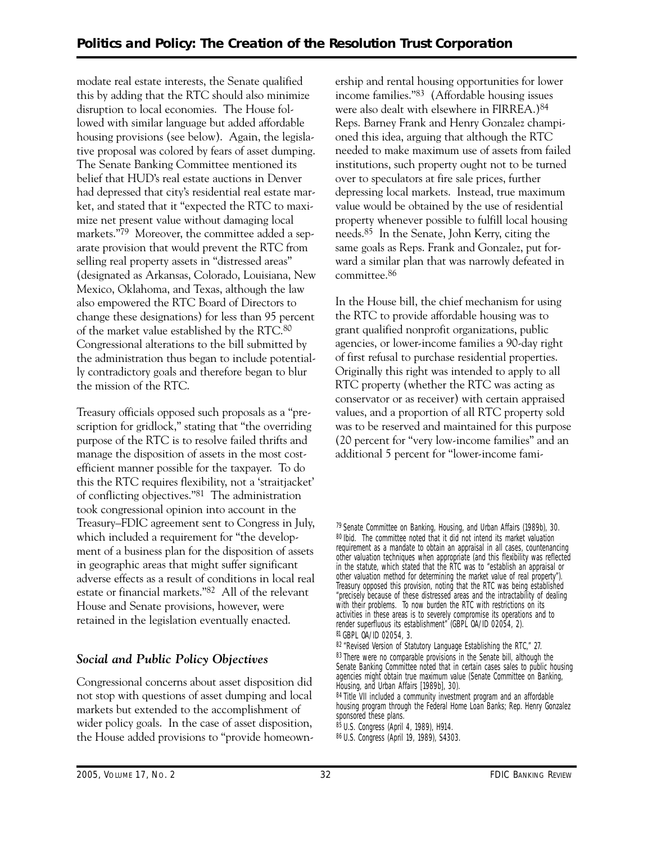modate real estate interests, the Senate qualified this by adding that the RTC should also minimize disruption to local economies. The House followed with similar language but added affordable housing provisions (see below). Again, the legislative proposal was colored by fears of asset dumping. The Senate Banking Committee mentioned its belief that HUD's real estate auctions in Denver had depressed that city's residential real estate market, and stated that it "expected the RTC to maximize net present value without damaging local markets."79 Moreover, the committee added a separate provision that would prevent the RTC from selling real property assets in "distressed areas" (designated as Arkansas, Colorado, Louisiana, New Mexico, Oklahoma, and Texas, although the law also empowered the RTC Board of Directors to change these designations) for less than 95 percent of the market value established by the RTC.80 Congressional alterations to the bill submitted by the administration thus began to include potentially contradictory goals and therefore began to blur the mission of the RTC.

Treasury officials opposed such proposals as a "prescription for gridlock," stating that "the overriding purpose of the RTC is to resolve failed thrifts and manage the disposition of assets in the most costefficient manner possible for the taxpayer. To do this the RTC requires flexibility, not a 'straitjacket' of conflicting objectives."81 The administration took congressional opinion into account in the Treasury–FDIC agreement sent to Congress in July, which included a requirement for "the development of a business plan for the disposition of assets in geographic areas that might suffer significant adverse effects as a result of conditions in local real estate or financial markets."82 All of the relevant House and Senate provisions, however, were retained in the legislation eventually enacted.

#### *Social and Public Policy Objectives*

Congressional concerns about asset disposition did not stop with questions of asset dumping and local markets but extended to the accomplishment of wider policy goals. In the case of asset disposition, the House added provisions to "provide homeownership and rental housing opportunities for lower income families."83 (Affordable housing issues were also dealt with elsewhere in FIRREA.)84 Reps. Barney Frank and Henry Gonzalez championed this idea, arguing that although the RTC needed to make maximum use of assets from failed institutions, such property ought not to be turned over to speculators at fire sale prices, further depressing local markets. Instead, true maximum value would be obtained by the use of residential property whenever possible to fulfill local housing needs.85 In the Senate, John Kerry, citing the same goals as Reps. Frank and Gonzalez, put forward a similar plan that was narrowly defeated in committee.86

In the House bill, the chief mechanism for using the RTC to provide affordable housing was to grant qualified nonprofit organizations, public agencies, or lower-income families a 90-day right of first refusal to purchase residential properties. Originally this right was intended to apply to all RTC property (whether the RTC was acting as conservator or as receiver) with certain appraised values, and a proportion of all RTC property sold was to be reserved and maintained for this purpose (20 percent for "very low-income families" and an additional 5 percent for "lower-income fami-

<sup>79</sup> Senate Committee on Banking, Housing, and Urban Affairs (1989b), 30. 80 Ibid. The committee noted that it did not intend its market valuation requirement as a mandate to obtain an appraisal in all cases, countenancing other valuation techniques when appropriate (and this flexibility was reflected in the statute, which stated that the RTC was to "establish an appraisal or other valuation method for determining the market value of real property"). Treasury opposed this provision, noting that the RTC was being established "precisely because of these distressed areas and the intractability of dealing with their problems. To now burden the RTC with restrictions on its activities in these areas is to severely compromise its operations and to render superfluous its establishment" (GBPL OA/ID 02054, 2). 81 GBPL OA/ID 02054, 3.

<sup>82 &</sup>quot;Revised Version of Statutory Language Establishing the RTC," 27. 83 There were no comparable provisions in the Senate bill, although the Senate Banking Committee noted that in certain cases sales to public housing agencies might obtain true maximum value (Senate Committee on Banking, Housing, and Urban Affairs [1989b], 30).

<sup>84</sup> Title VII included a community investment program and an affordable housing program through the Federal Home Loan Banks; Rep. Henry Gonzalez sponsored these plans.

<sup>85</sup> U.S. Congress (April 4, 1989), H914.

<sup>86</sup> U.S. Congress (April 19, 1989), S4303.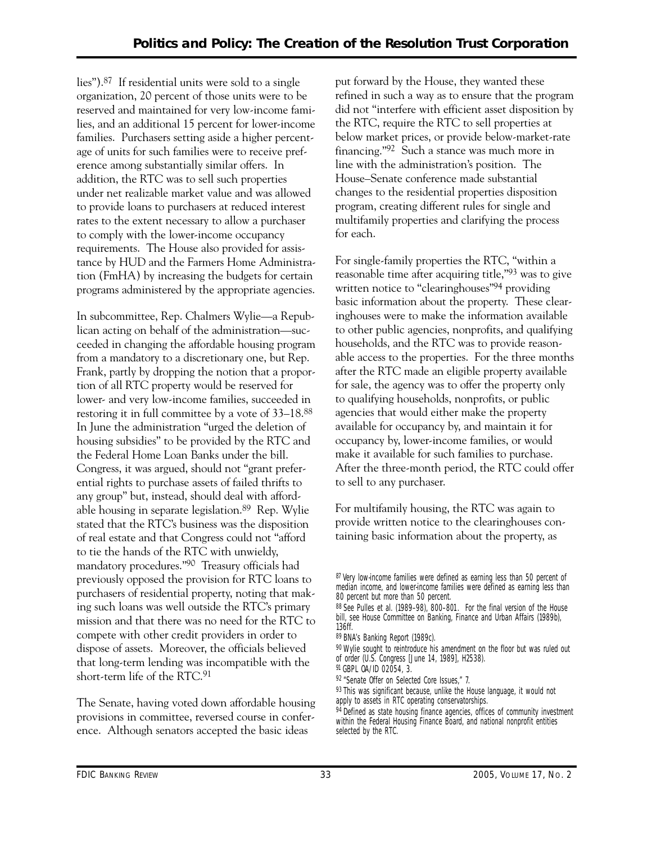lies").87 If residential units were sold to a single organization, 20 percent of those units were to be reserved and maintained for very low-income families, and an additional 15 percent for lower-income families. Purchasers setting aside a higher percentage of units for such families were to receive preference among substantially similar offers. In addition, the RTC was to sell such properties under net realizable market value and was allowed to provide loans to purchasers at reduced interest rates to the extent necessary to allow a purchaser to comply with the lower-income occupancy requirements. The House also provided for assistance by HUD and the Farmers Home Administration (FmHA) by increasing the budgets for certain programs administered by the appropriate agencies.

In subcommittee, Rep. Chalmers Wylie—a Republican acting on behalf of the administration—succeeded in changing the affordable housing program from a mandatory to a discretionary one, but Rep. Frank, partly by dropping the notion that a proportion of all RTC property would be reserved for lower- and very low-income families, succeeded in restoring it in full committee by a vote of 33–18.88 In June the administration "urged the deletion of housing subsidies" to be provided by the RTC and the Federal Home Loan Banks under the bill. Congress, it was argued, should not "grant preferential rights to purchase assets of failed thrifts to any group" but, instead, should deal with affordable housing in separate legislation.89 Rep. Wylie stated that the RTC's business was the disposition of real estate and that Congress could not "afford to tie the hands of the RTC with unwieldy, mandatory procedures."90 Treasury officials had previously opposed the provision for RTC loans to purchasers of residential property, noting that making such loans was well outside the RTC's primary mission and that there was no need for the RTC to compete with other credit providers in order to dispose of assets. Moreover, the officials believed that long-term lending was incompatible with the short-term life of the RTC.91

The Senate, having voted down affordable housing provisions in committee, reversed course in conference. Although senators accepted the basic ideas

put forward by the House, they wanted these refined in such a way as to ensure that the program did not "interfere with efficient asset disposition by the RTC, require the RTC to sell properties at below market prices, or provide below-market-rate financing."92 Such a stance was much more in line with the administration's position. The House–Senate conference made substantial changes to the residential properties disposition program, creating different rules for single and multifamily properties and clarifying the process for each.

For single-family properties the RTC, "within a reasonable time after acquiring title,"93 was to give written notice to "clearinghouses"94 providing basic information about the property. These clearinghouses were to make the information available to other public agencies, nonprofits, and qualifying households, and the RTC was to provide reasonable access to the properties. For the three months after the RTC made an eligible property available for sale, the agency was to offer the property only to qualifying households, nonprofits, or public agencies that would either make the property available for occupancy by, and maintain it for occupancy by, lower-income families, or would make it available for such families to purchase. After the three-month period, the RTC could offer to sell to any purchaser.

For multifamily housing, the RTC was again to provide written notice to the clearinghouses containing basic information about the property, as

93 This was significant because, unlike the House language, it would not apply to assets in RTC operating conservatorships.

<sup>87</sup> Very low-income families were defined as earning less than 50 percent of median income, and lower-income families were defined as earning less than 80 percent but more than 50 percent.

 88 See Pulles et al. (1989–98), 800–801. For the final version of the House bill, see House Committee on Banking, Finance and Urban Affairs (1989b), 136ff.

<sup>89</sup> *BNA's Banking Report* (1989c).

<sup>90</sup> Wylie sought to reintroduce his amendment on the floor but was ruled out of order (U.S. Congress [June 14, 1989], H2538).

<sup>91</sup> GBPL OA/ID 02054, 3.

<sup>92 &</sup>quot;Senate Offer on Selected Core Issues," 7.

<sup>94</sup> Defined as state housing finance agencies, offices of community investment within the Federal Housing Finance Board, and national nonprofit entities selected by the RTC.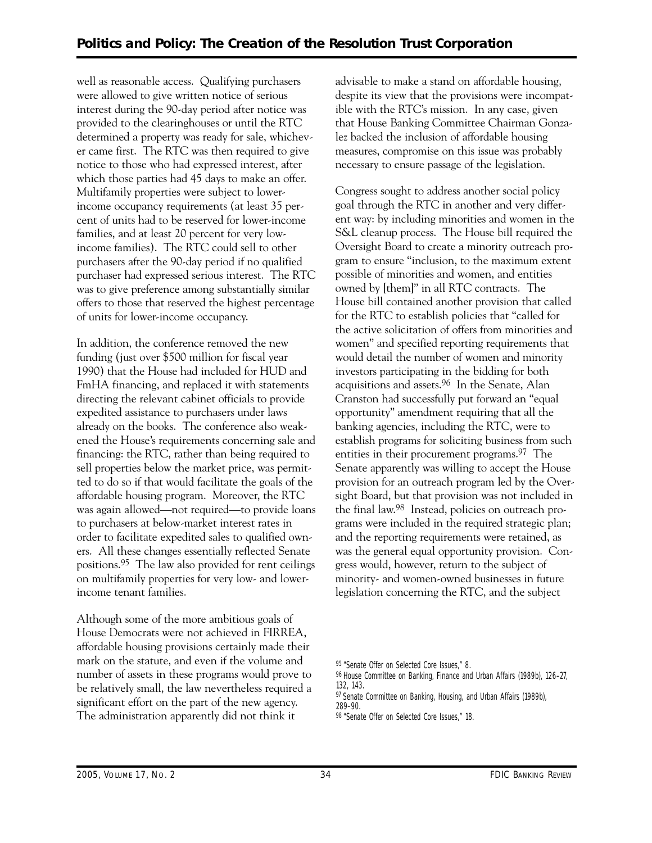well as reasonable access. Qualifying purchasers were allowed to give written notice of serious interest during the 90-day period after notice was provided to the clearinghouses or until the RTC determined a property was ready for sale, whichever came first. The RTC was then required to give notice to those who had expressed interest, after which those parties had 45 days to make an offer. Multifamily properties were subject to lowerincome occupancy requirements (at least 35 percent of units had to be reserved for lower-income families, and at least 20 percent for very lowincome families). The RTC could sell to other purchasers after the 90-day period if no qualified purchaser had expressed serious interest. The RTC was to give preference among substantially similar offers to those that reserved the highest percentage of units for lower-income occupancy.

In addition, the conference removed the new funding (just over \$500 million for fiscal year 1990) that the House had included for HUD and FmHA financing, and replaced it with statements directing the relevant cabinet officials to provide expedited assistance to purchasers under laws already on the books. The conference also weakened the House's requirements concerning sale and financing: the RTC, rather than being required to sell properties below the market price, was permitted to do so if that would facilitate the goals of the affordable housing program. Moreover, the RTC was again allowed—not required—to provide loans to purchasers at below-market interest rates in order to facilitate expedited sales to qualified owners. All these changes essentially reflected Senate positions.95 The law also provided for rent ceilings on multifamily properties for very low- and lowerincome tenant families.

Although some of the more ambitious goals of House Democrats were not achieved in FIRREA, affordable housing provisions certainly made their mark on the statute, and even if the volume and number of assets in these programs would prove to be relatively small, the law nevertheless required a significant effort on the part of the new agency. The administration apparently did not think it

advisable to make a stand on affordable housing, despite its view that the provisions were incompatible with the RTC's mission. In any case, given that House Banking Committee Chairman Gonzalez backed the inclusion of affordable housing measures, compromise on this issue was probably necessary to ensure passage of the legislation.

Congress sought to address another social policy goal through the RTC in another and very different way: by including minorities and women in the S&L cleanup process. The House bill required the Oversight Board to create a minority outreach program to ensure "inclusion, to the maximum extent possible of minorities and women, and entities owned by [them]" in all RTC contracts. The House bill contained another provision that called for the RTC to establish policies that "called for the active solicitation of offers from minorities and women" and specified reporting requirements that would detail the number of women and minority investors participating in the bidding for both acquisitions and assets.96 In the Senate, Alan Cranston had successfully put forward an "equal opportunity" amendment requiring that all the banking agencies, including the RTC, were to establish programs for soliciting business from such entities in their procurement programs.97 The Senate apparently was willing to accept the House provision for an outreach program led by the Oversight Board, but that provision was not included in the final law.98 Instead, policies on outreach programs were included in the required strategic plan; and the reporting requirements were retained, as was the general equal opportunity provision. Congress would, however, return to the subject of minority- and women-owned businesses in future legislation concerning the RTC, and the subject

95 "Senate Offer on Selected Core Issues," 8.

97 Senate Committee on Banking, Housing, and Urban Affairs (1989b), 289–90.

<sup>96</sup> House Committee on Banking, Finance and Urban Affairs (1989b), 126–27, 132, 143.

<sup>98 &</sup>quot;Senate Offer on Selected Core Issues," 18.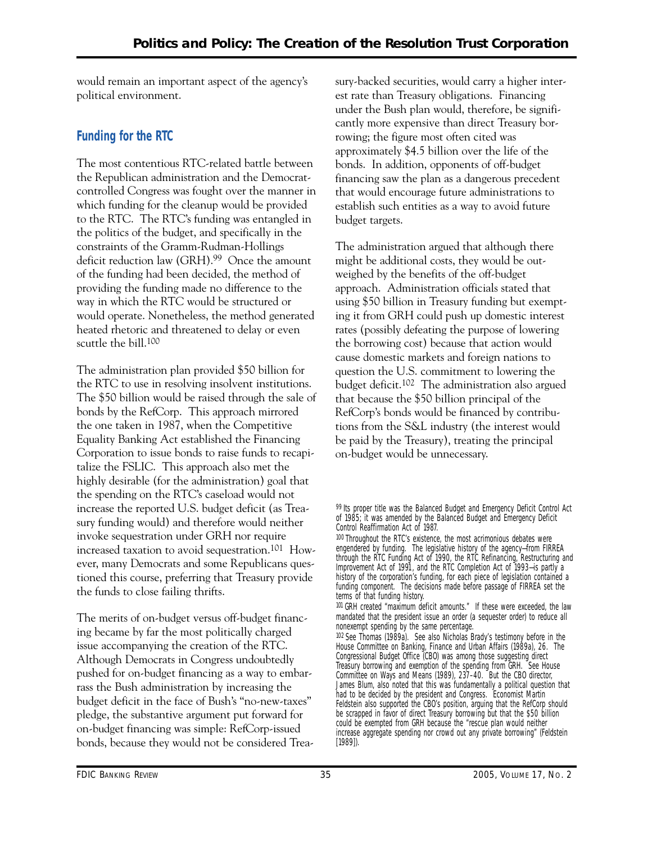would remain an important aspect of the agency's political environment.

## **Funding for the RTC**

The most contentious RTC-related battle between the Republican administration and the Democratcontrolled Congress was fought over the manner in which funding for the cleanup would be provided to the RTC. The RTC's funding was entangled in the politics of the budget, and specifically in the constraints of the Gramm-Rudman-Hollings deficit reduction law (GRH).99 Once the amount of the funding had been decided, the method of providing the funding made no difference to the way in which the RTC would be structured or would operate. Nonetheless, the method generated heated rhetoric and threatened to delay or even scuttle the bill.100

The administration plan provided \$50 billion for the RTC to use in resolving insolvent institutions. The \$50 billion would be raised through the sale of bonds by the RefCorp. This approach mirrored the one taken in 1987, when the Competitive Equality Banking Act established the Financing Corporation to issue bonds to raise funds to recapitalize the FSLIC. This approach also met the highly desirable (for the administration) goal that the spending on the RTC's caseload would not increase the reported U.S. budget deficit (as Treasury funding would) and therefore would neither invoke sequestration under GRH nor require increased taxation to avoid sequestration.101 However, many Democrats and some Republicans questioned this course, preferring that Treasury provide the funds to close failing thrifts.

The merits of on-budget versus off-budget financing became by far the most politically charged issue accompanying the creation of the RTC. Although Democrats in Congress undoubtedly pushed for on-budget financing as a way to embarrass the Bush administration by increasing the budget deficit in the face of Bush's "no-new-taxes" pledge, the substantive argument put forward for on-budget financing was simple: RefCorp-issued bonds, because they would not be considered Treasury-backed securities, would carry a higher interest rate than Treasury obligations. Financing under the Bush plan would, therefore, be significantly more expensive than direct Treasury borrowing; the figure most often cited was approximately \$4.5 billion over the life of the bonds. In addition, opponents of off-budget financing saw the plan as a dangerous precedent that would encourage future administrations to establish such entities as a way to avoid future budget targets.

The administration argued that although there might be additional costs, they would be outweighed by the benefits of the off-budget approach. Administration officials stated that using \$50 billion in Treasury funding but exempting it from GRH could push up domestic interest rates (possibly defeating the purpose of lowering the borrowing cost) because that action would cause domestic markets and foreign nations to question the U.S. commitment to lowering the budget deficit.102 The administration also argued that because the \$50 billion principal of the RefCorp's bonds would be financed by contributions from the S&L industry (the interest would be paid by the Treasury), treating the principal on-budget would be unnecessary.

<sup>99</sup> Its proper title was the Balanced Budget and Emergency Deficit Control Act of 1985; it was amended by the Balanced Budget and Emergency Deficit Control Reaffirmation Act of 1987.

<sup>100</sup> Throughout the RTC's existence, the most acrimonious debates were engendered by funding. The legislative history of the agency—from FIRREA through the RTC Funding Act of 1990, the RTC Refinancing, Restructuring and Improvement Act of 1991, and the RTC Completion Act of 1993—is partly a history of the corporation's funding, for each piece of legislation contained a funding component. The decisions made before passage of FIRREA set the terms of that funding history.

<sup>101</sup> GRH created "maximum deficit amounts." If these were exceeded, the law mandated that the president issue an order (a sequester order) to reduce all nonexempt spending by the same percentage.

<sup>102</sup> See Thomas (1989a). See also Nicholas Brady's testimony before in the House Committee on Banking, Finance and Urban Affairs (1989a), 26. The Congressional Budget Office (CBO) was among those suggesting direct Treasury borrowing and exemption of the spending from GRH. See House Committee on Ways and Means (1989), 237–40. But the CBO director, James Blum, also noted that this was fundamentally a political question that had to be decided by the president and Congress. Economist Martin Feldstein also supported the CBO's position, arguing that the RefCorp should be scrapped in favor of direct Treasury borrowing but that the \$50 billion could be exempted from GRH because the "rescue plan would neither increase aggregate spending nor crowd out any private borrowing" (Feldstein [1989]).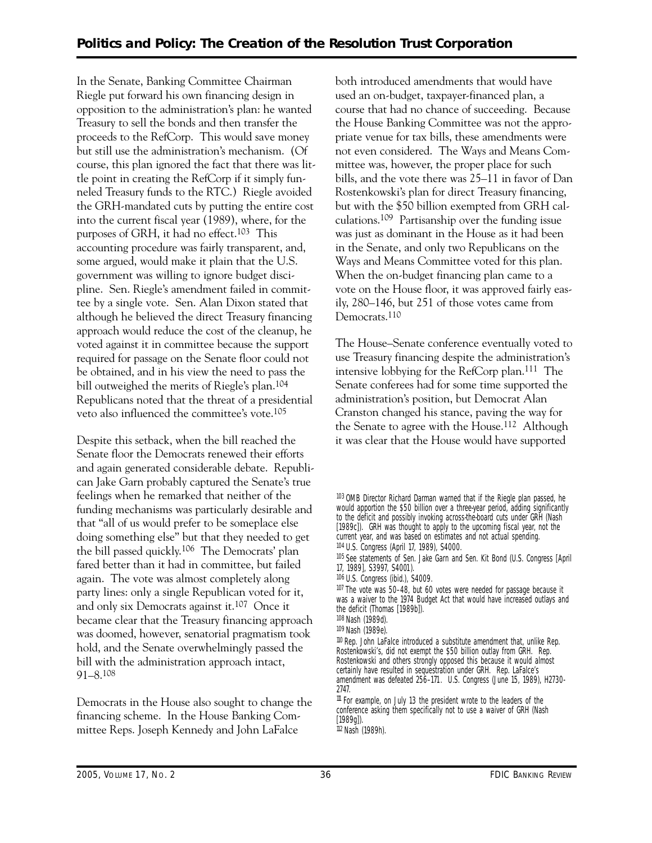In the Senate, Banking Committee Chairman Riegle put forward his own financing design in opposition to the administration's plan: he wanted Treasury to sell the bonds and then transfer the proceeds to the RefCorp. This would save money but still use the administration's mechanism. (Of course, this plan ignored the fact that there was little point in creating the RefCorp if it simply funneled Treasury funds to the RTC.) Riegle avoided the GRH-mandated cuts by putting the entire cost into the current fiscal year (1989), where, for the purposes of GRH, it had no effect.103 This accounting procedure was fairly transparent, and, some argued, would make it plain that the U.S. government was willing to ignore budget discipline. Sen. Riegle's amendment failed in committee by a single vote. Sen. Alan Dixon stated that although he believed the direct Treasury financing approach would reduce the cost of the cleanup, he voted against it in committee because the support required for passage on the Senate floor could not be obtained, and in his view the need to pass the bill outweighed the merits of Riegle's plan.104 Republicans noted that the threat of a presidential veto also influenced the committee's vote.105

Despite this setback, when the bill reached the Senate floor the Democrats renewed their efforts and again generated considerable debate. Republican Jake Garn probably captured the Senate's true feelings when he remarked that neither of the funding mechanisms was particularly desirable and that "all of us would prefer to be someplace else doing something else" but that they needed to get the bill passed quickly.106 The Democrats' plan fared better than it had in committee, but failed again. The vote was almost completely along party lines: only a single Republican voted for it, and only six Democrats against it.107 Once it became clear that the Treasury financing approach was doomed, however, senatorial pragmatism took hold, and the Senate overwhelmingly passed the bill with the administration approach intact, 91–8.108

Democrats in the House also sought to change the financing scheme. In the House Banking Committee Reps. Joseph Kennedy and John LaFalce

both introduced amendments that would have used an on-budget, taxpayer-financed plan, a course that had no chance of succeeding. Because the House Banking Committee was not the appropriate venue for tax bills, these amendments were not even considered. The Ways and Means Committee was, however, the proper place for such bills, and the vote there was 25–11 in favor of Dan Rostenkowski's plan for direct Treasury financing, but with the \$50 billion exempted from GRH calculations.109 Partisanship over the funding issue was just as dominant in the House as it had been in the Senate, and only two Republicans on the Ways and Means Committee voted for this plan. When the on-budget financing plan came to a vote on the House floor, it was approved fairly easily, 280–146, but 251 of those votes came from Democrats.110

The House–Senate conference eventually voted to use Treasury financing despite the administration's intensive lobbying for the RefCorp plan.111 The Senate conferees had for some time supported the administration's position, but Democrat Alan Cranston changed his stance, paving the way for the Senate to agree with the House.112 Although it was clear that the House would have supported

105 See statements of Sen. Jake Garn and Sen. Kit Bond (U.S. Congress [April 17, 1989], S3997, S4001).

106 U.S. Congress (ibid.), S4009.

107 The vote was 50–48, but 60 votes were needed for passage because it was a waiver to the 1974 Budget Act that would have increased outlays and the deficit (Thomas [1989b]).

108 Nash (1989d).

109 Nash (1989e).

110 Rep. John LaFalce introduced a substitute amendment that, unlike Rep. Rostenkowski's, did not exempt the \$50 billion outlay from GRH. Rep. Rostenkowski and others strongly opposed this because it would almost certainly have resulted in sequestration under GRH. Rep. LaFalce's amendment was defeated 256–171. U.S. Congress (June 15, 1989), H2730 2747.

 $111$  For example, on July 13 the president wrote to the leaders of the conference asking them specifically not to use a waiver of GRH (Nash [1989g]). 112 Nash (1989h).

<sup>103</sup> OMB Director Richard Darman warned that if the Riegle plan passed, he would apportion the \$50 billion over a three-year period, adding significantly to the deficit and possibly invoking across-the-board cuts under GRH (Nash [1989c]). GRH was thought to apply to the upcoming fiscal year, not the current year, and was based on estimates and not actual spending.

<sup>104</sup> U.S. Congress (April 17, 1989), S4000.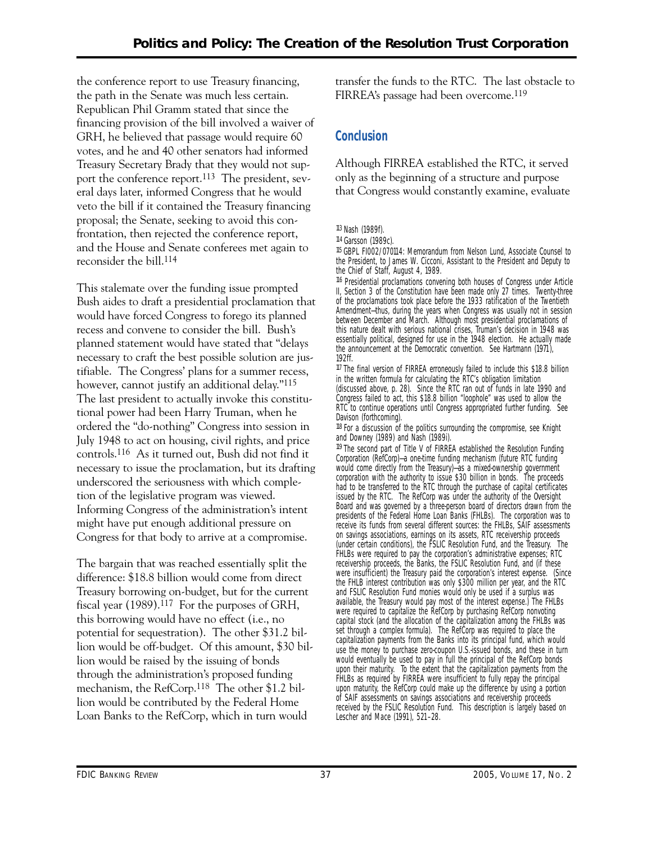the conference report to use Treasury financing, the path in the Senate was much less certain. Republican Phil Gramm stated that since the financing provision of the bill involved a waiver of GRH, he believed that passage would require 60 votes, and he and 40 other senators had informed Treasury Secretary Brady that they would not support the conference report.<sup>113</sup> The president, several days later, informed Congress that he would veto the bill if it contained the Treasury financing proposal; the Senate, seeking to avoid this confrontation, then rejected the conference report, and the House and Senate conferees met again to reconsider the bill.114

This stalemate over the funding issue prompted Bush aides to draft a presidential proclamation that would have forced Congress to forego its planned recess and convene to consider the bill. Bush's planned statement would have stated that "delays necessary to craft the best possible solution are justifiable. The Congress' plans for a summer recess, however, cannot justify an additional delay."<sup>115</sup> The last president to actually invoke this constitutional power had been Harry Truman, when he ordered the "do-nothing" Congress into session in July 1948 to act on housing, civil rights, and price controls.116 As it turned out, Bush did not find it necessary to issue the proclamation, but its drafting underscored the seriousness with which completion of the legislative program was viewed. Informing Congress of the administration's intent might have put enough additional pressure on Congress for that body to arrive at a compromise.

The bargain that was reached essentially split the difference: \$18.8 billion would come from direct Treasury borrowing on-budget, but for the current fiscal year (1989).117 For the purposes of GRH, this borrowing would have no effect (i.e., no potential for sequestration). The other \$31.2 billion would be off-budget. Of this amount, \$30 billion would be raised by the issuing of bonds through the administration's proposed funding mechanism, the RefCorp.118 The other \$1.2 billion would be contributed by the Federal Home Loan Banks to the RefCorp, which in turn would

transfer the funds to the RTC. The last obstacle to FIRREA's passage had been overcome.119

## **Conclusion**

Although FIRREA established the RTC, it served only as the beginning of a structure and purpose that Congress would constantly examine, evaluate

116 Presidential proclamations convening both houses of Congress under Article II, Section 3 of the Constitution have been made only 27 times. Twenty-three of the proclamations took place before the 1933 ratification of the Twentieth Amendment—thus, during the years when Congress was usually not in session between December and March. Although most presidential proclamations of this nature dealt with serious national crises, Truman's decision in 1948 was essentially political, designed for use in the 1948 election. He actually made the announcement at the Democratic convention. See Hartmann (1971), 192ff.

117 The final version of FIRREA erroneously failed to include this \$18.8 billion in the written formula for calculating the RTC's obligation limitation (discussed above, p. 28). Since the RTC ran out of funds in late 1990 and Congress failed to act, this \$18.8 billion "loophole" was used to allow the RTC to continue operations until Congress appropriated further funding. See Davison (forthcoming).

 $118$  For a discussion of the politics surrounding the compromise, see Knight and Downey (1989) and Nash (1989i).

 upon their maturity. To the extent that the capitalization payments from the 119 The second part of Title V of FIRREA established the Resolution Funding Corporation (RefCorp)—a one-time funding mechanism (future RTC funding would come directly from the Treasury)—as a mixed-ownership government corporation with the authority to issue \$30 billion in bonds. The proceeds had to be transferred to the RTC through the purchase of capital certificates issued by the RTC. The RefCorp was under the authority of the Oversight Board and was governed by a three-person board of directors drawn from the presidents of the Federal Home Loan Banks (FHLBs). The corporation was to receive its funds from several different sources: the FHLBs, SAIF assessments on savings associations, earnings on its assets, RTC receivership proceeds (under certain conditions), the FSLIC Resolution Fund, and the Treasury. The FHLBs were required to pay the corporation's administrative expenses; RTC receivership proceeds, the Banks, the FSLIC Resolution Fund, and (if these were insufficient) the Treasury paid the corporation's interest expense. (Since the FHLB interest contribution was only \$300 million per year, and the RTC and FSLIC Resolution Fund monies would only be used if a surplus was available, the Treasury would pay most of the interest expense.) The FHLBs were required to capitalize the RefCorp by purchasing RefCorp nonvoting capital stock (and the allocation of the capitalization among the FHLBs was set through a complex formula). The RefCorp was required to place the capitalization payments from the Banks into its principal fund, which would use the money to purchase zero-coupon U.S.-issued bonds, and these in turn would eventually be used to pay in full the principal of the RefCorp bonds FHLBs as required by FIRREA were insufficient to fully repay the principal upon maturity, the RefCorp could make up the difference by using a portion of SAIF assessments on savings associations and receivership proceeds received by the FSLIC Resolution Fund. This description is largely based on Lescher and Mace (1991), 521–28.

<sup>113</sup> Nash (1989f).

<sup>114</sup> Garsson (1989c).

<sup>115</sup> GBPL FI002/070114: Memorandum from Nelson Lund, Associate Counsel to the President, to James W. Cicconi, Assistant to the President and Deputy to the Chief of Staff, August 4, 1989.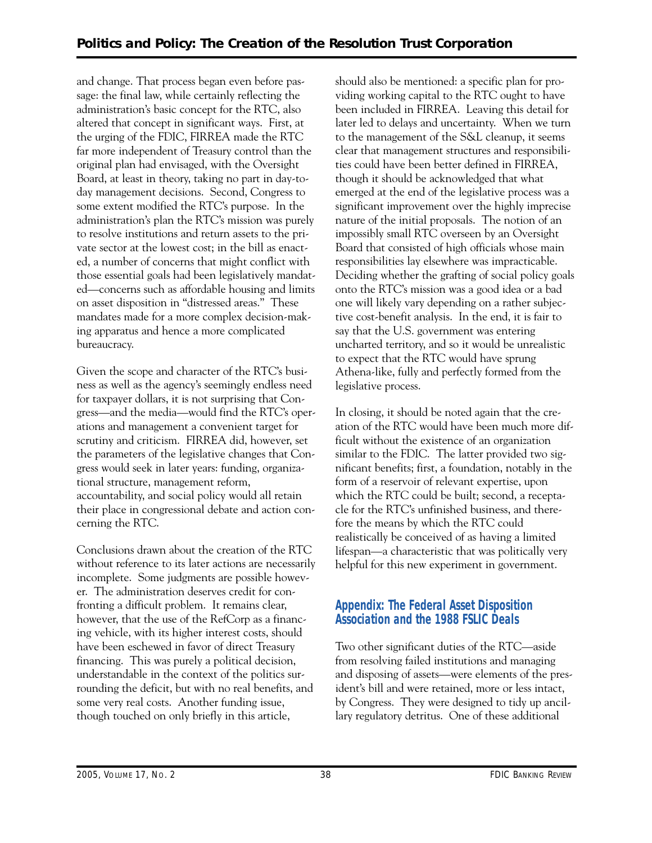and change. That process began even before passage: the final law, while certainly reflecting the administration's basic concept for the RTC, also altered that concept in significant ways. First, at the urging of the FDIC, FIRREA made the RTC far more independent of Treasury control than the original plan had envisaged, with the Oversight Board, at least in theory, taking no part in day-today management decisions. Second, Congress to some extent modified the RTC's purpose. In the administration's plan the RTC's mission was purely to resolve institutions and return assets to the private sector at the lowest cost; in the bill as enacted, a number of concerns that might conflict with those essential goals had been legislatively mandated—concerns such as affordable housing and limits on asset disposition in "distressed areas." These mandates made for a more complex decision-making apparatus and hence a more complicated bureaucracy.

Given the scope and character of the RTC's business as well as the agency's seemingly endless need for taxpayer dollars, it is not surprising that Congress—and the media—would find the RTC's operations and management a convenient target for scrutiny and criticism. FIRREA did, however, set the parameters of the legislative changes that Congress would seek in later years: funding, organizational structure, management reform, accountability, and social policy would all retain their place in congressional debate and action concerning the RTC.

Conclusions drawn about the creation of the RTC without reference to its later actions are necessarily incomplete. Some judgments are possible however. The administration deserves credit for confronting a difficult problem. It remains clear, however, that the use of the RefCorp as a financing vehicle, with its higher interest costs, should have been eschewed in favor of direct Treasury financing. This was purely a political decision, understandable in the context of the politics surrounding the deficit, but with no real benefits, and some very real costs. Another funding issue, though touched on only briefly in this article,

should also be mentioned: a specific plan for providing working capital to the RTC ought to have been included in FIRREA. Leaving this detail for later led to delays and uncertainty. When we turn to the management of the S&L cleanup, it seems clear that management structures and responsibilities could have been better defined in FIRREA, though it should be acknowledged that what emerged at the end of the legislative process was a significant improvement over the highly imprecise nature of the initial proposals. The notion of an impossibly small RTC overseen by an Oversight Board that consisted of high officials whose main responsibilities lay elsewhere was impracticable. Deciding whether the grafting of social policy goals onto the RTC's mission was a good idea or a bad one will likely vary depending on a rather subjective cost-benefit analysis. In the end, it is fair to say that the U.S. government was entering uncharted territory, and so it would be unrealistic to expect that the RTC would have sprung Athena-like, fully and perfectly formed from the legislative process.

In closing, it should be noted again that the creation of the RTC would have been much more difficult without the existence of an organization similar to the FDIC. The latter provided two significant benefits; first, a foundation, notably in the form of a reservoir of relevant expertise, upon which the RTC could be built; second, a receptacle for the RTC's unfinished business, and therefore the means by which the RTC could realistically be conceived of as having a limited lifespan—a characteristic that was politically very helpful for this new experiment in government.

#### **Appendix: The Federal Asset Disposition Association and the 1988 FSLIC Deals**

Two other significant duties of the RTC—aside from resolving failed institutions and managing and disposing of assets—were elements of the president's bill and were retained, more or less intact, by Congress. They were designed to tidy up ancillary regulatory detritus. One of these additional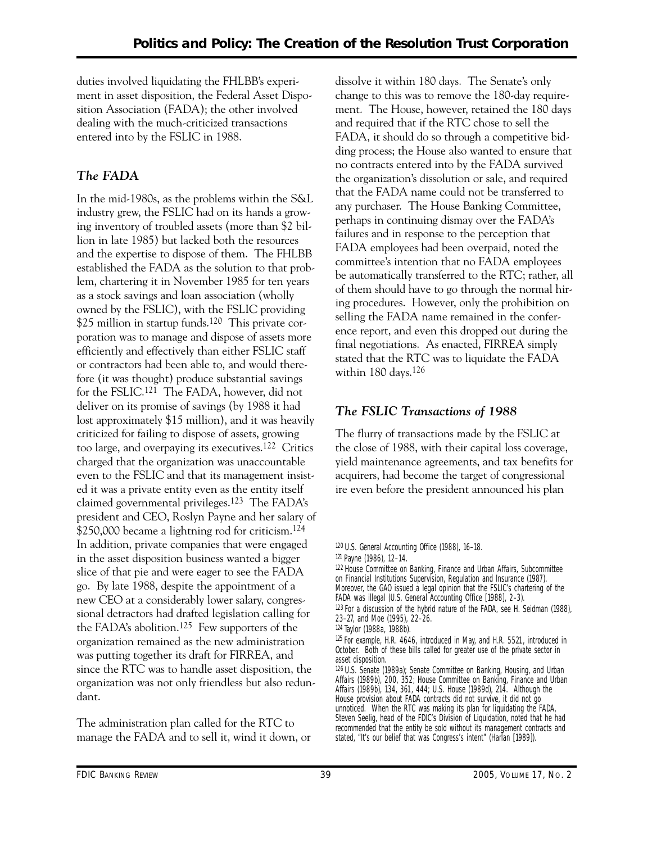duties involved liquidating the FHLBB's experiment in asset disposition, the Federal Asset Disposition Association (FADA); the other involved dealing with the much-criticized transactions entered into by the FSLIC in 1988.

## *The FADA*

In the mid-1980s, as the problems within the S&L industry grew, the FSLIC had on its hands a growing inventory of troubled assets (more than \$2 billion in late 1985) but lacked both the resources and the expertise to dispose of them. The FHLBB established the FADA as the solution to that problem, chartering it in November 1985 for ten years as a stock savings and loan association (wholly owned by the FSLIC), with the FSLIC providing \$25 million in startup funds.<sup>120</sup> This private corporation was to manage and dispose of assets more efficiently and effectively than either FSLIC staff or contractors had been able to, and would therefore (it was thought) produce substantial savings for the FSLIC.121 The FADA, however, did not deliver on its promise of savings (by 1988 it had lost approximately \$15 million), and it was heavily criticized for failing to dispose of assets, growing too large, and overpaying its executives.122 Critics charged that the organization was unaccountable even to the FSLIC and that its management insisted it was a private entity even as the entity itself claimed governmental privileges.123 The FADA's president and CEO, Roslyn Payne and her salary of \$250,000 became a lightning rod for criticism.124 In addition, private companies that were engaged in the asset disposition business wanted a bigger slice of that pie and were eager to see the FADA go. By late 1988, despite the appointment of a new CEO at a considerably lower salary, congressional detractors had drafted legislation calling for the FADA's abolition.125 Few supporters of the organization remained as the new administration was putting together its draft for FIRREA, and since the RTC was to handle asset disposition, the organization was not only friendless but also redundant.

The administration plan called for the RTC to manage the FADA and to sell it, wind it down, or dissolve it within 180 days. The Senate's only change to this was to remove the 180-day requirement. The House, however, retained the 180 days and required that if the RTC chose to sell the FADA, it should do so through a competitive bidding process; the House also wanted to ensure that no contracts entered into by the FADA survived the organization's dissolution or sale, and required that the FADA name could not be transferred to any purchaser. The House Banking Committee, perhaps in continuing dismay over the FADA's failures and in response to the perception that FADA employees had been overpaid, noted the committee's intention that no FADA employees be automatically transferred to the RTC; rather, all of them should have to go through the normal hiring procedures. However, only the prohibition on selling the FADA name remained in the conference report, and even this dropped out during the final negotiations. As enacted, FIRREA simply stated that the RTC was to liquidate the FADA within 180 days.126

### *The FSLIC Transactions of 1988*

The flurry of transactions made by the FSLIC at the close of 1988, with their capital loss coverage, yield maintenance agreements, and tax benefits for acquirers, had become the target of congressional ire even before the president announced his plan

122 House Committee on Banking, Finance and Urban Affairs, Subcommittee on Financial Institutions Supervision, Regulation and Insurance (1987). Moreover, the GAO issued a legal opinion that the FSLIC's chartering of the FADA was illegal (U.S. General Accounting Office [1988], 2–3).

123 For a discussion of the hybrid nature of the FADA, see H. Seidman (1988), 23–27, and Moe (1995), 22–26.

<sup>120</sup> U.S. General Accounting Office (1988), 16–18.

<sup>121</sup> Payne (1986), 12–14.

<sup>124</sup> Taylor (1988a, 1988b).

<sup>125</sup> For example, H.R. 4646, introduced in May, and H.R. 5521, introduced in October. Both of these bills called for greater use of the private sector in asset disposition.

<sup>126</sup> U.S. Senate (1989a); Senate Committee on Banking, Housing, and Urban Affairs (1989b), 200, 352; House Committee on Banking, Finance and Urban Affairs (1989b), 134, 361, 444; U.S. House (1989d), 214. Although the House provision about FADA contracts did not survive, it did not go unnoticed. When the RTC was making its plan for liquidating the FADA, Steven Seelig, head of the FDIC's Division of Liquidation, noted that he had recommended that the entity be sold without its management contracts and stated, "It's our belief that was Congress's intent" (Harlan [1989]).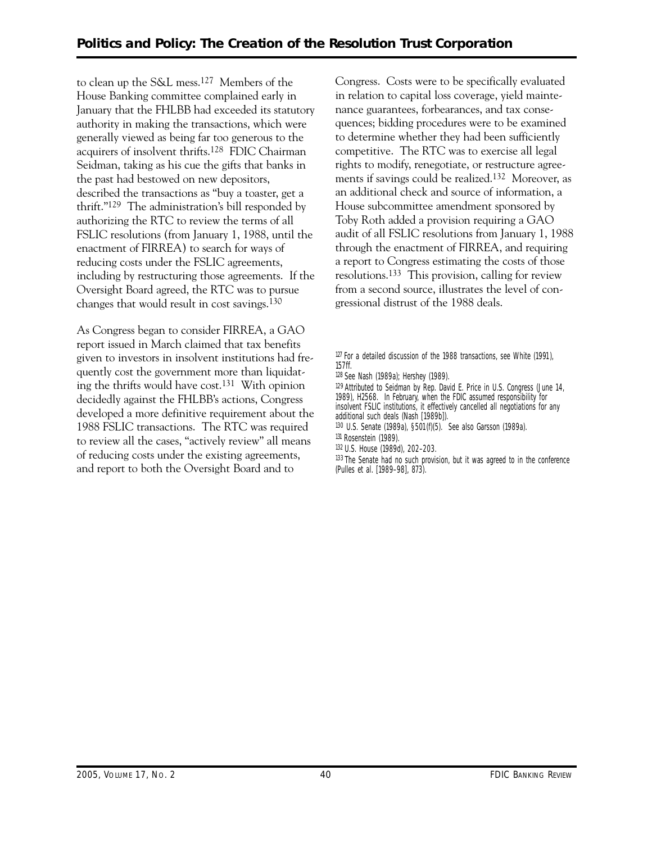to clean up the S&L mess.127 Members of the House Banking committee complained early in January that the FHLBB had exceeded its statutory authority in making the transactions, which were generally viewed as being far too generous to the acquirers of insolvent thrifts.128 FDIC Chairman Seidman, taking as his cue the gifts that banks in the past had bestowed on new depositors, described the transactions as "buy a toaster, get a thrift."129 The administration's bill responded by authorizing the RTC to review the terms of all FSLIC resolutions (from January 1, 1988, until the enactment of FIRREA) to search for ways of reducing costs under the FSLIC agreements, including by restructuring those agreements. If the Oversight Board agreed, the RTC was to pursue changes that would result in cost savings.130

As Congress began to consider FIRREA, a GAO report issued in March claimed that tax benefits given to investors in insolvent institutions had frequently cost the government more than liquidating the thrifts would have cost.131 With opinion decidedly against the FHLBB's actions, Congress developed a more definitive requirement about the 1988 FSLIC transactions. The RTC was required to review all the cases, "actively review" all means of reducing costs under the existing agreements, and report to both the Oversight Board and to

Congress. Costs were to be specifically evaluated in relation to capital loss coverage, yield maintenance guarantees, forbearances, and tax consequences; bidding procedures were to be examined to determine whether they had been sufficiently competitive. The RTC was to exercise all legal rights to modify, renegotiate, or restructure agreements if savings could be realized.132 Moreover, as an additional check and source of information, a House subcommittee amendment sponsored by Toby Roth added a provision requiring a GAO audit of all FSLIC resolutions from January 1, 1988 through the enactment of FIRREA, and requiring a report to Congress estimating the costs of those resolutions.133 This provision, calling for review from a second source, illustrates the level of congressional distrust of the 1988 deals.

<sup>&</sup>lt;sup>127</sup> For a detailed discussion of the 1988 transactions, see White (1991), 157ff.

<sup>128</sup> See Nash (1989a); Hershey (1989).

<sup>129</sup> Attributed to Seidman by Rep. David E. Price in U.S. Congress (June 14, 1989), H2568. In February, when the FDIC assumed responsibility for insolvent FSLIC institutions, it effectively cancelled all negotiations for any

additional such deals (Nash [1989b]).

<sup>130</sup> U.S. Senate (1989a), §501(f)(5). See also Garsson (1989a). 131 Rosenstein (1989).

<sup>132</sup> U.S. House (1989d), 202–203.

<sup>&</sup>lt;sup>133</sup> The Senate had no such provision, but it was agreed to in the conference (Pulles et al. [1989–98], 873).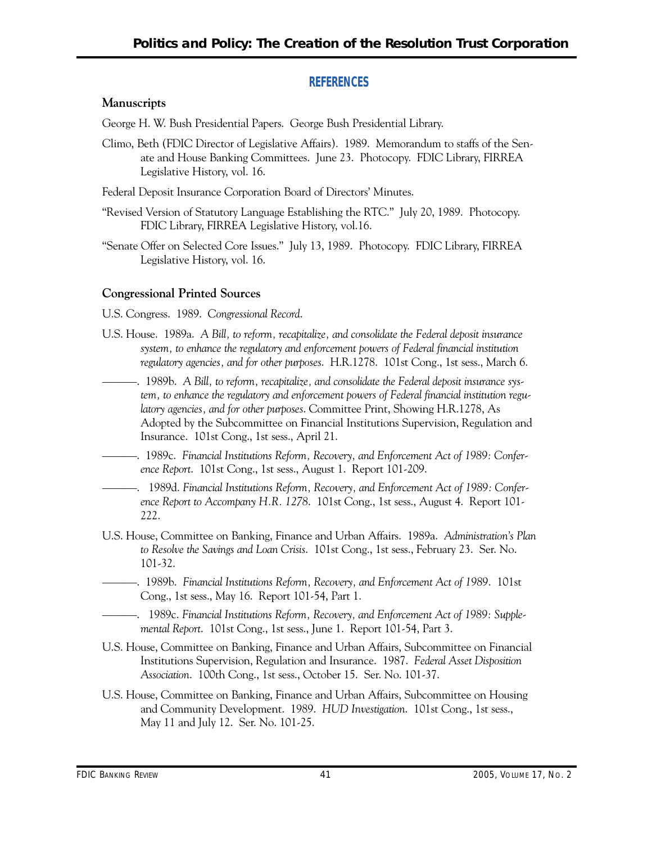#### **REFERENCES**

#### **Manuscripts**

George H. W. Bush Presidential Papers. George Bush Presidential Library.

 Climo, Beth (FDIC Director of Legislative Affairs). 1989. Memorandum to staffs of the Sen- ate and House Banking Committees. June 23. Photocopy. FDIC Library, FIRREA Legislative History, vol. 16.

Federal Deposit Insurance Corporation Board of Directors' Minutes.

- "Revised Version of Statutory Language Establishing the RTC." July 20, 1989. Photocopy. FDIC Library, FIRREA Legislative History, vol.16.
- "Senate Offer on Selected Core Issues." July 13, 1989. Photocopy. FDIC Library, FIRREA Legislative History, vol. 16.

#### **Congressional Printed Sources**

U.S. Congress. 1989. *Congressional Record*.

- U.S. House. 1989a. *A Bill, to reform, recapitalize, and consolidate the Federal deposit insurance regulatory agencies, and for other purposes*. H.R.1278. 101st Cong., 1st sess., March 6. *system, to enhance the regulatory and enforcement powers of Federal financial institution*
- ———. 1989b. *A Bill, to reform, recapitalize, and consolidate the Federal deposit insurance system, to enhance the regulatory and enforcement powers of Federal financial institution regulatory agencies, and for other purposes*. Committee Print, Showing H.R.1278, As Adopted by the Subcommittee on Financial Institutions Supervision, Regulation and Insurance. 101st Cong., 1st sess., April 21.
- ———. 1989c. *Financial Institutions Reform, Recovery, and Enforcement Act of 1989: Conference Report*. 101st Cong., 1st sess., August 1. Report 101-209.
- ———. 1989d. *Financial Institutions Reform, Recovery, and Enforcement Act of 1989: Conference Report to Accompany H.R. 1278*. 101st Cong., 1st sess., August 4. Report 101 222.
- U.S. House, Committee on Banking, Finance and Urban Affairs. 1989a. *Administration's Plan to Resolve the Savings and Loan Crisis*. 101st Cong., 1st sess., February 23. Ser. No. 101-32.
- ———. 1989b. *Financial Institutions Reform, Recovery, and Enforcement Act of 1989*. 101st Cong., 1st sess., May 16. Report 101-54, Part 1.
- ———. 1989c. *Financial Institutions Reform, Recovery, and Enforcement Act of 1989: Supplemental Report*. 101st Cong., 1st sess., June 1. Report 101-54, Part 3.
- Institutions Supervision, Regulation and Insurance. 1987. *Federal Asset Disposition*  U.S. House, Committee on Banking, Finance and Urban Affairs, Subcommittee on Financial *Association*. 100th Cong., 1st sess., October 15. Ser. No. 101-37.
- and Community Development. 1989. *HUD Investigation*. 101st Cong., 1st sess., U.S. House, Committee on Banking, Finance and Urban Affairs, Subcommittee on Housing May 11 and July 12. Ser. No. 101-25.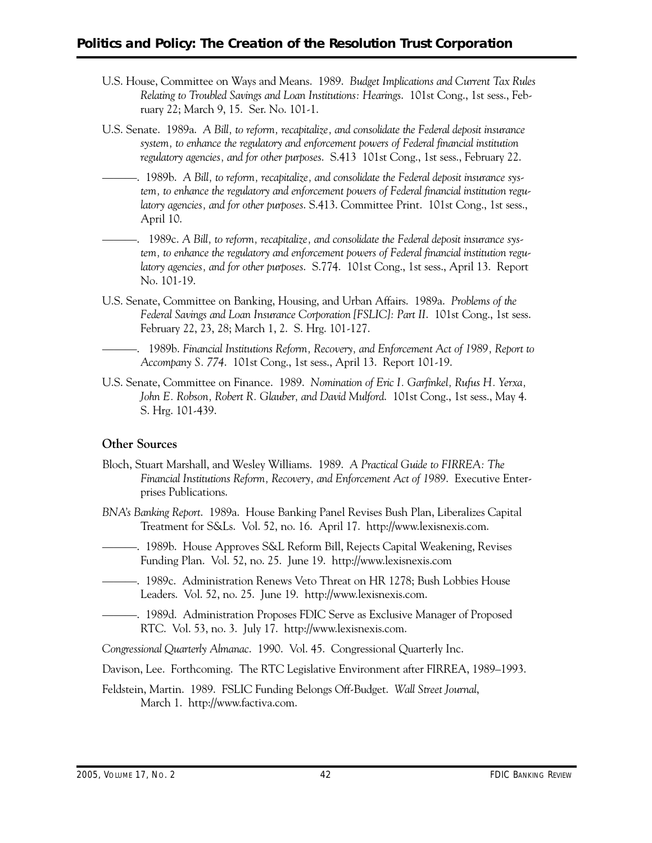- U.S. House, Committee on Ways and Means. 1989. *Budget Implications and Current Tax Rules Relating to Troubled Savings and Loan Institutions: Hearings*. 101st Cong., 1st sess., February 22; March 9, 15. Ser. No. 101-1.
- U.S. Senate. 1989a. *A Bill, to reform, recapitalize, and consolidate the Federal deposit insurance regulatory agencies, and for other purposes*. S.413 101st Cong., 1st sess., February 22. *system, to enhance the regulatory and enforcement powers of Federal financial institution*
- ———. 1989b. *A Bill, to reform, recapitalize, and consolidate the Federal deposit insurance system, to enhance the regulatory and enforcement powers of Federal financial institution regulatory agencies, and for other purposes*. S.413. Committee Print. 101st Cong., 1st sess., April 10.
- ———. 1989c. *A Bill, to reform, recapitalize, and consolidate the Federal deposit insurance sys- latory agencies, and for other purposes*. S.774. 101st Cong., 1st sess., April 13. Report *tem, to enhance the regulatory and enforcement powers of Federal financial institution regu-*No. 101-19.
- U.S. Senate, Committee on Banking, Housing, and Urban Affairs. 1989a. *Problems of the Federal Savings and Loan Insurance Corporation [FSLIC]: Part II*. 101st Cong., 1st sess. February 22, 23, 28; March 1, 2. S. Hrg. 101-127.
- ———. 1989b. *Financial Institutions Reform, Recovery, and Enforcement Act of 1989, Report to Accompany S. 774*. 101st Cong., 1st sess., April 13. Report 101-19.
- U.S. Senate, Committee on Finance. 1989. *Nomination of Eric I. Garfinkel, Rufus H. Yerxa, John E. Robson, Robert R. Glauber, and David Mulford*. 101st Cong., 1st sess., May 4. S. Hrg. 101-439.

#### **Other Sources**

- Bloch, Stuart Marshall, and Wesley Williams. 1989. *A Practical Guide to FIRREA: The Financial Institutions Reform, Recovery, and Enforcement Act of 1989*. Executive Enterprises Publications.
- *BNA's Banking Report*. 1989a. House Banking Panel Revises Bush Plan, Liberalizes Capital Treatment for S&Ls. Vol. 52, no. 16. April 17. http://www.lexisnexis.com.
- ———. 1989b. House Approves S&L Reform Bill, Rejects Capital Weakening, Revises Funding Plan. Vol. 52, no. 25. June 19. http://www.lexisnexis.com
- ———. 1989c. Administration Renews Veto Threat on HR 1278; Bush Lobbies House Leaders. Vol. 52, no. 25. June 19. http://www.lexisnexis.com.
- ———. 1989d. Administration Proposes FDIC Serve as Exclusive Manager of Proposed RTC. Vol. 53, no. 3. July 17. http://www.lexisnexis.com.

*Congressional Quarterly Almanac*. 1990. Vol. 45. Congressional Quarterly Inc.

- Davison, Lee. Forthcoming. The RTC Legislative Environment after FIRREA, 1989–1993.
- Feldstein, Martin. 1989. FSLIC Funding Belongs Off-Budget. *Wall Street Journal*, March 1. http://www.factiva.com.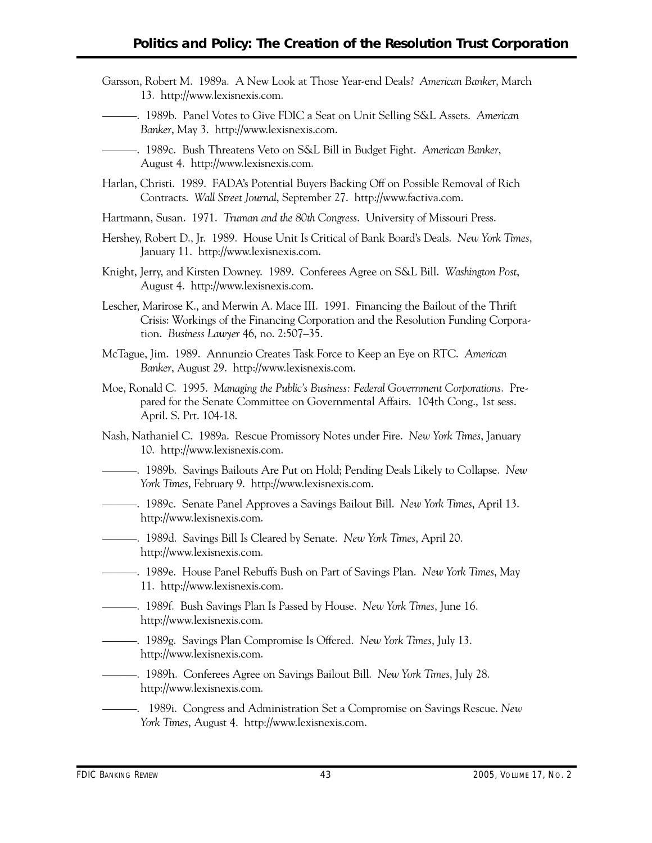- Garsson, Robert M. 1989a. A New Look at Those Year-end Deals? *American Banker*, March 13. http://www.lexisnexis.com.
- ———. 1989b. Panel Votes to Give FDIC a Seat on Unit Selling S&L Assets. *American Banker*, May 3. http://www.lexisnexis.com.
- ———. 1989c. Bush Threatens Veto on S&L Bill in Budget Fight. *American Banker*, August 4. http://www.lexisnexis.com.
- Harlan, Christi. 1989. FADA's Potential Buyers Backing Off on Possible Removal of Rich Contracts. *Wall Street Journal*, September 27. http://www.factiva.com.
- Hartmann, Susan. 1971. *Truman and the 80th Congress*. University of Missouri Press.
- Hershey, Robert D., Jr. 1989. House Unit Is Critical of Bank Board's Deals. *New York Times*, January 11. http://www.lexisnexis.com.
- Knight, Jerry, and Kirsten Downey. 1989. Conferees Agree on S&L Bill. *Washington Post*, August 4. http://www.lexisnexis.com.
- Lescher, Marirose K., and Merwin A. Mace III. 1991. Financing the Bailout of the Thrift Crisis: Workings of the Financing Corporation and the Resolution Funding Corporation. *Business Lawyer* 46, no. 2:507–35.
- McTague, Jim. 1989. Annunzio Creates Task Force to Keep an Eye on RTC. *American Banker*, August 29. http://www.lexisnexis.com.
- Moe, Ronald C. 1995. *Managing the Public's Business: Federal Government Corporations*. Prepared for the Senate Committee on Governmental Affairs. 104th Cong., 1st sess. April. S. Prt. 104-18.
- Nash, Nathaniel C. 1989a. Rescue Promissory Notes under Fire. *New York Times*, January 10. http://www.lexisnexis.com.
- ———. 1989b. Savings Bailouts Are Put on Hold; Pending Deals Likely to Collapse. *New York Times*, February 9. http://www.lexisnexis.com.
- ———. 1989c. Senate Panel Approves a Savings Bailout Bill. *New York Times*, April 13. http://www.lexisnexis.com.
- ———. 1989d. Savings Bill Is Cleared by Senate. *New York Times*, April 20. http://www.lexisnexis.com.
- ———. 1989e. House Panel Rebuffs Bush on Part of Savings Plan. *New York Times*, May 11. http://www.lexisnexis.com.
- ———. 1989f. Bush Savings Plan Is Passed by House. *New York Times*, June 16. http://www.lexisnexis.com.
- ———. 1989g. Savings Plan Compromise Is Offered. *New York Times*, July 13. http://www.lexisnexis.com.
- ———. 1989h. Conferees Agree on Savings Bailout Bill. *New York Times*, July 28. http://www.lexisnexis.com.
- ———. 1989i. Congress and Administration Set a Compromise on Savings Rescue. *New York Times*, August 4. http://www.lexisnexis.com.